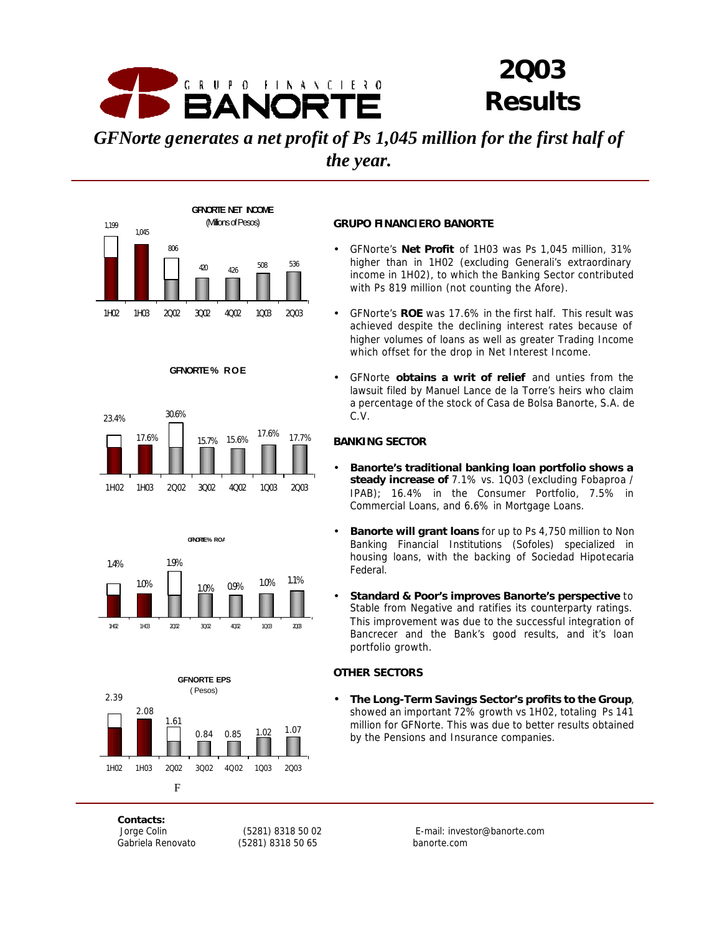

# *2Q03 Results*

*GFNorte generates a net profit of Ps 1,045 million for the first half of the year.*











# **GRUPO FINANCIERO BANORTE**

- GFNorte's **Net Profit** of 1H03 was Ps 1,045 million, 31% higher than in 1H02 (excluding Generali's extraordinary income in 1H02), to which the Banking Sector contributed with Ps 819 million (not counting the Afore).
- GFNorte's **ROE** was 17.6% in the first half. This result was achieved despite the declining interest rates because of higher volumes of loans as well as greater Trading Income which offset for the drop in Net Interest Income.
- GFNorte **obtains a writ of relief** and unties from the lawsuit filed by Manuel Lance de la Torre's heirs who claim a percentage of the stock of Casa de Bolsa Banorte, S.A. de C.V.

### **BANKING SECTOR**

- **Banorte's traditional banking loan portfolio shows a steady increase of** 7.1% vs. 1Q03 (excluding Fobaproa / IPAB); 16.4% in the Consumer Portfolio, 7.5% in Commercial Loans, and 6.6% in Mortgage Loans.
- **Banorte will grant loans** for up to Ps 4,750 million to Non Banking Financial Institutions (Sofoles) specialized in housing loans, with the backing of Sociedad Hipotecaria Federal.
- **Standard & Poor's improves Banorte's perspective** to Stable from Negative and ratifies its counterparty ratings. This improvement was due to the successful integration of Bancrecer and the Bank's good results, and it's loan portfolio growth.

### **OTHER SECTORS**

• **The Long-Term Savings Sector's profits to the Group**, showed an important 72% growth vs 1H02, totaling Ps 141 million for GFNorte. This was due to better results obtained by the Pensions and Insurance companies.

*Contacts:*

*Gabriela Renovato (5281) 8318 50 65 banorte.com*

 *Jorge Colin (5281) 8318 50 02 E-mail: investor@banorte.com*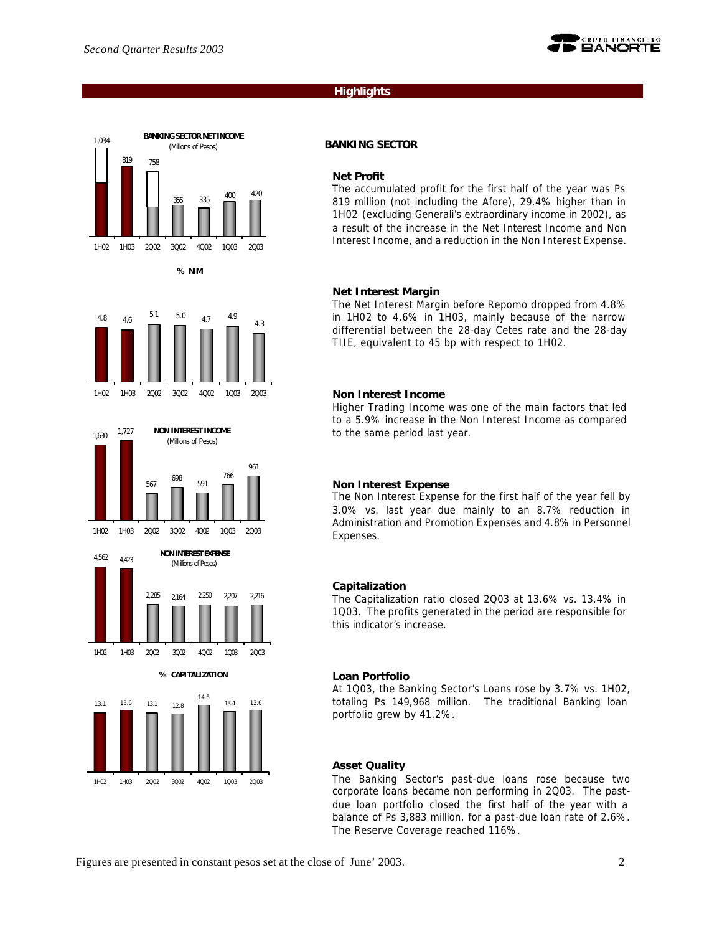

# **Highlights**



**% NIM**











### **BANKING SECTOR**

#### **Net Profit**

The accumulated profit for the first half of the year was Ps 819 million (not including the Afore), 29.4% higher than in 1H02 (excluding Generali's extraordinary income in 2002), as a result of the increase in the Net Interest Income and Non Interest Income, and a reduction in the Non Interest Expense.

### **Net Interest Margin**

The Net Interest Margin before Repomo dropped from 4.8% in 1H02 to 4.6% in 1H03, mainly because of the narrow differential between the 28-day Cetes rate and the 28-day TIIE, equivalent to 45 bp with respect to 1H02.

#### **Non Interest Income**

Higher Trading Income was one of the main factors that led to a 5.9% increase in the Non Interest Income as compared to the same period last year.

### **Non Interest Expense**

The Non Interest Expense for the first half of the year fell by 3.0% vs. last year due mainly to an 8.7% reduction in Administration and Promotion Expenses and 4.8% in Personnel Expenses.

### **Capitalization**

The Capitalization ratio closed 2Q03 at 13.6% vs. 13.4% in 1Q03. The profits generated in the period are responsible for this indicator's increase.

#### **Loan Portfolio**

At 1Q03, the Banking Sector's Loans rose by 3.7% vs. 1H02, totaling Ps 149,968 million. The traditional Banking loan portfolio grew by 41.2%.

### **Asset Quality**

The Banking Sector's past-due loans rose because two corporate loans became non performing in 2Q03. The pastdue loan portfolio closed the first half of the year with a balance of Ps 3,883 million, for a past-due loan rate of 2.6%. The Reserve Coverage reached 116%.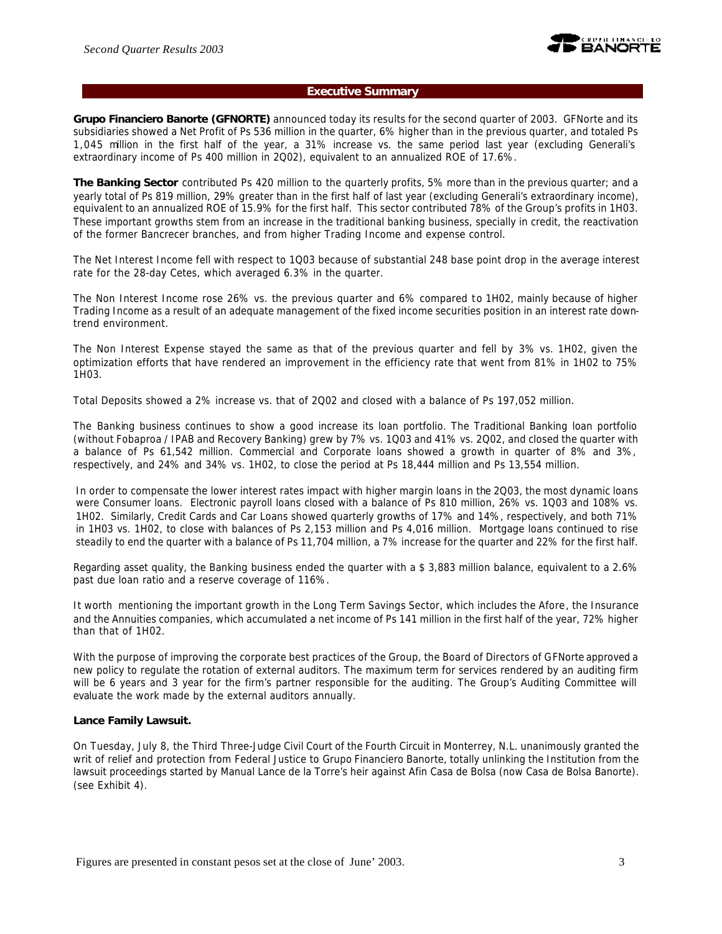

### **Executive Summary**

**Grupo Financiero Banorte (GFNORTE)** announced today its results for the second quarter of 2003. GFNorte and its subsidiaries showed a Net Profit of Ps 536 million in the quarter, 6% higher than in the previous quarter, and totaled Ps 1,045 million in the first half of the year, a 31% increase vs. the same period last year (excluding Generali's extraordinary income of Ps 400 million in 2Q02), equivalent to an annualized ROE of 17.6%.

**The Banking Sector** contributed Ps 420 million to the quarterly profits, 5% more than in the previous quarter; and a yearly total of Ps 819 million, 29% greater than in the first half of last year (excluding Generali's extraordinary income), equivalent to an annualized ROE of 15.9% for the first half. This sector contributed 78% of the Group's profits in 1H03. These important growths stem from an increase in the traditional banking business, specially in credit, the reactivation of the former Bancrecer branches, and from higher Trading Income and expense control.

The Net Interest Income fell with respect to 1Q03 because of substantial 248 base point drop in the average interest rate for the 28-day Cetes, which averaged 6.3% in the quarter.

The Non Interest Income rose 26% vs. the previous quarter and 6% compared to 1H02, mainly because of higher Trading Income as a result of an adequate management of the fixed income securities position in an interest rate downtrend environment.

The Non Interest Expense stayed the same as that of the previous quarter and fell by 3% vs. 1H02, given the optimization efforts that have rendered an improvement in the efficiency rate that went from 81% in 1H02 to 75% 1H03.

Total Deposits showed a 2% increase vs. that of 2Q02 and closed with a balance of Ps 197,052 million.

The Banking business continues to show a good increase its loan portfolio. The Traditional Banking loan portfolio (without Fobaproa / IPAB and Recovery Banking) grew by 7% vs. 1Q03 and 41% vs. 2Q02, and closed the quarter with a balance of Ps 61,542 million. Commercial and Corporate loans showed a growth in quarter of 8% and 3%, respectively, and 24% and 34% vs. 1H02, to close the period at Ps 18,444 million and Ps 13,554 million.

In order to compensate the lower interest rates impact with higher margin loans in the 2Q03, the most dynamic loans were Consumer loans. Electronic payroll loans closed with a balance of Ps 810 million, 26% vs. 1Q03 and 108% vs. 1H02. Similarly, Credit Cards and Car Loans showed quarterly growths of 17% and 14%, respectively, and both 71% in 1H03 vs. 1H02, to close with balances of Ps 2,153 million and Ps 4,016 million. Mortgage loans continued to rise steadily to end the quarter with a balance of Ps 11,704 million, a 7% increase for the quarter and 22% for the first half.

Regarding asset quality, the Banking business ended the quarter with a \$ 3,883 million balance, equivalent to a 2.6% past due loan ratio and a reserve coverage of 116%.

It worth mentioning the important growth in the Long Term Savings Sector, which includes the Afore, the Insurance and the Annuities companies, which accumulated a net income of Ps 141 million in the first half of the year, 72% higher than that of 1H02.

With the purpose of improving the corporate best practices of the Group, the Board of Directors of GFNorte approved a new policy to regulate the rotation of external auditors. The maximum term for services rendered by an auditing firm will be 6 years and 3 year for the firm's partner responsible for the auditing. The Group's Auditing Committee will evaluate the work made by the external auditors annually.

### **Lance Family Lawsuit.**

On Tuesday, July 8, the Third Three-Judge Civil Court of the Fourth Circuit in Monterrey, N.L. unanimously granted the writ of relief and protection from Federal Justice to Grupo Financiero Banorte, totally unlinking the Institution from the lawsuit proceedings started by Manual Lance de la Torre's heir against Afin Casa de Bolsa (now Casa de Bolsa Banorte). (see Exhibit 4).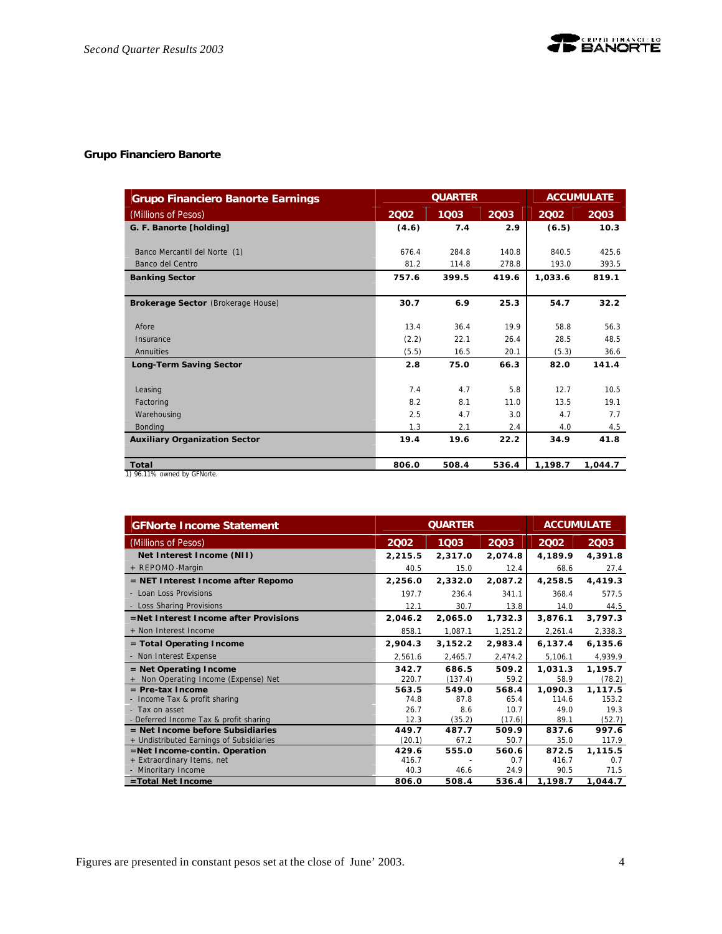# **Grupo Financiero Banorte**

| <b>Grupo Financiero Banorte Earnings</b> |       | <b>ACCUMULATE</b> |       |         |         |
|------------------------------------------|-------|-------------------|-------|---------|---------|
| (Millions of Pesos)                      | 2002  | 1003              | 2003  | 2002    | 2003    |
| G. F. Banorte [holding]                  | (4.6) | 7.4               | 2.9   | (6.5)   | 10.3    |
| Banco Mercantil del Norte (1)            | 676.4 | 284.8             | 140.8 | 840.5   | 425.6   |
| Banco del Centro                         | 81.2  | 114.8             | 278.8 | 193.0   | 393.5   |
| <b>Banking Sector</b>                    | 757.6 | 399.5             | 419.6 | 1,033.6 | 819.1   |
| Brokerage Sector (Brokerage House)       | 30.7  | 6.9               | 25.3  | 54.7    | 32.2    |
| Afore                                    | 13.4  | 36.4              | 19.9  | 58.8    | 56.3    |
| Insurance                                | (2.2) | 22.1              | 26.4  | 28.5    | 48.5    |
| Annuities                                | (5.5) | 16.5              | 20.1  | (5.3)   | 36.6    |
| <b>Long-Term Saving Sector</b>           | 2.8   | 75.0              | 66.3  | 82.0    | 141.4   |
| Leasing                                  | 7.4   | 4.7               | 5.8   | 12.7    | 10.5    |
| Factoring                                | 8.2   | 8.1               | 11.0  | 13.5    | 19.1    |
| Warehousing                              | 2.5   | 4.7               | 3.0   | 4.7     | 7.7     |
| Bonding                                  | 1.3   | 2.1               | 2.4   | 4.0     | 4.5     |
| <b>Auxiliary Organization Sector</b>     | 19.4  | 19.6              | 22.2  | 34.9    | 41.8    |
| Total                                    | 806.0 | 508.4             | 536.4 | 1,198.7 | 1,044.7 |
| 1) 96.11% owned by GFNorte.              |       |                   |       |         |         |

| <b>GFNorte Income Statement</b>          |         | <b>QUARTER</b> |         | <b>ACCUMULATE</b> |          |  |
|------------------------------------------|---------|----------------|---------|-------------------|----------|--|
| (Millions of Pesos)                      | 2002    | 1003           | 2003    | 2002              | 2003     |  |
| Net Interest Income (NII)                | 2,215.5 | 2,317.0        | 2,074.8 | 4,189.9           | 4,391.8  |  |
| + REPOMO-Margin                          | 40.5    | 15.0           | 12.4    | 68.6              | 27.4     |  |
| = NET Interest Income after Repomo       | 2,256.0 | 2,332.0        | 2,087.2 | 4,258.5           | 4,419.3  |  |
| - Loan Loss Provisions                   | 197.7   | 236.4          | 341.1   | 368.4             | 577.5    |  |
| - Loss Sharing Provisions                | 12.1    | 30.7           | 13.8    | 14.0              | 44.5     |  |
| =Net Interest Income after Provisions    | 2,046.2 | 2,065.0        | 1,732.3 | 3,876.1           | 3,797.3  |  |
| + Non Interest Income                    | 858.1   | 1,087.1        | 1,251.2 | 2,261.4           | 2,338.3  |  |
| $=$ Total Operating Income               | 2,904.3 | 3,152.2        | 2,983.4 | 6,137.4           | 6, 135.6 |  |
| - Non Interest Expense                   | 2,561.6 | 2,465.7        | 2,474.2 | 5,106.1           | 4,939.9  |  |
| $=$ Net Operating Income                 | 342.7   | 686.5          | 509.2   | 1,031.3           | 1,195.7  |  |
| + Non Operating Income (Expense) Net     | 220.7   | (137.4)        | 59.2    | 58.9              | (78.2)   |  |
| $=$ Pre-tax Income                       | 563.5   | 549.0          | 568.4   | 1,090.3           | 1,117.5  |  |
| - Income Tax & profit sharing            | 74.8    | 87.8           | 65.4    | 114.6             | 153.2    |  |
| - Tax on asset                           | 26.7    | 8.6            | 10.7    | 49.0              | 19.3     |  |
| - Deferred Income Tax & profit sharing   | 12.3    | (35.2)         | (17.6)  | 89.1              | (52.7)   |  |
| $=$ Net Income before Subsidiaries       | 449.7   | 487.7          | 509.9   | 837.6             | 997.6    |  |
| + Undistributed Earnings of Subsidiaries | (20.1)  | 67.2           | 50.7    | 35.0              | 117.9    |  |
| =Net Income-contin. Operation            | 429.6   | 555.0          | 560.6   | 872.5             | 1,115.5  |  |
| + Extraordinary Items, net               | 416.7   |                | 0.7     | 416.7             | 0.7      |  |
| - Minoritary Income                      | 40.3    | 46.6           | 24.9    | 90.5              | 71.5     |  |
| =Total Net Income                        | 806.0   | 508.4          | 536.4   | 1,198.7           | 1,044.7  |  |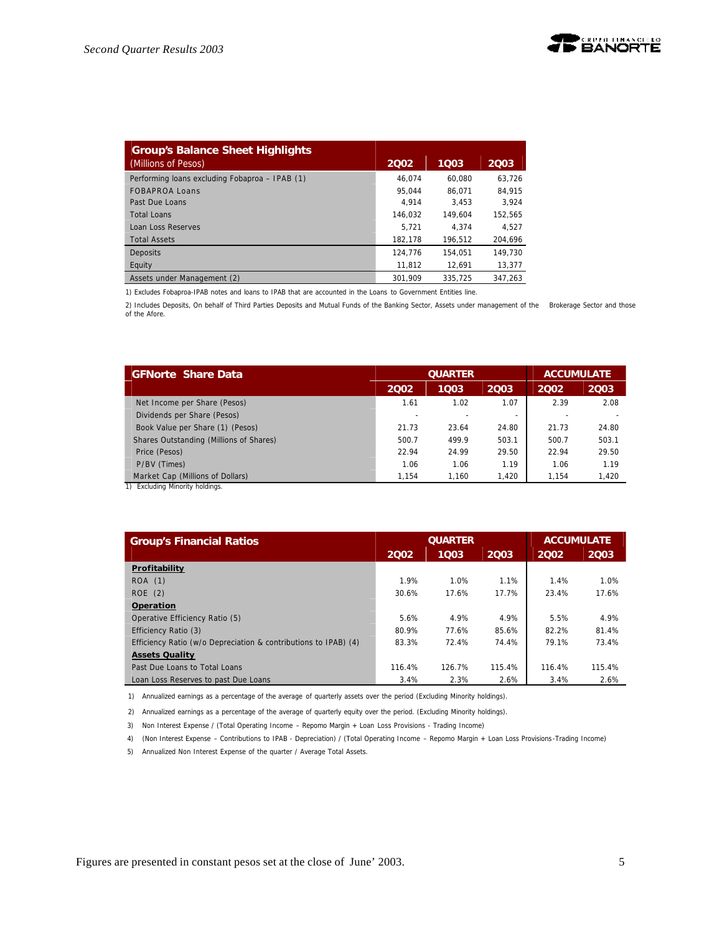| <b>Group's Balance Sheet Highlights</b>        |         |         |         |
|------------------------------------------------|---------|---------|---------|
| (Millions of Pesos)                            | 2002    | 1003    | 2003    |
| Performing loans excluding Fobaproa - IPAB (1) | 46.074  | 60.080  | 63.726  |
| <b>FOBAPROA Loans</b>                          | 95.044  | 86.071  | 84.915  |
| Past Due Loans                                 | 4.914   | 3.453   | 3.924   |
| Total Loans                                    | 146.032 | 149.604 | 152.565 |
| Loan Loss Reserves                             | 5.721   | 4.374   | 4.527   |
| <b>Total Assets</b>                            | 182.178 | 196.512 | 204.696 |
| Deposits                                       | 124.776 | 154.051 | 149.730 |
| Equity                                         | 11.812  | 12.691  | 13,377  |
| Assets under Management (2)                    | 301.909 | 335.725 | 347.263 |

1) Excludes Fobaproa-IPAB notes and loans to IPAB that are accounted in the Loans to Government Entities line.

2) Includes Deposits, On behalf of Third Parties Deposits and Mutual Funds of the Banking Sector, Assets under management of the Brokerage Sector and those of the Afore.

| <b>GFNorte Share Data</b>               |       | <b>QUARTER</b> |                          | <b>ACCUMULATE</b> |       |
|-----------------------------------------|-------|----------------|--------------------------|-------------------|-------|
|                                         | 2002  | 1003           | 2003                     | 2002              | 2003  |
| Net Income per Share (Pesos)            | 1.61  | 1.02           | 1.07                     | 2.39              | 2.08  |
| Dividends per Share (Pesos)             |       |                | $\overline{\phantom{a}}$ |                   |       |
| Book Value per Share (1) (Pesos)        | 21.73 | 23.64          | 24.80                    | 21.73             | 24.80 |
| Shares Outstanding (Millions of Shares) | 500.7 | 499.9          | 503.1                    | 500.7             | 503.1 |
| Price (Pesos)                           | 22.94 | 24.99          | 29.50                    | 22.94             | 29.50 |
| P/BV (Times)                            | 1.06  | 1.06           | 1.19                     | 1.06              | 1.19  |
| Market Cap (Millions of Dollars)        | 1.154 | 1.160          | 1.420                    | 1.154             | 1,420 |

1) Excluding Minority holdings.

| <b>Group's Financial Ratios</b>                                 |        | <b>QUARTER</b> | <b>ACCUMULATE</b> |        |        |
|-----------------------------------------------------------------|--------|----------------|-------------------|--------|--------|
|                                                                 | 2002   | 1003           | 2003              | 2002   | 2003   |
| Profitability                                                   |        |                |                   |        |        |
| ROA (1)                                                         | 1.9%   | 1.0%           | 1.1%              | 1.4%   | 1.0%   |
| ROE(2)                                                          | 30.6%  | 17.6%          | 17.7%             | 23.4%  | 17.6%  |
| Operation                                                       |        |                |                   |        |        |
| Operative Efficiency Ratio (5)                                  | 5.6%   | 4.9%           | 4.9%              | 5.5%   | 4.9%   |
| Efficiency Ratio (3)                                            | 80.9%  | 77.6%          | 85.6%             | 82.2%  | 81.4%  |
| Efficiency Ratio (w/o Depreciation & contributions to IPAB) (4) | 83.3%  | 72.4%          | 74.4%             | 79.1%  | 73.4%  |
| <b>Assets Quality</b>                                           |        |                |                   |        |        |
| Past Due Loans to Total Loans                                   | 116.4% | 126.7%         | 115.4%            | 116.4% | 115.4% |
| Loan Loss Reserves to past Due Loans                            | 3.4%   | 2.3%           | 2.6%              | 3.4%   | 2.6%   |

1) Annualized earnings as a percentage of the average of quarterly assets over the period (Excluding Minority holdings).

2) Annualized earnings as a percentage of the average of quarterly equity over the period. (Excluding Minority holdings).

3) Non Interest Expense / (Total Operating Income – Repomo Margin + Loan Loss Provisions - Trading Income)

4) (Non Interest Expense – Contributions to IPAB - Depreciation) / (Total Operating Income – Repomo Margin + Loan Loss Provisions-Trading Income)

5) Annualized Non Interest Expense of the quarter / Average Total Assets.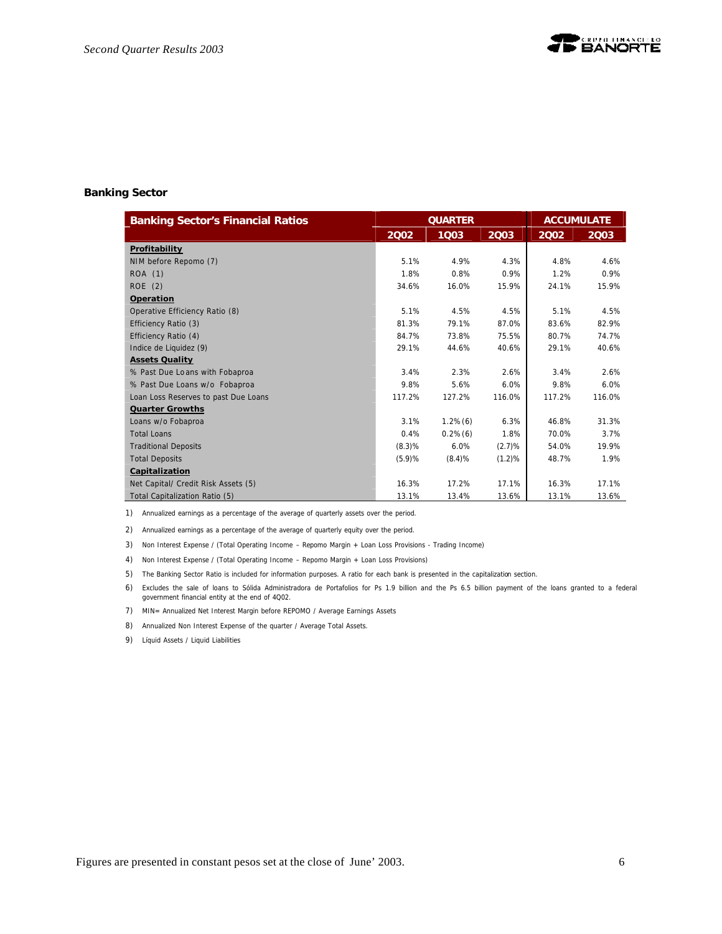

#### **Banking Sector**

| <b>Banking Sector's Financial Ratios</b> |        | <b>QUARTER</b> |        | <b>ACCUMULATE</b> |        |
|------------------------------------------|--------|----------------|--------|-------------------|--------|
|                                          | 2002   | 1003           | 2003   | 2002              | 2003   |
| Profitability                            |        |                |        |                   |        |
| NIM before Repomo (7)                    | 5.1%   | 4.9%           | 4.3%   | 4.8%              | 4.6%   |
| ROA (1)                                  | 1.8%   | 0.8%           | 0.9%   | 1.2%              | 0.9%   |
| ROE(2)                                   | 34.6%  | 16.0%          | 15.9%  | 24.1%             | 15.9%  |
| Operation                                |        |                |        |                   |        |
| Operative Efficiency Ratio (8)           | 5.1%   | 4.5%           | 4.5%   | 5.1%              | 4.5%   |
| Efficiency Ratio (3)                     | 81.3%  | 79.1%          | 87.0%  | 83.6%             | 82.9%  |
| Efficiency Ratio (4)                     | 84.7%  | 73.8%          | 75.5%  | 80.7%             | 74.7%  |
| Indice de Liquidez (9)                   | 29.1%  | 44.6%          | 40.6%  | 29.1%             | 40.6%  |
| <b>Assets Quality</b>                    |        |                |        |                   |        |
| % Past Due Loans with Fobaproa           | 3.4%   | 2.3%           | 2.6%   | 3.4%              | 2.6%   |
| % Past Due Loans w/o Fobaproa            | 9.8%   | 5.6%           | 6.0%   | 9.8%              | 6.0%   |
| Loan Loss Reserves to past Due Loans     | 117.2% | 127.2%         | 116.0% | 117.2%            | 116.0% |
| <b>Quarter Growths</b>                   |        |                |        |                   |        |
| Loans w/o Fobaproa                       | 3.1%   | $1.2\%(6)$     | 6.3%   | 46.8%             | 31.3%  |
| <b>Total Loans</b>                       | 0.4%   | $0.2\%$ (6)    | 1.8%   | 70.0%             | 3.7%   |
| <b>Traditional Deposits</b>              | (8.3)% | 6.0%           | (2.7)% | 54.0%             | 19.9%  |
| <b>Total Deposits</b>                    | (5.9)% | (8.4)%         | (1.2)% | 48.7%             | 1.9%   |
| Capitalization                           |        |                |        |                   |        |
| Net Capital/ Credit Risk Assets (5)      | 16.3%  | 17.2%          | 17.1%  | 16.3%             | 17.1%  |
| Total Capitalization Ratio (5)           | 13.1%  | 13.4%          | 13.6%  | 13.1%             | 13.6%  |

1) Annualized earnings as a percentage of the average of quarterly assets over the period.

2) Annualized earnings as a percentage of the average of quarterly equity over the period.

3) Non Interest Expense / (Total Operating Income – Repomo Margin + Loan Loss Provisions - Trading Income)

4) Non Interest Expense / (Total Operating Income – Repomo Margin + Loan Loss Provisions)

5) The Banking Sector Ratio is included for information purposes. A ratio for each bank is presented in the capitalization section.

6) Excludes the sale of loans to Sólida Administradora de Portafolios for Ps 1.9 billion and the Ps 6.5 billion payment of the loans granted to a federal government financial entity at the end of 4Q02.

7) MIN= Annualized Net Interest Margin before REPOMO / Average Earnings Assets

8) Annualized Non Interest Expense of the quarter / Average Total Assets.

9) Líquid Assets / Liquid Liabilities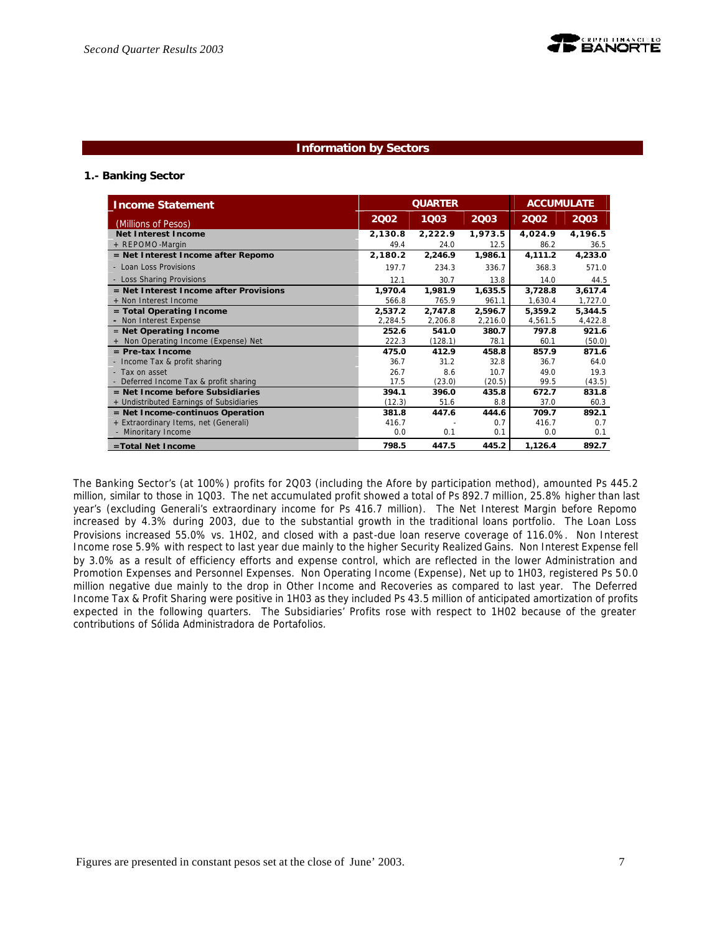

### **Information by Sectors**

### **1.- Banking Sector**

| <b>Income Statement</b>                  | <b>ACCUMULATE</b><br><b>QUARTER</b> |         |         |         |         |
|------------------------------------------|-------------------------------------|---------|---------|---------|---------|
| (Millions of Pesos)                      | 2002                                | 1003    | 2003    | 2002    | 2003    |
| <b>Net Interest Income</b>               | 2,130.8                             | 2,222.9 | 1,973.5 | 4,024.9 | 4,196.5 |
| + REPOMO-Margin                          | 49.4                                | 24.0    | 12.5    | 86.2    | 36.5    |
| = Net Interest Income after Repomo       | 2,180.2                             | 2,246.9 | 1,986.1 | 4,111.2 | 4,233.0 |
| - Loan Loss Provisions                   | 197.7                               | 234.3   | 336.7   | 368.3   | 571.0   |
| - Loss Sharing Provisions                | 12.1                                | 30.7    | 13.8    | 14.0    | 44.5    |
| = Net Interest Income after Provisions   | 1,970.4                             | 1,981.9 | 1,635.5 | 3,728.8 | 3,617.4 |
| + Non Interest Income                    | 566.8                               | 765.9   | 961.1   | 1,630.4 | 1,727.0 |
| $=$ Total Operating Income               | 2,537.2                             | 2,747.8 | 2,596.7 | 5,359.2 | 5,344.5 |
| - Non Interest Expense                   | 2,284.5                             | 2,206.8 | 2,216.0 | 4,561.5 | 4,422.8 |
| $=$ Net Operating Income                 | 252.6                               | 541.0   | 380.7   | 797.8   | 921.6   |
| + Non Operating Income (Expense) Net     | 222.3                               | (128.1) | 78.1    | 60.1    | (50.0)  |
| $=$ Pre-tax Income                       | 475.0                               | 412.9   | 458.8   | 857.9   | 871.6   |
| - Income Tax & profit sharing            | 36.7                                | 31.2    | 32.8    | 36.7    | 64.0    |
| - Tax on asset                           | 26.7                                | 8.6     | 10.7    | 49.0    | 19.3    |
| - Deferred Income Tax & profit sharing   | 17.5                                | (23.0)  | (20.5)  | 99.5    | (43.5)  |
| $=$ Net Income before Subsidiaries       | 394.1                               | 396.0   | 435.8   | 672.7   | 831.8   |
| + Undistributed Earnings of Subsidiaries | (12.3)                              | 51.6    | 8.8     | 37.0    | 60.3    |
| $=$ Net Income-continuos Operation       | 381.8                               | 447.6   | 444.6   | 709.7   | 892.1   |
| + Extraordinary Items, net (Generali)    | 416.7                               |         | 0.7     | 416.7   | 0.7     |
| - Minoritary Income                      | 0.0                                 | 0.1     | 0.1     | 0.0     | 0.1     |
| =Total Net Income                        | 798.5                               | 447.5   | 445.2   | 1,126.4 | 892.7   |

The Banking Sector's (at 100%) profits for 2Q03 (including the Afore by participation method), amounted Ps 445.2 million, similar to those in 1Q03. The net accumulated profit showed a total of Ps 892.7 million, 25.8% higher than last year's (excluding Generali's extraordinary income for Ps 416.7 million). The Net Interest Margin before Repomo increased by 4.3% during 2003, due to the substantial growth in the traditional loans portfolio. The Loan Loss Provisions increased 55.0% vs. 1H02, and closed with a past-due loan reserve coverage of 116.0%. Non Interest Income rose 5.9% with respect to last year due mainly to the higher Security Realized Gains. Non Interest Expense fell by 3.0% as a result of efficiency efforts and expense control, which are reflected in the lower Administration and Promotion Expenses and Personnel Expenses. Non Operating Income (Expense), Net up to 1H03, registered Ps 50.0 million negative due mainly to the drop in Other Income and Recoveries as compared to last year. The Deferred Income Tax & Profit Sharing were positive in 1H03 as they included Ps 43.5 million of anticipated amortization of profits expected in the following quarters. The Subsidiaries' Profits rose with respect to 1H02 because of the greater contributions of Sólida Administradora de Portafolios.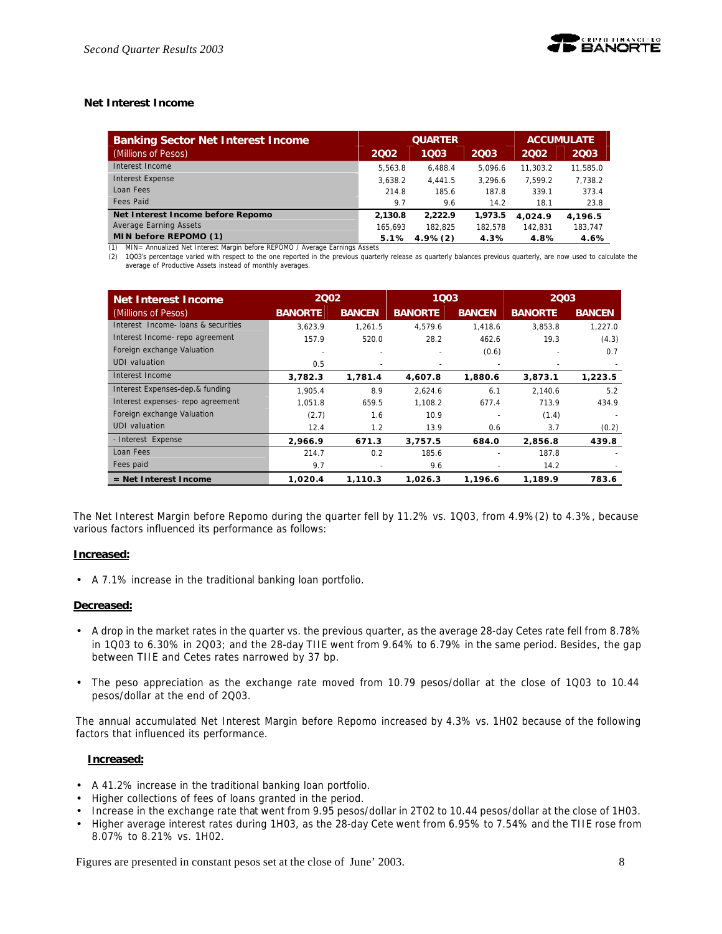# **Net Interest Income**

| <b>Banking Sector Net Interest Income</b> |         | <b>QUARTER</b> | <b>ACCUMULATE</b> |          |          |
|-------------------------------------------|---------|----------------|-------------------|----------|----------|
| (Millions of Pesos)                       | 2002    | 1003           | 2003              | 2002     | 2003     |
| Interest Income                           | 5.563.8 | 6.488.4        | 5.096.6           | 11.303.2 | 11,585.0 |
| Interest Expense                          | 3.638.2 | 4.441.5        | 3.296.6           | 7.599.2  | 7,738.2  |
| Loan Fees                                 | 214.8   | 185.6          | 187.8             | 339.1    | 373.4    |
| Fees Paid                                 | 9.7     | 9.6            | 14.2              | 18.1     | 23.8     |
| Net Interest Income before Repomo         | 2.130.8 | 2.222.9        | 1,973.5           | 4.024.9  | 4,196.5  |
| Average Earning Assets                    | 165.693 | 182.825        | 182.578           | 142.831  | 183,747  |
| MIN before REPOMO (1)                     | 5.1%    | $4.9\%(2)$     | 4.3%              | 4.8%     | 4.6%     |

(1) MIN= Annualized Net Interest Margin before REPOMO / Average Earnings Assets (2) 1Q03's percentage varied with respect to the one reported in the previous quarterly release as quarterly balances previous quarterly, are now used to calculate the average of Productive Assets instead of monthly averages.

| Net Interest Income                 | 2002           |               | 1003           |               | 2003           |               |
|-------------------------------------|----------------|---------------|----------------|---------------|----------------|---------------|
| (Millions of Pesos)                 | <b>BANORTE</b> | <b>BANCEN</b> | <b>BANORTE</b> | <b>BANCEN</b> | <b>BANORTE</b> | <b>BANCEN</b> |
| Interest Income- loans & securities | 3.623.9        | 1.261.5       | 4,579.6        | 1,418.6       | 3.853.8        | 1,227.0       |
| Interest Income-repo agreement      | 157.9          | 520.0         | 28.2           | 462.6         | 19.3           | (4.3)         |
| Foreign exchange Valuation          |                |               |                | (0.6)         |                | 0.7           |
| <b>UDI</b> valuation                | 0.5            |               |                |               |                |               |
| Interest Income                     | 3,782.3        | 1,781.4       | 4,607.8        | 1,880.6       | 3,873.1        | 1,223.5       |
| Interest Expenses-dep.& funding     | 1.905.4        | 8.9           | 2.624.6        | 6.1           | 2.140.6        | 5.2           |
| Interest expenses- repo agreement   | 1.051.8        | 659.5         | 1.108.2        | 677.4         | 713.9          | 434.9         |
| Foreign exchange Valuation          | (2.7)          | 1.6           | 10.9           |               | (1.4)          |               |
| UDI valuation                       | 12.4           | 1.2           | 13.9           | 0.6           | 3.7            | (0.2)         |
| - Interest Expense                  | 2.966.9        | 671.3         | 3,757.5        | 684.0         | 2,856.8        | 439.8         |
| Loan Fees                           | 214.7          | 0.2           | 185.6          |               | 187.8          |               |
| Fees paid                           | 9.7            |               | 9.6            |               | 14.2           |               |
| $=$ Net Interest Income             | 1,020.4        | 1,110.3       | 1,026.3        | 1,196.6       | 1,189.9        | 783.6         |

The Net Interest Margin before Repomo during the quarter fell by 11.2% vs. 1Q03, from 4.9%(2) to 4.3%, because various factors influenced its performance as follows:

### **Increased:**

• A 7.1% increase in the traditional banking loan portfolio.

### **Decreased:**

- A drop in the market rates in the quarter vs. the previous quarter, as the average 28-day Cetes rate fell from 8.78% in 1Q03 to 6.30% in 2Q03; and the 28-day TIIE went from 9.64% to 6.79% in the same period. Besides, the gap between TIIE and Cetes rates narrowed by 37 bp.
- The peso appreciation as the exchange rate moved from 10.79 pesos/dollar at the close of 1Q03 to 10.44 pesos/dollar at the end of 2Q03.

The annual accumulated Net Interest Margin before Repomo increased by 4.3% vs. 1H02 because of the following factors that influenced its performance.

### **Increased:**

- A 41.2% increase in the traditional banking loan portfolio.
- Higher collections of fees of loans granted in the period.
- Increase in the exchange rate that went from 9.95 pesos/dollar in 2T02 to 10.44 pesos/dollar at the close of 1H03.
- Higher average interest rates during 1H03, as the 28-day Cete went from 6.95% to 7.54% and the TIIE rose from 8.07% to 8.21% vs. 1H02.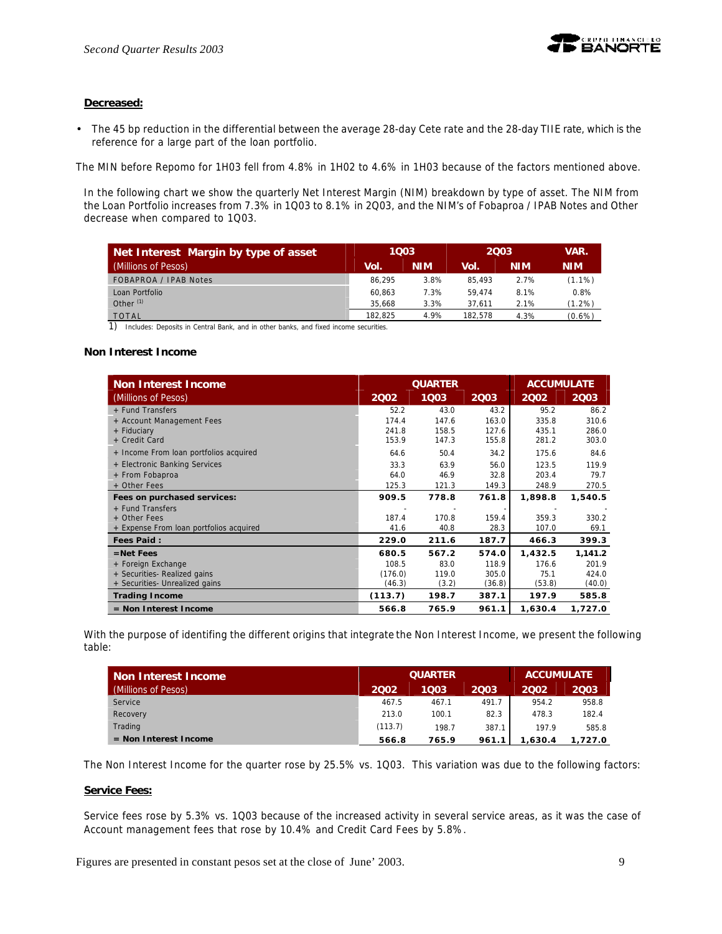

# **Decreased:**

• The 45 bp reduction in the differential between the average 28-day Cete rate and the 28-day TIIE rate, which is the reference for a large part of the loan portfolio.

The MIN before Repomo for 1H03 fell from 4.8% in 1H02 to 4.6% in 1H03 because of the factors mentioned above.

In the following chart we show the quarterly Net Interest Margin (NIM) breakdown by type of asset. The NIM from the Loan Portfolio increases from 7.3% in 1Q03 to 8.1% in 2Q03, and the NIM's of Fobaproa / IPAB Notes and Other decrease when compared to 1Q03.

|         |            |         | VAR.       |            |
|---------|------------|---------|------------|------------|
| Vol.    | <b>NIM</b> | Vol.    | <b>NIM</b> | <b>NIM</b> |
| 86.295  | 3.8%       | 85.493  | 2.7%       | $(1.1\%)$  |
| 60.863  | 7.3%       | 59.474  | 8.1%       | 0.8%       |
| 35.668  | 3.3%       | 37.611  | 2.1%       | $(1.2\%)$  |
| 182.825 | 4.9%       | 182.578 | 4.3%       | $(0.6\%)$  |
|         |            | 1003    |            | 2003       |

1) Includes: Deposits in Central Bank, and in other banks, and fixed income securities.

### **Non Interest Income**

| <b>Non Interest Income</b>              |         | <b>QUARTER</b> | <b>ACCUMULATE</b> |         |         |
|-----------------------------------------|---------|----------------|-------------------|---------|---------|
| (Millions of Pesos)                     | 2002    | 1003           | 2003              | 2002    | 2003    |
| + Fund Transfers                        | 52.2    | 43.0           | 43.2              | 95.2    | 86.2    |
| + Account Management Fees               | 174.4   | 147.6          | 163.0             | 335.8   | 310.6   |
| + Fiduciary                             | 241.8   | 158.5          | 127.6             | 435.1   | 286.0   |
| + Credit Card                           | 153.9   | 147.3          | 155.8             | 281.2   | 303.0   |
| + Income From loan portfolios acquired  | 64.6    | 50.4           | 34.2              | 175.6   | 84.6    |
| + Electronic Banking Services           | 33.3    | 63.9           | 56.0              | 123.5   | 119.9   |
| + From Fobaproa                         | 64.0    | 46.9           | 32.8              | 203.4   | 79.7    |
| + Other Fees                            | 125.3   | 121.3          | 149.3             | 248.9   | 270.5   |
| Fees on purchased services:             | 909.5   | 778.8          | 761.8             | 1,898.8 | 1,540.5 |
| + Fund Transfers                        |         |                |                   |         |         |
| + Other Fees                            | 187.4   | 170.8          | 159.4             | 359.3   | 330.2   |
| + Expense From loan portfolios acquired | 41.6    | 40.8           | 28.3              | 107.0   | 69.1    |
| <b>Fees Paid:</b>                       | 229.0   | 211.6          | 187.7             | 466.3   | 399.3   |
| $=$ Net Fees                            | 680.5   | 567.2          | 574.0             | 1,432.5 | 1,141.2 |
| + Foreign Exchange                      | 108.5   | 83.0           | 118.9             | 176.6   | 201.9   |
| + Securities- Realized gains            | (176.0) | 119.0          | 305.0             | 75.1    | 424.0   |
| + Securities- Unrealized gains          | (46.3)  | (3.2)          | (36.8)            | (53.8)  | (40.0)  |
| <b>Trading Income</b>                   | (113.7) | 198.7          | 387.1             | 197.9   | 585.8   |
| $=$ Non Interest Income                 | 566.8   | 765.9          | 961.1             | 1,630.4 | 1,727.0 |

With the purpose of identifing the different origins that integrate the Non Interest Income, we present the following table:

| Non Interest Income     |         | <b>QUARTER</b> | <b>ACCUMULATE</b> |         |         |
|-------------------------|---------|----------------|-------------------|---------|---------|
| (Millions of Pesos)     | 2002    | 1003           | 2003              | 2002    | 2003    |
| Service                 | 467.5   | 467.1          | 491.7             | 954.2   | 958.8   |
| Recovery                | 213.0   | 100.1          | 82.3              | 478.3   | 182.4   |
| Trading                 | (113.7) | 198.7          | 387.1             | 197.9   | 585.8   |
| $=$ Non Interest Income | 566.8   | 765.9          | 961.1             | 1,630.4 | 1.727.0 |

The Non Interest Income for the quarter rose by 25.5% vs. 1Q03. This variation was due to the following factors:

### **Service Fees:**

Service fees rose by 5.3% vs. 1Q03 because of the increased activity in several service areas, as it was the case of Account management fees that rose by 10.4% and Credit Card Fees by 5.8%.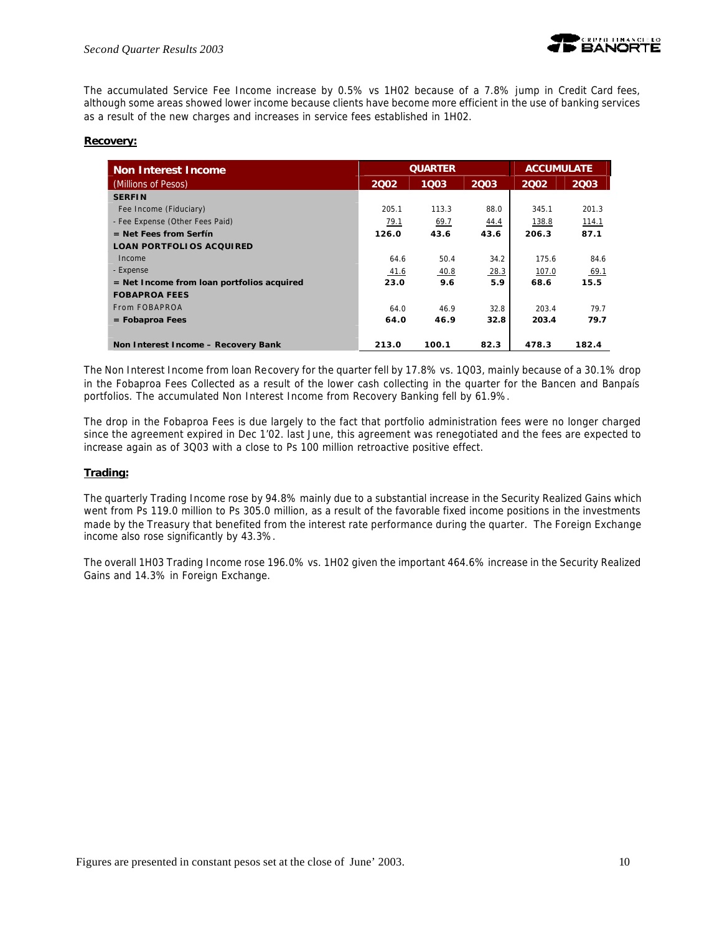The accumulated Service Fee Income increase by 0.5% vs 1H02 because of a 7.8% jump in Credit Card fees, although some areas showed lower income because clients have become more efficient in the use of banking services as a result of the new charges and increases in service fees established in 1H02.

### **Recovery:**

| <b>Non Interest Income</b>                   |       | <b>QUARTER</b> |      | <b>ACCUMULATE</b> |       |  |
|----------------------------------------------|-------|----------------|------|-------------------|-------|--|
| (Millions of Pesos)                          | 2002  | 1003           | 2003 | 2002              | 2003  |  |
| <b>SERFIN</b>                                |       |                |      |                   |       |  |
| Fee Income (Fiduciary)                       | 205.1 | 113.3          | 88.0 | 345.1             | 201.3 |  |
| - Fee Expense (Other Fees Paid)              | 79.1  | 69.7           | 44.4 | 138.8             | 114.1 |  |
| $=$ Net Fees from Serfín                     | 126.0 | 43.6           | 43.6 | 206.3             | 87.1  |  |
| <b>LOAN PORTFOLIOS ACQUIRED</b>              |       |                |      |                   |       |  |
| Income                                       | 64.6  | 50.4           | 34.2 | 175.6             | 84.6  |  |
| - Expense                                    | 41.6  | 40.8           | 28.3 | 107.0             | 69.1  |  |
| $=$ Net Income from loan portfolios acquired | 23.0  | 9.6            | 5.9  | 68.6              | 15.5  |  |
| <b>FOBAPROA FEES</b>                         |       |                |      |                   |       |  |
| From FOBAPROA                                | 64.0  | 46.9           | 32.8 | 203.4             | 79.7  |  |
| $=$ Fobaproa Fees                            | 64.0  | 46.9           | 32.8 | 203.4             | 79.7  |  |
|                                              |       |                |      |                   |       |  |
| Non Interest Income - Recovery Bank          | 213.0 | 100.1          | 82.3 | 478.3             | 182.4 |  |

The Non Interest Income from loan Recovery for the quarter fell by 17.8% vs. 1Q03, mainly because of a 30.1% drop in the Fobaproa Fees Collected as a result of the lower cash collecting in the quarter for the Bancen and Banpaís portfolios. The accumulated Non Interest Income from Recovery Banking fell by 61.9%.

The drop in the Fobaproa Fees is due largely to the fact that portfolio administration fees were no longer charged since the agreement expired in Dec 1'02. last June, this agreement was renegotiated and the fees are expected to increase again as of 3Q03 with a close to Ps 100 million retroactive positive effect.

### **Trading:**

The quarterly Trading Income rose by 94.8% mainly due to a substantial increase in the Security Realized Gains which went from Ps 119.0 million to Ps 305.0 million, as a result of the favorable fixed income positions in the investments made by the Treasury that benefited from the interest rate performance during the quarter. The Foreign Exchange income also rose significantly by 43.3%.

The overall 1H03 Trading Income rose 196.0% vs. 1H02 given the important 464.6% increase in the Security Realized Gains and 14.3% in Foreign Exchange.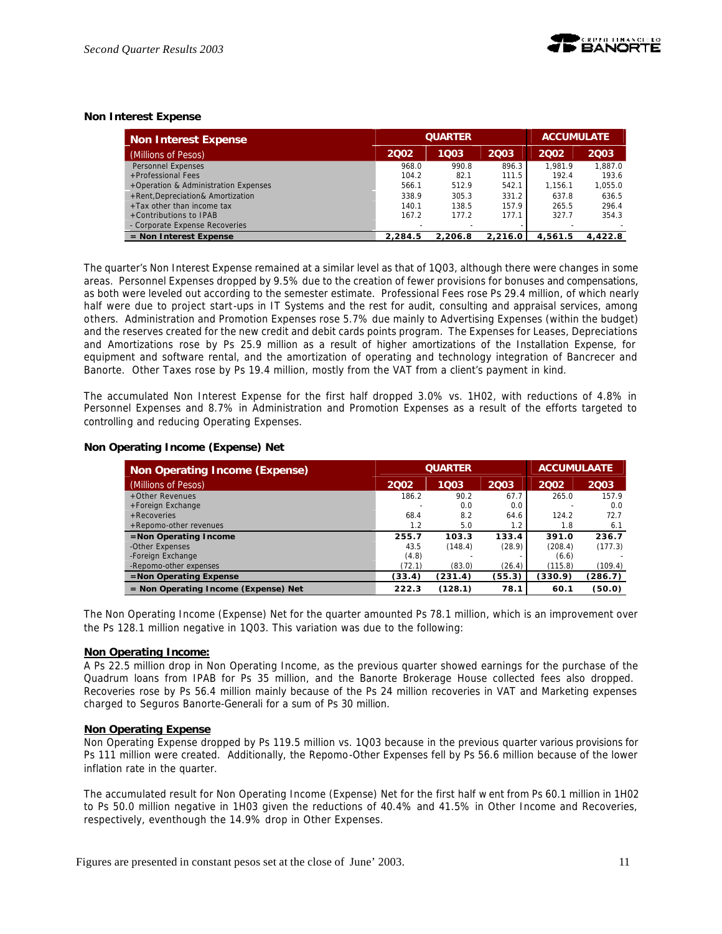

### **Non Interest Expense**

| <b>Non Interest Expense</b>          |         | <b>QUARTER</b> |         |         | <b>ACCUMULATE</b> |
|--------------------------------------|---------|----------------|---------|---------|-------------------|
| (Millions of Pesos)                  | 2002    | 1003           | 2003    | 2002    | 2003              |
| <b>Personnel Expenses</b>            | 968.0   | 990.8          | 896.3   | 1.981.9 | 1.887.0           |
| +Professional Fees                   | 104.2   | 82.1           | 111.5   | 192.4   | 193.6             |
| +Operation & Administration Expenses | 566.1   | 512.9          | 542.1   | 1.156.1 | 1,055.0           |
| +Rent, Depreciation& Amortization    | 338.9   | 305.3          | 331.2   | 637.8   | 636.5             |
| $+$ Tax other than income tax        | 140.1   | 138.5          | 157.9   | 265.5   | 296.4             |
| +Contributions to IPAB               | 167.2   | 177.2          | 177.1   | 327.7   | 354.3             |
| - Corporate Expense Recoveries       |         |                |         |         |                   |
| $=$ Non Interest Expense             | 2.284.5 | 2.206.8        | 2.216.0 | 4.561.5 | 4.422.8           |

The quarter's Non Interest Expense remained at a similar level as that of 1Q03, although there were changes in some areas. Personnel Expenses dropped by 9.5% due to the creation of fewer provisions for bonuses and compensations, as both were leveled out according to the semester estimate. Professional Fees rose Ps 29.4 million, of which nearly half were due to project start-ups in IT Systems and the rest for audit, consulting and appraisal services, among others. Administration and Promotion Expenses rose 5.7% due mainly to Advertising Expenses (within the budget) and the reserves created for the new credit and debit cards points program. The Expenses for Leases, Depreciations and Amortizations rose by Ps 25.9 million as a result of higher amortizations of the Installation Expense, for equipment and software rental, and the amortization of operating and technology integration of Bancrecer and Banorte. Other Taxes rose by Ps 19.4 million, mostly from the VAT from a client's payment in kind.

The accumulated Non Interest Expense for the first half dropped 3.0% vs. 1H02, with reductions of 4.8% in Personnel Expenses and 8.7% in Administration and Promotion Expenses as a result of the efforts targeted to controlling and reducing Operating Expenses.

### **Non Operating Income (Expense) Net**

| <b>Non Operating Income (Expense)</b>  |        | <b>QUARTER</b> | <b>ACCUMULAATE</b> |         |         |
|----------------------------------------|--------|----------------|--------------------|---------|---------|
| (Millions of Pesos)                    | 2002   | 1003           | 2003               | 2002    | 2003    |
| +Other Revenues                        | 186.2  | 90.2           | 67.7               | 265.0   | 157.9   |
| +Foreign Exchange                      |        | 0.0            | 0.0                |         | 0.0     |
| $+$ Recoveries                         | 68.4   | 8.2            | 64.6               | 124.2   | 72.7    |
| +Repomo-other revenues                 | 1.2    | 5.0            | 1.2                | 1.8     | 6.1     |
| $=$ Non Operating Income               | 255.7  | 103.3          | 133.4              | 391.0   | 236.7   |
| -Other Expenses                        | 43.5   | (148.4)        | (28.9)             | (208.4) | (177.3) |
| -Foreign Exchange                      | (4.8)  |                |                    | (6.6)   |         |
| -Repomo-other expenses                 | (72.1) | (83.0)         | (26.4)             | (115.8) | (109.4) |
| $=$ Non Operating Expense              | (33.4) | (231.4)        | (55.3)             | (330.9) | (286.7) |
| $=$ Non Operating Income (Expense) Net | 222.3  | (128.1)        | 78.1               | 60.1    | (50.0)  |

The Non Operating Income (Expense) Net for the quarter amounted Ps 78.1 million, which is an improvement over the Ps 128.1 million negative in 1Q03. This variation was due to the following:

#### **Non Operating Income:**

A Ps 22.5 million drop in Non Operating Income, as the previous quarter showed earnings for the purchase of the Quadrum loans from IPAB for Ps 35 million, and the Banorte Brokerage House collected fees also dropped. Recoveries rose by Ps 56.4 million mainly because of the Ps 24 million recoveries in VAT and Marketing expenses charged to Seguros Banorte-Generali for a sum of Ps 30 million.

#### **Non Operating Expense**

Non Operating Expense dropped by Ps 119.5 million vs. 1Q03 because in the previous quarter various provisions for Ps 111 million were created. Additionally, the Repomo-Other Expenses fell by Ps 56.6 million because of the lower inflation rate in the quarter.

The accumulated result for Non Operating Income (Expense) Net for the first half w ent from Ps 60.1 million in 1H02 to Ps 50.0 million negative in 1H03 given the reductions of 40.4% and 41.5% in Other Income and Recoveries, respectively, eventhough the 14.9% drop in Other Expenses.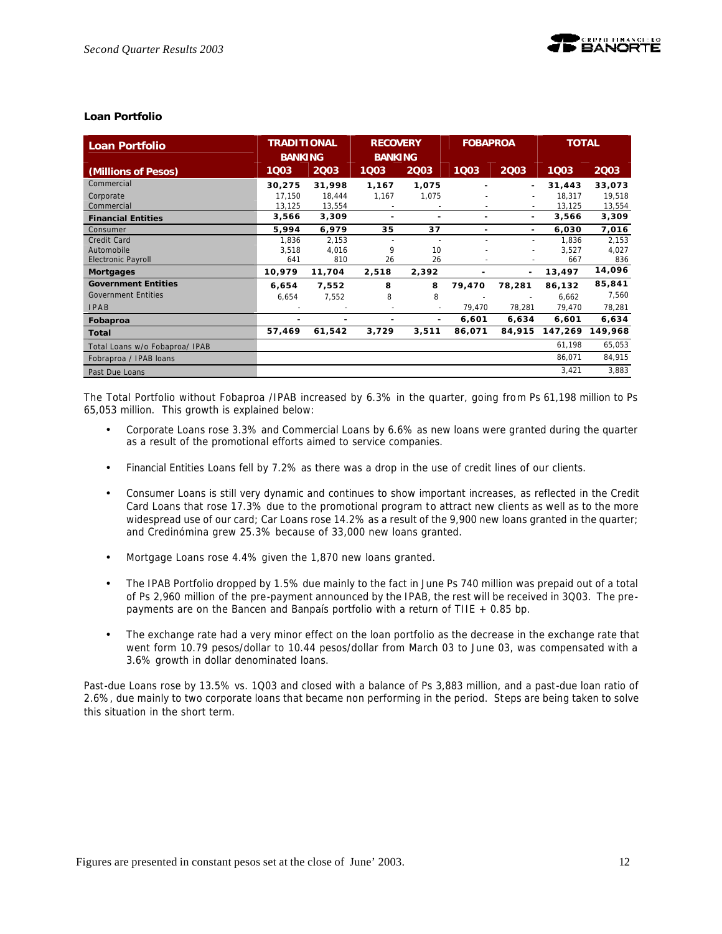### **Loan Portfolio**

| <b>Loan Portfolio</b>          | <b>TRADITIONAL</b><br><b>BANKING</b> |        | <b>RECOVERY</b><br><b>BANKING</b> |       | <b>FOBAPROA</b>          |                | <b>TOTAL</b> |         |
|--------------------------------|--------------------------------------|--------|-----------------------------------|-------|--------------------------|----------------|--------------|---------|
| (Millions of Pesos)            | 1003                                 | 2003   | 1003                              | 2003  | 1003                     | 2003           | 1003         | 2003    |
| Commercial                     | 30,275                               | 31,998 | 1,167                             | 1,075 |                          | ۰.             | 31,443       | 33,073  |
| Corporate                      | 17,150                               | 18,444 | 1,167                             | 1,075 |                          | $\blacksquare$ | 18,317       | 19,518  |
| Commercial                     | 13,125                               | 13,554 |                                   |       | $\overline{\phantom{0}}$ | $\sim$         | 13,125       | 13,554  |
| <b>Financial Entities</b>      | 3,566                                | 3,309  | ٠                                 | ٠     | ۰                        | ٠              | 3,566        | 3,309   |
| Consumer                       | 5,994                                | 6,979  | 35                                | 37    |                          | ٠              | 6,030        | 7,016   |
| Credit Card                    | 1,836                                | 2,153  |                                   |       |                          |                | 1.836        | 2,153   |
| Automobile                     | 3,518                                | 4,016  | 9                                 | 10    |                          |                | 3,527        | 4,027   |
| <b>Electronic Payroll</b>      | 641                                  | 810    | 26                                | 26    |                          |                | 667          | 836     |
| <b>Mortgages</b>               | 10,979                               | 11,704 | 2,518                             | 2,392 |                          |                | 13,497       | 14,096  |
| <b>Government Entities</b>     | 6,654                                | 7,552  | 8                                 | 8     | 79,470                   | 78,281         | 86,132       | 85,841  |
| <b>Government Entities</b>     | 6,654                                | 7,552  | 8                                 | 8     |                          |                | 6,662        | 7,560   |
| <b>IPAB</b>                    |                                      |        | $\overline{\phantom{a}}$          |       | 79,470                   | 78,281         | 79,470       | 78,281  |
| Fobaproa                       | ٠                                    |        | ٠                                 | ٠     | 6,601                    | 6,634          | 6,601        | 6,634   |
| Total                          | 57,469                               | 61,542 | 3,729                             | 3,511 | 86,071                   | 84,915         | 147,269      | 149,968 |
| Total Loans w/o Fobaproa/ IPAB |                                      |        |                                   |       |                          |                | 61,198       | 65,053  |
| Fobraproa / IPAB loans         |                                      |        |                                   |       |                          |                | 86,071       | 84,915  |
| Past Due Loans                 |                                      |        |                                   |       |                          |                | 3,421        | 3,883   |

The Total Portfolio without Fobaproa /IPAB increased by 6.3% in the quarter, going from Ps 61,198 million to Ps 65,053 million. This growth is explained below:

- Corporate Loans rose 3.3% and Commercial Loans by 6.6% as new loans were granted during the quarter as a result of the promotional efforts aimed to service companies.
- Financial Entities Loans fell by 7.2% as there was a drop in the use of credit lines of our clients.
- Consumer Loans is still very dynamic and continues to show important increases, as reflected in the Credit Card Loans that rose 17.3% due to the promotional program to attract new clients as well as to the more widespread use of our card; Car Loans rose 14.2% as a result of the 9,900 new loans granted in the quarter; and Credinómina grew 25.3% because of 33,000 new loans granted.
- Mortgage Loans rose 4.4% given the 1,870 new loans granted.
- The IPAB Portfolio dropped by 1.5% due mainly to the fact in June Ps 740 million was prepaid out of a total of Ps 2,960 million of the pre-payment announced by the IPAB, the rest will be received in 3Q03. The prepayments are on the Bancen and Banpaís portfolio with a return of TIIE + 0.85 bp.
- The exchange rate had a very minor effect on the loan portfolio as the decrease in the exchange rate that went form 10.79 pesos/dollar to 10.44 pesos/dollar from March 03 to June 03, was compensated with a 3.6% growth in dollar denominated loans.

Past-due Loans rose by 13.5% vs. 1Q03 and closed with a balance of Ps 3,883 million, and a past-due loan ratio of 2.6%, due mainly to two corporate loans that became non performing in the period. Steps are being taken to solve this situation in the short term.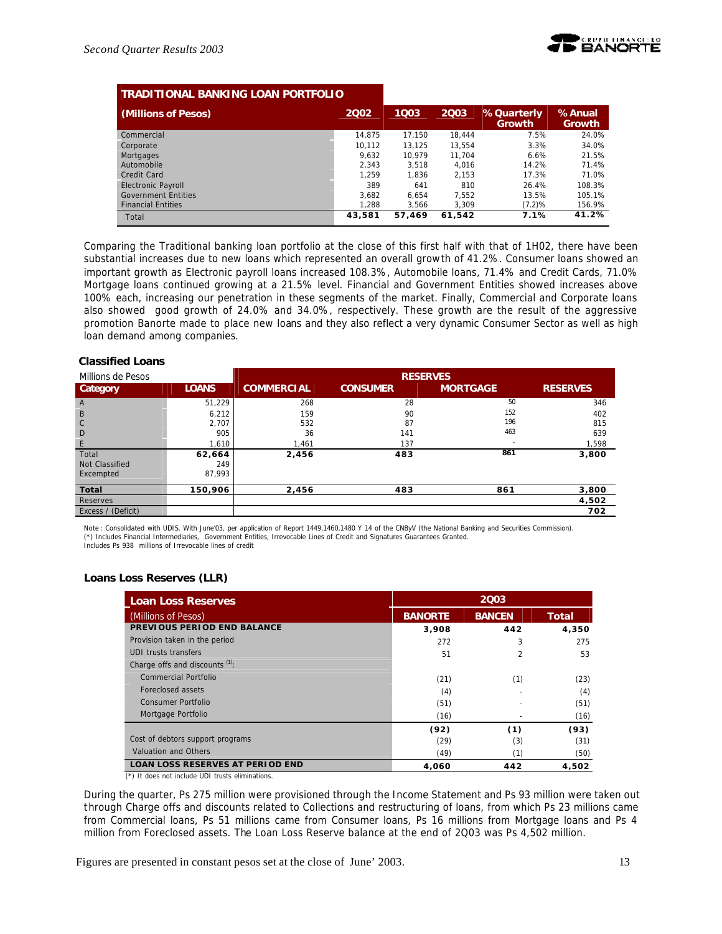| <b>TRADITIONAL BANKING LOAN PORTFOLIO</b> |        |        |        |                             |                         |
|-------------------------------------------|--------|--------|--------|-----------------------------|-------------------------|
| (Millions of Pesos)                       | 2002   | 1Q03   | 2003   | %Quarterly<br><b>Growth</b> | %Anual<br><b>Growth</b> |
| Commercial                                | 14.875 | 17.150 | 18.444 | 7.5%                        | 24.0%                   |
| Corporate                                 | 10.112 | 13.125 | 13.554 | 3.3%                        | 34.0%                   |
| Mortgages                                 | 9.632  | 10.979 | 11.704 | 6.6%                        | 21.5%                   |
| Automobile                                | 2.343  | 3.518  | 4.016  | 14.2%                       | 71.4%                   |
| Credit Card                               | 1.259  | 1.836  | 2.153  | 17.3%                       | 71.0%                   |
| <b>Electronic Payroll</b>                 | 389    | 641    | 810    | 26.4%                       | 108.3%                  |
| <b>Government Entities</b>                | 3.682  | 6.654  | 7.552  | 13.5%                       | 105.1%                  |
| <b>Financial Entities</b>                 | 1.288  | 3.566  | 3,309  | (7.2)%                      | 156.9%                  |
| Total                                     | 43,581 | 57.469 | 61.542 | 7.1%                        | 41.2%                   |

Comparing the Traditional banking loan portfolio at the close of this first half with that of 1H02, there have been substantial increases due to new loans which represented an overall growth of 41.2%. Consumer loans showed an important growth as Electronic payroll loans increased 108.3%, Automobile loans, 71.4% and Credit Cards, 71.0% Mortgage loans continued growing at a 21.5% level. Financial and Government Entities showed increases above 100% each, increasing our penetration in these segments of the market. Finally, Commercial and Corporate loans also showed good growth of 24.0% and 34.0%, respectively. These growth are the result of the aggressive promotion Banorte made to place new loans and they also reflect a very dynamic Consumer Sector as well as high loan demand among companies.

### **Classified Loans**

| Millions de Pesos  |              | <b>RESERVES</b>   |                 |                 |                 |
|--------------------|--------------|-------------------|-----------------|-----------------|-----------------|
| Category           | <b>LOANS</b> | <b>COMMERCIAL</b> | <b>CONSUMER</b> | <b>MORTGAGE</b> | <b>RESERVES</b> |
| $\mathsf{A}$       | 51,229       | 268               | 28              | 50              | 346             |
| B                  | 6,212        | 159               | 90              | 152             | 402             |
| $\mathbb C$        | 2,707        | 532               | 87              | 196             | 815             |
| D                  | 905          | 36                | 141             | 463             | 639             |
| E                  | 1.610        | 1,461             | 137             |                 | 1,598           |
| Total              | 62,664       | 2,456             | 483             | 861             | 3,800           |
| Not Classified     | 249          |                   |                 |                 |                 |
| Excempted          | 87.993       |                   |                 |                 |                 |
| Total              | 150,906      | 2,456             | 483             | 861             | 3,800           |
| Reserves           |              |                   |                 |                 | 4,502           |
| Excess / (Deficit) |              |                   |                 |                 | 702             |

Note : Consolidated with UDIS. With June'03, per application of Report 1449,1460,1480 Y 14 of the CNByV (the National Banking and Securities Commission). (\*) Includes Financial Intermediaries, Government Entities, Irrevocable Lines of Credit and Signatures Guarantees Granted. Includes Ps 938 millions of Irrevocable lines of credit

# **Loans Loss Reserves (LLR)**

| <b>Loan Loss Reserves</b>                        |                | 2003          |       |  |  |
|--------------------------------------------------|----------------|---------------|-------|--|--|
| (Millions of Pesos)                              | <b>BANORTE</b> | <b>BANCEN</b> | Total |  |  |
| PREVIOUS PERIOD END BALANCE                      | 3,908          | 442           | 4,350 |  |  |
| Provision taken in the period                    | 272            | 3             | 275   |  |  |
| UDI trusts transfers                             | 51             | 2             | 53    |  |  |
| Charge offs and discounts (1):                   |                |               |       |  |  |
| <b>Commercial Portfolio</b>                      | (21)           | (1)           | (23)  |  |  |
| Foreclosed assets                                | (4)            |               | (4)   |  |  |
| Consumer Portfolio                               | (51)           |               | (51)  |  |  |
| Mortgage Portfolio                               | (16)           |               | (16)  |  |  |
|                                                  | (92)           | (1)           | (93)  |  |  |
| Cost of debtors support programs                 | (29)           | (3)           | (31)  |  |  |
| Valuation and Others                             | (49)           | (1)           | (50)  |  |  |
| <b>LOAN LOSS RESERVES AT PERIOD END</b>          | 4.060          | 442           | 4,502 |  |  |
| (*) It does not include UDI trusts eliminations. |                |               |       |  |  |

During the quarter, Ps 275 million were provisioned through the Income Statement and Ps 93 million were taken out through Charge offs and discounts related to Collections and restructuring of loans, from which Ps 23 millions came from Commercial loans, Ps 51 millions came from Consumer loans, Ps 16 millions from Mortgage loans and Ps 4 million from Foreclosed assets. The Loan Loss Reserve balance at the end of 2Q03 was Ps 4,502 million.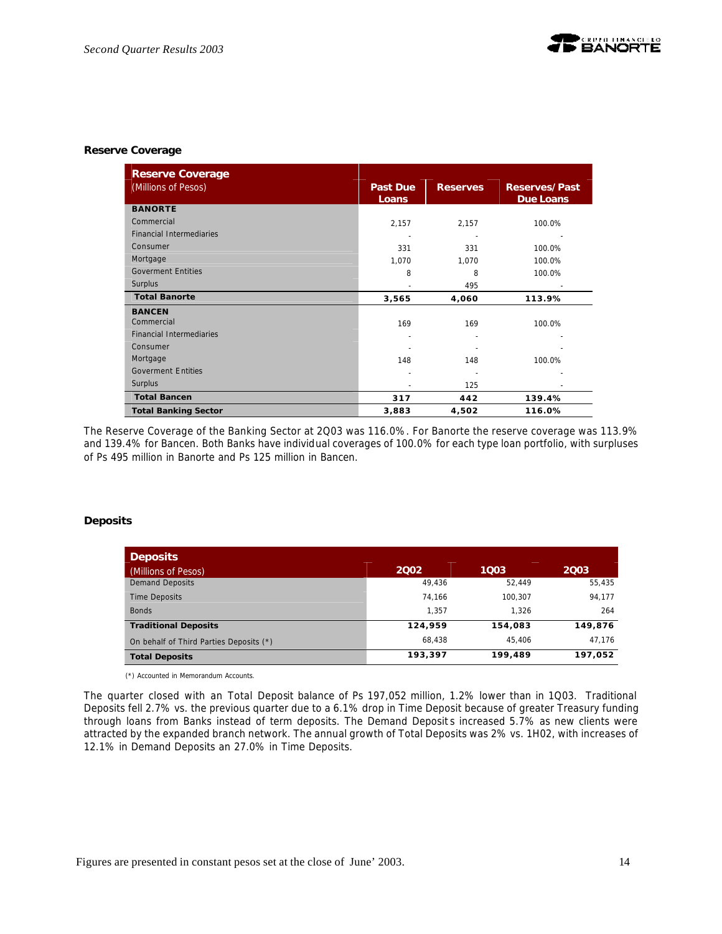### **Reserve Coverage**

| <b>Reserve Coverage</b>         |                          |                 |                                          |
|---------------------------------|--------------------------|-----------------|------------------------------------------|
| (Millions of Pesos)             | <b>Past Due</b><br>Loans | <b>Reserves</b> | <b>Reserves/Past</b><br><b>Due Loans</b> |
| <b>BANORTE</b>                  |                          |                 |                                          |
| Commercial                      | 2,157                    | 2,157           | 100.0%                                   |
| <b>Financial Intermediaries</b> |                          |                 |                                          |
| Consumer                        | 331                      | 331             | 100.0%                                   |
| Mortgage                        | 1,070                    | 1,070           | 100.0%                                   |
| <b>Goverment Entities</b>       | 8                        | 8               | 100.0%                                   |
| Surplus                         |                          | 495             |                                          |
| <b>Total Banorte</b>            | 3,565                    | 4,060           | 113.9%                                   |
| <b>BANCEN</b>                   |                          |                 |                                          |
| Commercial                      | 169                      | 169             | 100.0%                                   |
| <b>Financial Intermediaries</b> | ٠                        |                 |                                          |
| Consumer                        |                          |                 |                                          |
| Mortgage                        | 148                      | 148             | 100.0%                                   |
| <b>Goverment Entities</b>       |                          |                 |                                          |
| Surplus                         |                          | 125             |                                          |
| <b>Total Bancen</b>             | 317                      | 442             | 139.4%                                   |
| <b>Total Banking Sector</b>     | 3,883                    | 4,502           | 116.0%                                   |

The Reserve Coverage of the Banking Sector at 2Q03 was 116.0%. For Banorte the reserve coverage was 113.9% and 139.4% for Bancen. Both Banks have individual coverages of 100.0% for each type loan portfolio, with surpluses of Ps 495 million in Banorte and Ps 125 million in Bancen.

### **Deposits**

| <b>Deposits</b>                         |         |         |         |
|-----------------------------------------|---------|---------|---------|
| (Millions of Pesos)                     | 2002    | 1003    | 2003    |
| <b>Demand Deposits</b>                  | 49.436  | 52.449  | 55,435  |
| <b>Time Deposits</b>                    | 74.166  | 100.307 | 94,177  |
| <b>Bonds</b>                            | 1.357   | 1.326   | 264     |
| <b>Traditional Deposits</b>             | 124.959 | 154,083 | 149,876 |
| On behalf of Third Parties Deposits (*) | 68.438  | 45.406  | 47,176  |
| <b>Total Deposits</b>                   | 193,397 | 199,489 | 197,052 |

(\*) Accounted in Memorandum Accounts.

The quarter closed with an Total Deposit balance of Ps 197,052 million, 1.2% lower than in 1Q03. Traditional Deposits fell 2.7% vs. the previous quarter due to a 6.1% drop in Time Deposit because of greater Treasury funding through loans from Banks instead of term deposits. The Demand Deposit s increased 5.7% as new clients were attracted by the expanded branch network. The annual growth of Total Deposits was 2% vs. 1H02, with increases of 12.1% in Demand Deposits an 27.0% in Time Deposits.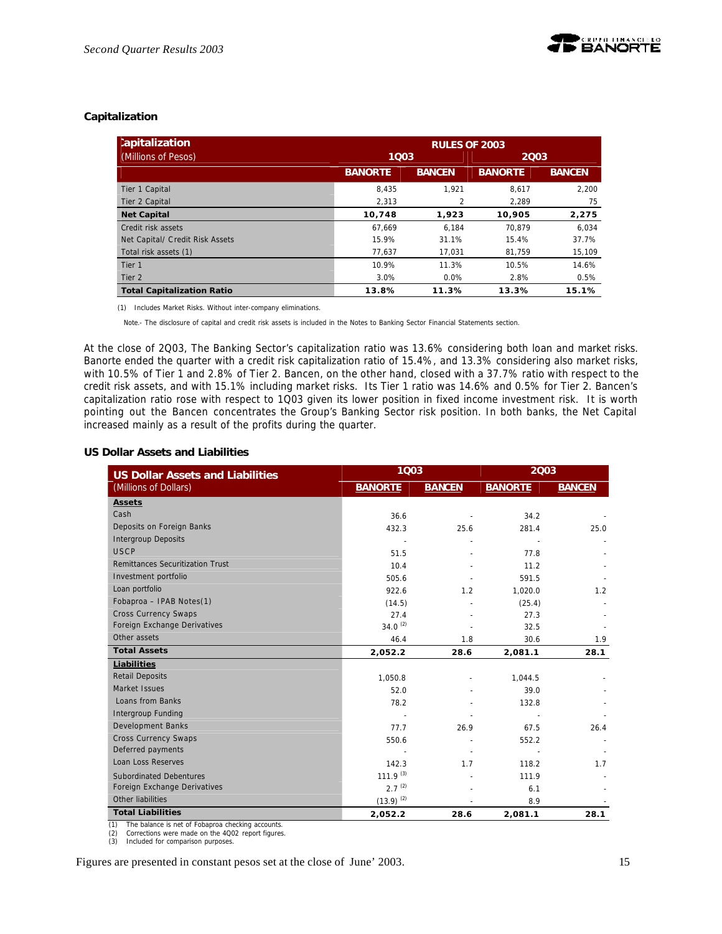

# **Capitalization**

| :apitalization                    | <b>RULES OF 2003</b> |                          |                |               |  |
|-----------------------------------|----------------------|--------------------------|----------------|---------------|--|
| (Millions of Pesos)               | 1003                 |                          | 2003           |               |  |
|                                   | <b>BANORTE</b>       | <b>BANCEN</b>            | <b>BANORTE</b> | <b>BANCEN</b> |  |
| Tier 1 Capital                    | 8.435                | 1.921                    | 8.617          | 2.200         |  |
| Tier 2 Capital                    | 2.313                | $\overline{\mathcal{L}}$ | 2.289          | 75            |  |
| <b>Net Capital</b>                | 10,748               | 1,923                    | 10,905         | 2,275         |  |
| Credit risk assets                | 67.669               | 6.184                    | 70.879         | 6.034         |  |
| Net Capital/ Credit Risk Assets   | 15.9%                | 31.1%                    | 15.4%          | 37.7%         |  |
| Total risk assets (1)             | 77,637               | 17.031                   | 81.759         | 15,109        |  |
| Tier <sub>1</sub>                 | 10.9%                | 11.3%                    | 10.5%          | 14.6%         |  |
| Tier 2                            | 3.0%                 | $0.0\%$                  | 2.8%           | 0.5%          |  |
| <b>Total Capitalization Ratio</b> | 13.8%                | 11.3%                    | 13.3%          | 15.1%         |  |

(1) Includes Market Risks. Without inter-company eliminations.

Note.- The disclosure of capital and credit risk assets is included in the Notes to Banking Sector Financial Statements section.

At the close of 2Q03, The Banking Sector's capitalization ratio was 13.6% considering both loan and market risks. Banorte ended the quarter with a credit risk capitalization ratio of 15.4%, and 13.3% considering also market risks, with 10.5% of Tier 1 and 2.8% of Tier 2. Bancen, on the other hand, closed with a 37.7% ratio with respect to the credit risk assets, and with 15.1% including market risks. Its Tier 1 ratio was 14.6% and 0.5% for Tier 2. Bancen's capitalization ratio rose with respect to 1Q03 given its lower position in fixed income investment risk. It is worth pointing out the Bancen concentrates the Group's Banking Sector risk position. In both banks, the Net Capital increased mainly as a result of the profits during the quarter.

### **US Dollar Assets and Liabilities**

| <b>US Dollar Assets and Liabilities</b> | 1003                 |               | 2003           |               |  |
|-----------------------------------------|----------------------|---------------|----------------|---------------|--|
| (Millions of Dollars)                   | <b>BANORTE</b>       | <b>BANCEN</b> | <b>BANORTE</b> | <b>BANCEN</b> |  |
| <b>Assets</b>                           |                      |               |                |               |  |
| Cash                                    | 36.6                 |               | 34.2           |               |  |
| Deposits on Foreign Banks               | 432.3                | 25.6          | 281.4          | 25.0          |  |
| <b>Intergroup Deposits</b>              |                      |               |                |               |  |
| USCP                                    | 51.5                 |               | 77.8           |               |  |
| <b>Remittances Securitization Trust</b> | 10.4                 |               | 11.2           |               |  |
| Investment portfolio                    | 505.6                |               | 591.5          |               |  |
| Loan portfolio                          | 922.6                | 1.2           | 1,020.0        | 1.2           |  |
| Fobaproa - IPAB Notes(1)                | (14.5)               |               | (25.4)         |               |  |
| <b>Cross Currency Swaps</b>             | 27.4                 |               | 27.3           |               |  |
| Foreign Exchange Derivatives            | $34.0^{(2)}$         |               | 32.5           |               |  |
| Other assets                            | 46.4                 | 1.8           | 30.6           | 1.9           |  |
| <b>Total Assets</b>                     | 2,052.2              | 28.6          | 2,081.1        | 28.1          |  |
| Liabilities                             |                      |               |                |               |  |
| <b>Retail Deposits</b>                  | 1,050.8              |               | 1,044.5        |               |  |
| Market Issues                           | 52.0                 |               | 39.0           |               |  |
| Loans from Banks                        | 78.2                 |               | 132.8          |               |  |
| Intergroup Funding                      |                      |               |                |               |  |
| <b>Development Banks</b>                | 77.7                 | 26.9          | 67.5           | 26.4          |  |
| <b>Cross Currency Swaps</b>             | 550.6                |               | 552.2          |               |  |
| Deferred payments                       |                      |               |                |               |  |
| Loan Loss Reserves                      | 142.3                | 1.7           | 118.2          | 1.7           |  |
| <b>Subordinated Debentures</b>          | 111.9 <sup>(3)</sup> |               | 111.9          |               |  |
| Foreign Exchange Derivatives            | $2.7^{(2)}$          |               | 6.1            |               |  |
| Other liabilities                       | $(13.9)^{(2)}$       |               | 8.9            |               |  |
| <b>Total Liabilities</b>                | 2,052.2              | 28.6          | 2,081.1        | 28.1          |  |

(1) The balance is net of Fobaproa checking accounts.<br>
(2) Corrections were made on the  $4002$  report figures<br>
(3) Included for comparison purposes.

(2) Corrections were made on the 4Q02 report figures. (3) Included for comparison purposes.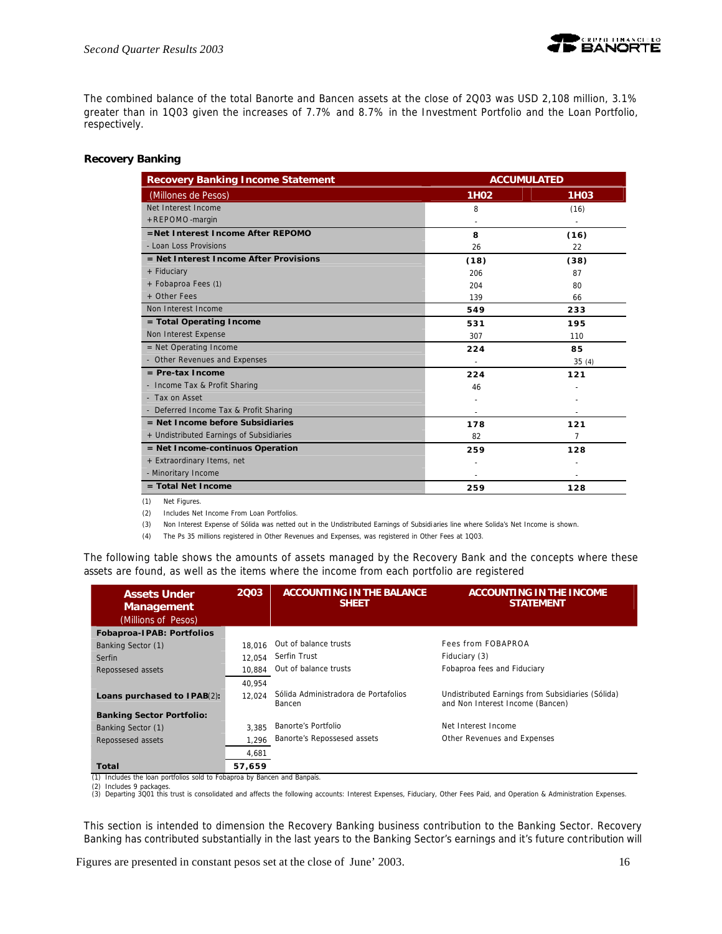

The combined balance of the total Banorte and Bancen assets at the close of 2Q03 was USD 2,108 million, 3.1% greater than in 1Q03 given the increases of 7.7% and 8.7% in the Investment Portfolio and the Loan Portfolio, respectively.

### **Recovery Banking**

| <b>Recovery Banking Income Statement</b> | <b>ACCUMULATED</b> |                   |  |
|------------------------------------------|--------------------|-------------------|--|
| (Millones de Pesos)                      | 1H <sub>02</sub>   | 1H <sub>0</sub> 3 |  |
| Net Interest Income                      | 8                  | (16)              |  |
| +REPOMO-margin                           |                    |                   |  |
| =Net Interest Income After REPOMO        | 8                  | (16)              |  |
| - Loan Loss Provisions                   | 26                 | 22                |  |
| = Net Interest Income After Provisions   | (18)               | (38)              |  |
| + Fiduciary                              | 206                | 87                |  |
| + Fobaproa Fees (1)                      | 204                | 80                |  |
| + Other Fees                             | 139                | 66                |  |
| Non Interest Income                      | 549                | 233               |  |
| = Total Operating Income                 | 531                | 195               |  |
| Non Interest Expense                     | 307                | 110               |  |
| $=$ Net Operating Income                 | 224                | 85                |  |
| - Other Revenues and Expenses            |                    | 35(4)             |  |
| $=$ Pre-tax Income                       | 224                | 121               |  |
| - Income Tax & Profit Sharing            | 46                 |                   |  |
| - Tax on Asset                           |                    |                   |  |
| - Deferred Income Tax & Profit Sharing   |                    |                   |  |
| $=$ Net Income before Subsidiaries       | 178                | 121               |  |
| + Undistributed Earnings of Subsidiaries | 82                 | 7                 |  |
| = Net Income-continuos Operation         | 259                | 128               |  |
| + Extraordinary Items, net               |                    |                   |  |
| - Minoritary Income                      |                    |                   |  |
| $=$ Total Net Income                     | 259                | 128               |  |

(1) Net Figures.

(2) Includes Net Income From Loan Portfolios.

(3) Non Interest Expense of Sólida was netted out in the Undistributed Earnings of Subsidiaries line where Solida's Net Income is shown.

(4) The Ps 35 millions registered in Other Revenues and Expenses, was registered in Other Fees at 1Q03.

The following table shows the amounts of assets managed by the Recovery Bank and the concepts where these assets are found, as well as the items where the income from each portfolio are registered

| <b>Assets Under</b><br><b>Management</b><br>(Millions of Pesos) | 2003   | <b>ACCOUNTING IN THE BALANCE</b><br><b>SHEET</b> | <b>ACCOUNTING IN THE INCOME</b><br><b>STATEMENT</b>                                   |
|-----------------------------------------------------------------|--------|--------------------------------------------------|---------------------------------------------------------------------------------------|
| Fobaproa-IPAB: Portfolios                                       |        |                                                  |                                                                                       |
| Banking Sector (1)                                              | 18.016 | Out of balance trusts                            | Fees from FOBAPROA                                                                    |
| Serfin                                                          | 12.054 | Serfin Trust                                     | Fiduciary (3)                                                                         |
| Repossesed assets                                               | 10.884 | Out of balance trusts                            | Fobaproa fees and Fiduciary                                                           |
|                                                                 | 40.954 |                                                  |                                                                                       |
| Loans purchased to IPAB(2):                                     | 12.024 | Sólida Administradora de Portafolios<br>Bancen   | Undistributed Earnings from Subsidiaries (Sólida)<br>and Non Interest Income (Bancen) |
| <b>Banking Sector Portfolio:</b>                                |        |                                                  |                                                                                       |
| Banking Sector (1)                                              | 3.385  | Banorte's Portfolio                              | Net Interest Income                                                                   |
| Repossesed assets                                               | 1.296  | Banorte's Repossesed assets                      | Other Revenues and Expenses                                                           |
|                                                                 | 4.681  |                                                  |                                                                                       |
| Total                                                           | 57,659 |                                                  |                                                                                       |

(1) Includes the loan portfolios sold to Fobaproa by Bancen and Banpaís.

(2) Includes 9 packages.<br>(3) Departing 3Q01 this trust is consolidated and affects the following accounts: Interest Expenses, Fiduciary, Other Fees Paid, and Operation & Administration Expenses.

This section is intended to dimension the Recovery Banking business contribution to the Banking Sector. Recovery Banking has contributed substantially in the last years to the Banking Sector's earnings and it's future contribution will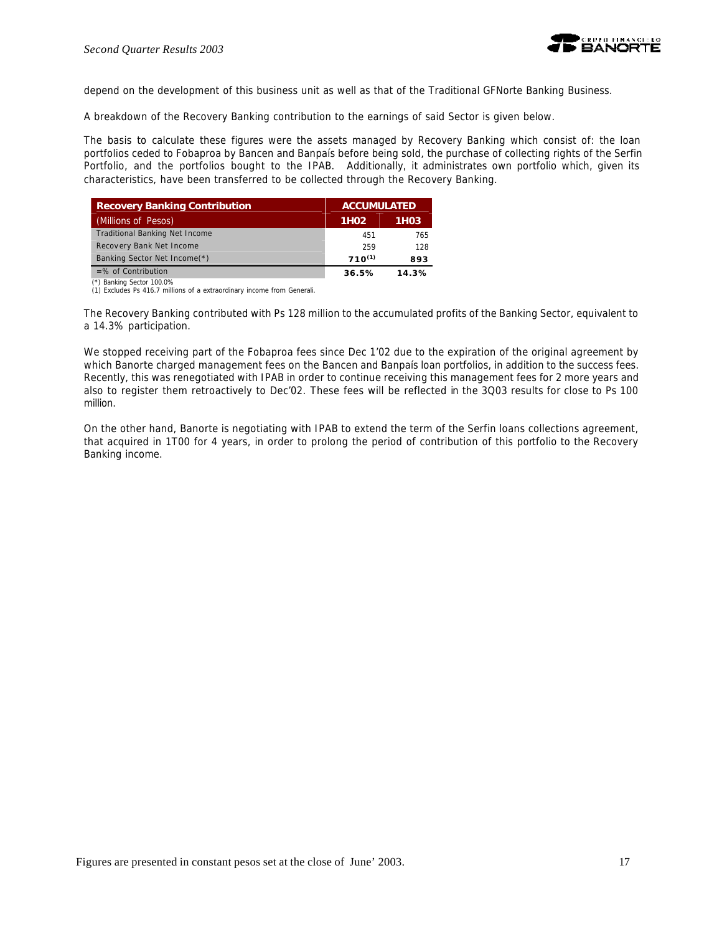

depend on the development of this business unit as well as that of the Traditional GFNorte Banking Business.

A breakdown of the Recovery Banking contribution to the earnings of said Sector is given below.

The basis to calculate these figures were the assets managed by Recovery Banking which consist of: the loan portfolios ceded to Fobaproa by Bancen and Banpaís before being sold, the purchase of collecting rights of the Serfin Portfolio, and the portfolios bought to the IPAB. Additionally, it administrates own portfolio which, given its characteristics, have been transferred to be collected through the Recovery Banking.

| <b>Recovery Banking Contribution</b>  | <b>ACCUMULATED</b> |                   |
|---------------------------------------|--------------------|-------------------|
| (Millions of Pesos)                   | 1H <sub>02</sub>   | 1H <sub>0</sub> 3 |
| <b>Traditional Banking Net Income</b> | 451                | 765               |
| Recovery Bank Net Income              | 259                | 128               |
| Banking Sector Net Income(*)          | $710^{(1)}$        | 893               |
| $=$ % of Contribution                 | 36.5%              | 14.3%             |

(\*) Banking Sector 100.0% (1) Excludes Ps 416.7 millions of a extraordinary income from Generali.

The Recovery Banking contributed with Ps 128 million to the accumulated profits of the Banking Sector, equivalent to a 14.3% participation.

We stopped receiving part of the Fobaproa fees since Dec 1'02 due to the expiration of the original agreement by which Banorte charged management fees on the Bancen and Banpaís loan portfolios, in addition to the success fees. Recently, this was renegotiated with IPAB in order to continue receiving this management fees for 2 more years and also to register them retroactively to Dec'02. These fees will be reflected in the 3Q03 results for close to Ps 100 million.

On the other hand, Banorte is negotiating with IPAB to extend the term of the Serfin loans collections agreement, that acquired in 1T00 for 4 years, in order to prolong the period of contribution of this portfolio to the Recovery Banking income.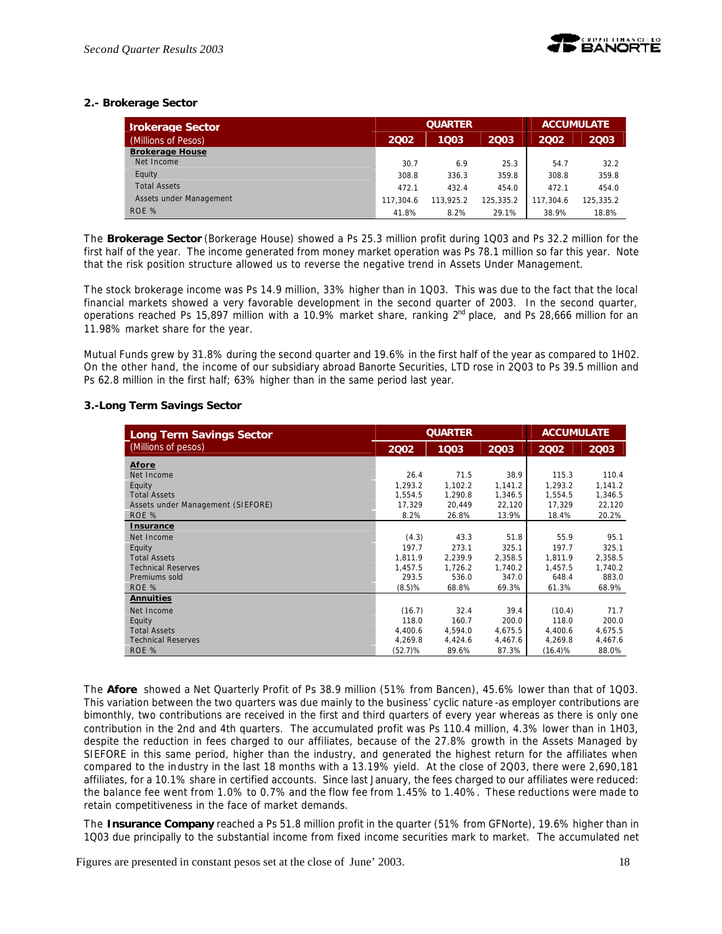

# **2.- Brokerage Sector**

| <b>Srokerage Sector</b> | <b>QUARTER</b> |           |           | <b>ACCUMULATE</b> |           |
|-------------------------|----------------|-----------|-----------|-------------------|-----------|
| (Millions of Pesos)     | 2002           | 1003      | 2003      | 2002              | 2003      |
| <b>Brokerage House</b>  |                |           |           |                   |           |
| Net Income              | 30.7           | 6.9       | 25.3      | 54.7              | 32.2      |
| Equity                  | 308.8          | 336.3     | 359.8     | 308.8             | 359.8     |
| <b>Total Assets</b>     | 472.1          | 432.4     | 454.0     | 472.1             | 454.0     |
| Assets under Management | 117.304.6      | 113.925.2 | 125.335.2 | 117.304.6         | 125.335.2 |
| ROE %                   | 41.8%          | 8.2%      | 29.1%     | 38.9%             | 18.8%     |

The *Brokerage Sector* (Borkerage House) showed a Ps 25.3 million profit during 1Q03 and Ps 32.2 million for the first half of the year. The income generated from money market operation was Ps 78.1 million so far this year. Note that the risk position structure allowed us to reverse the negative trend in Assets Under Management.

The stock brokerage income was Ps 14.9 million, 33% higher than in 1Q03. This was due to the fact that the local financial markets showed a very favorable development in the second quarter of 2003. In the second quarter, operations reached Ps 15,897 million with a 10.9% market share, ranking 2<sup>nd</sup> place, and Ps 28,666 million for an 11.98% market share for the year.

Mutual Funds grew by 31.8% during the second quarter and 19.6% in the first half of the year as compared to 1H02. On the other hand, the income of our subsidiary abroad Banorte Securities, LTD rose in 2Q03 to Ps 39.5 million and Ps 62.8 million in the first half; 63% higher than in the same period last year.

### **3.-Long Term Savings Sector**

| Long Term Savings Sector          | <b>QUARTER</b> |         |         | <b>ACCUMULATE</b> |         |
|-----------------------------------|----------------|---------|---------|-------------------|---------|
| (Millions of pesos)               | 2002           | 1003    | 2003    | 2002              | 2003    |
| Afore                             |                |         |         |                   |         |
| Net Income                        | 26.4           | 71.5    | 38.9    | 115.3             | 110.4   |
| Equity                            | 1,293.2        | 1,102.2 | 1,141.2 | 1,293.2           | 1,141.2 |
| <b>Total Assets</b>               | 1,554.5        | 1,290.8 | 1,346.5 | 1,554.5           | 1,346.5 |
| Assets under Management (SIEFORE) | 17,329         | 20,449  | 22,120  | 17,329            | 22,120  |
| ROE %                             | 8.2%           | 26.8%   | 13.9%   | 18.4%             | 20.2%   |
| <b>Insurance</b>                  |                |         |         |                   |         |
| Net Income                        | (4.3)          | 43.3    | 51.8    | 55.9              | 95.1    |
| Equity                            | 197.7          | 273.1   | 325.1   | 197.7             | 325.1   |
| <b>Total Assets</b>               | 1,811.9        | 2,239.9 | 2,358.5 | 1.811.9           | 2,358.5 |
| <b>Technical Reserves</b>         | 1,457.5        | 1,726.2 | 1,740.2 | 1,457.5           | 1,740.2 |
| Premiums sold                     | 293.5          | 536.0   | 347.0   | 648.4             | 883.0   |
| ROE %                             | (8.5)%         | 68.8%   | 69.3%   | 61.3%             | 68.9%   |
| <b>Annuities</b>                  |                |         |         |                   |         |
| Net Income                        | (16.7)         | 32.4    | 39.4    | (10.4)            | 71.7    |
| Equity                            | 118.0          | 160.7   | 200.0   | 118.0             | 200.0   |
| <b>Total Assets</b>               | 4,400.6        | 4,594.0 | 4,675.5 | 4,400.6           | 4,675.5 |
| <b>Technical Reserves</b>         | 4,269.8        | 4,424.6 | 4,467.6 | 4,269.8           | 4,467.6 |
| ROE %                             | (52.7)%        | 89.6%   | 87.3%   | (16.4)%           | 88.0%   |

The *Afore* showed a Net Quarterly Profit of Ps 38.9 million (51% from Bancen), 45.6% lower than that of 1Q03. This variation between the two quarters was due mainly to the business' cyclic nature -as employer contributions are bimonthly, two contributions are received in the first and third quarters of every year whereas as there is only one contribution in the 2nd and 4th quarters. The accumulated profit was Ps 110.4 million, 4.3% lower than in 1H03, despite the reduction in fees charged to our affiliates, because of the 27.8% growth in the Assets Managed by SIEFORE in this same period, higher than the industry, and generated the highest return for the affiliates when compared to the industry in the last 18 months with a 13.19% yield. At the close of 2Q03, there were 2,690,181 affiliates, for a 10.1% share in certified accounts. Since last January, the fees charged to our affiliates were reduced: the balance fee went from 1.0% to 0.7% and the flow fee from 1.45% to 1.40%. These reductions were made to retain competitiveness in the face of market demands.

The *Insurance Company* reached a Ps 51.8 million profit in the quarter (51% from GFNorte), 19.6% higher than in 1Q03 due principally to the substantial income from fixed income securities mark to market. The accumulated net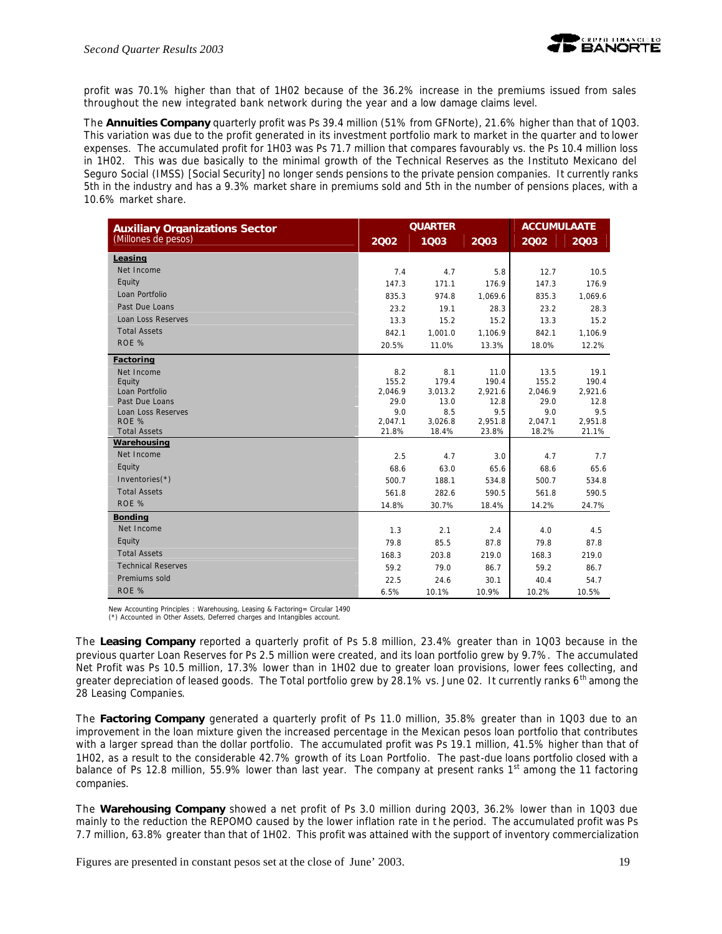

profit was 70.1% higher than that of 1H02 because of the 36.2% increase in the premiums issued from sales throughout the new integrated bank network during the year and a low damage claims level.

The *Annuities Company* quarterly profit was Ps 39.4 million (51% from GFNorte), 21.6% higher than that of 1Q03. This variation was due to the profit generated in its investment portfolio mark to market in the quarter and to lower expenses. The accumulated profit for 1H03 was Ps 71.7 million that compares favourably vs. the Ps 10.4 million loss in 1H02. This was due basically to the minimal growth of the Technical Reserves as the Instituto Mexicano del Seguro Social (IMSS) [Social Security] no longer sends pensions to the private pension companies. It currently ranks 5th in the industry and has a 9.3% market share in premiums sold and 5th in the number of pensions places, with a 10.6% market share.

| <b>Auxiliary Organizations Sector</b> | <b>QUARTER</b>  |                 |                 | <b>ACCUMULAATE</b> |                 |
|---------------------------------------|-----------------|-----------------|-----------------|--------------------|-----------------|
| (Millones de pesos)                   | 2002            | 1003            | 2003            | 2002               | 2003            |
| Leasing                               |                 |                 |                 |                    |                 |
| Net Income                            | 7.4             | 4.7             | 5.8             | 12.7               | 10.5            |
| Equity                                | 147.3           | 171.1           | 176.9           | 147.3              | 176.9           |
| Loan Portfolio                        | 835.3           | 974.8           | 1,069.6         | 835.3              | 1,069.6         |
| Past Due Loans                        | 23.2            | 19.1            | 28.3            | 23.2               | 28.3            |
| Loan Loss Reserves                    | 13.3            | 15.2            | 15.2            | 13.3               | 15.2            |
| <b>Total Assets</b>                   | 842.1           | 1,001.0         | 1,106.9         | 842.1              | 1,106.9         |
| ROE %                                 | 20.5%           | 11.0%           | 13.3%           | 18.0%              | 12.2%           |
| Factoring                             |                 |                 |                 |                    |                 |
| Net Income                            | 8.2             | 8.1             | 11.0            | 13.5               | 19.1            |
| Equity                                | 155.2           | 179.4           | 190.4           | 155.2              | 190.4           |
| Loan Portfolio<br>Past Due Loans      | 2,046.9<br>29.0 | 3,013.2<br>13.0 | 2,921.6<br>12.8 | 2,046.9<br>29.0    | 2,921.6<br>12.8 |
| Loan Loss Reserves                    | 9.0             | 8.5             | 9.5             | 9.0                | 9.5             |
| ROE %                                 | 2,047.1         | 3,026.8         | 2,951.8         | 2,047.1            | 2,951.8         |
| <b>Total Assets</b>                   | 21.8%           | 18.4%           | 23.8%           | 18.2%              | 21.1%           |
| Warehousing                           |                 |                 |                 |                    |                 |
| Net Income                            | 2.5             | 4.7             | 3.0             | 4.7                | 7.7             |
| Equity                                | 68.6            | 63.0            | 65.6            | 68.6               | 65.6            |
| Inventories $(*)$                     | 500.7           | 188.1           | 534.8           | 500.7              | 534.8           |
| <b>Total Assets</b>                   | 561.8           | 282.6           | 590.5           | 561.8              | 590.5           |
| ROE %                                 | 14.8%           | 30.7%           | 18.4%           | 14.2%              | 24.7%           |
| <b>Bonding</b>                        |                 |                 |                 |                    |                 |
| Net Income                            | 1.3             | 2.1             | 2.4             | 4.0                | 4.5             |
| Equity                                | 79.8            | 85.5            | 87.8            | 79.8               | 87.8            |
| <b>Total Assets</b>                   | 168.3           | 203.8           | 219.0           | 168.3              | 219.0           |
| <b>Technical Reserves</b>             | 59.2            | 79.0            | 86.7            | 59.2               | 86.7            |
| Premiums sold                         | 22.5            | 24.6            | 30.1            | 40.4               | 54.7            |
| ROE %                                 | 6.5%            | 10.1%           | 10.9%           | 10.2%              | 10.5%           |

New Accounting Principles : Warehousing, Leasing & Factoring= Circular 1490 (\*) Accounted in Other Assets, Deferred charges and Intangibles account.

The *Leasing Company* reported a quarterly profit of Ps 5.8 million, 23.4% greater than in 1Q03 because in the previous quarter Loan Reserves for Ps 2.5 million were created, and its loan portfolio grew by 9.7%. The accumulated Net Profit was Ps 10.5 million, 17.3% lower than in 1H02 due to greater loan provisions, lower fees collecting, and greater depreciation of leased goods. The Total portfolio grew by 28.1% vs. June 02. It currently ranks 6<sup>th</sup> among the 28 Leasing Companies.

The *Factoring Company* generated a quarterly profit of Ps 11.0 million, 35.8% greater than in 1Q03 due to an improvement in the loan mixture given the increased percentage in the Mexican pesos loan portfolio that contributes with a larger spread than the dollar portfolio. The accumulated profit was Ps 19.1 million, 41.5% higher than that of 1H02, as a result to the considerable 42.7% growth of its Loan Portfolio. The past-due loans portfolio closed with a balance of Ps 12.8 million, 55.9% lower than last year. The company at present ranks 1<sup>st</sup> among the 11 factoring companies.

The *Warehousing Company* showed a net profit of Ps 3.0 million during 2Q03, 36.2% lower than in 1Q03 due mainly to the reduction the REPOMO caused by the lower inflation rate in t he period. The accumulated profit was Ps 7.7 million, 63.8% greater than that of 1H02. This profit was attained with the support of inventory commercialization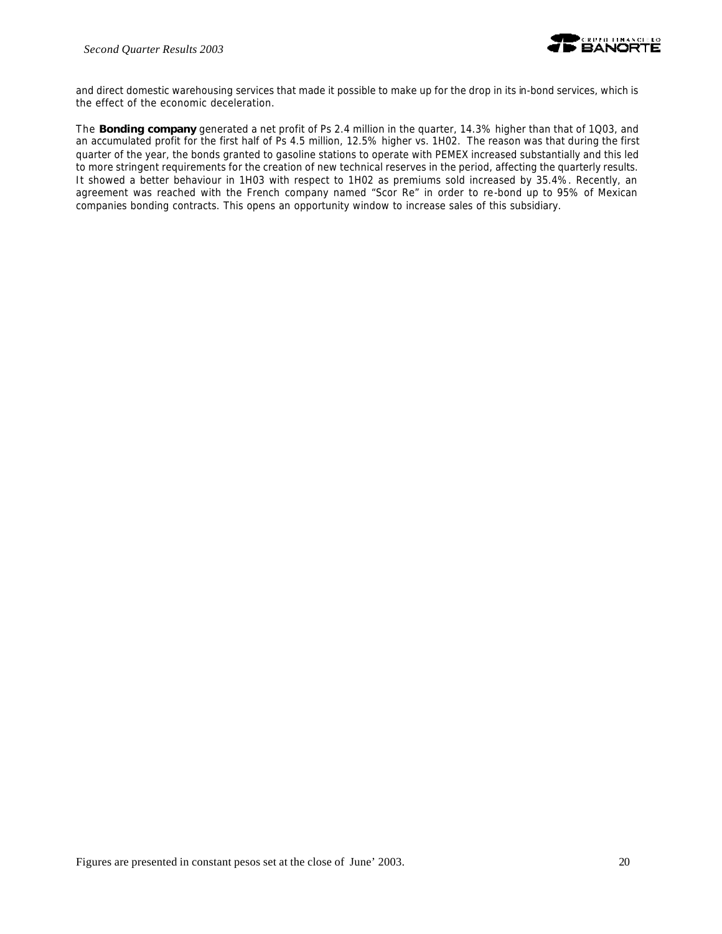

and direct domestic warehousing services that made it possible to make up for the drop in its in-bond services, which is the effect of the economic deceleration.

The *Bonding* **company** generated a net profit of Ps 2.4 million in the quarter, 14.3% higher than that of 1Q03, and an accumulated profit for the first half of Ps 4.5 million, 12.5% higher vs. 1H02. The reason was that during the first quarter of the year, the bonds granted to gasoline stations to operate with PEMEX increased substantially and this led to more stringent requirements for the creation of new technical reserves in the period, affecting the quarterly results. It showed a better behaviour in 1H03 with respect to 1H02 as premiums sold increased by 35.4%. Recently, an agreement was reached with the French company named "Scor Re" in order to re-bond up to 95% of Mexican companies bonding contracts. This opens an opportunity window to increase sales of this subsidiary.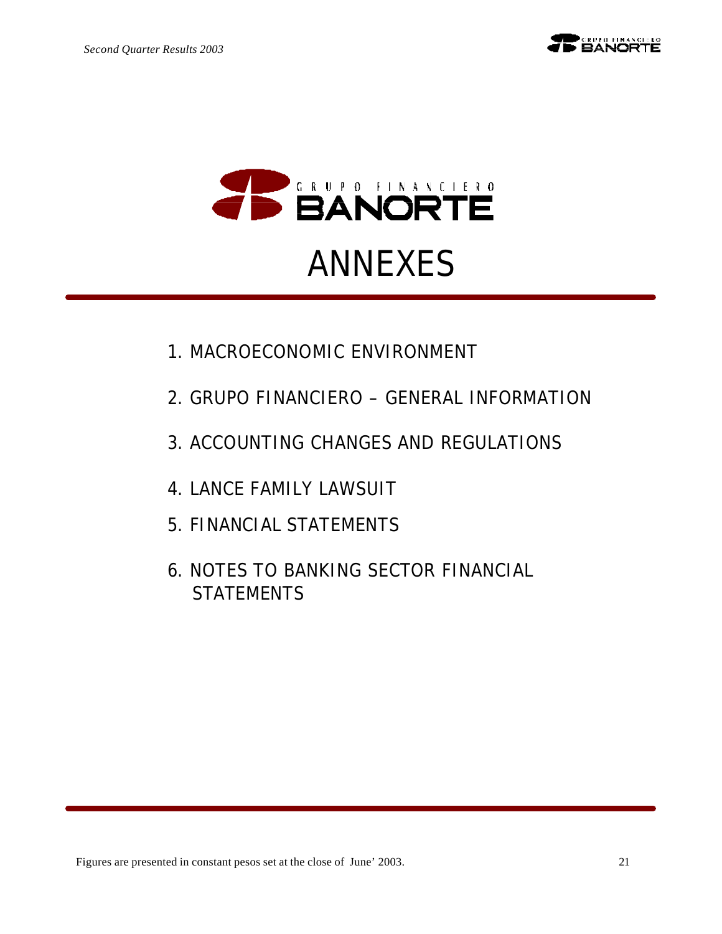

# ANNEXES

- 1. MACROECONOMIC ENVIRONMENT
- 2. GRUPO FINANCIERO GENERAL INFORMATION
- 3. ACCOUNTING CHANGES AND REGULATIONS
- 4. LANCE FAMILY LAWSUIT
- 5. FINANCIAL STATEMENTS
- 6. NOTES TO BANKING SECTOR FINANCIAL **STATEMENTS**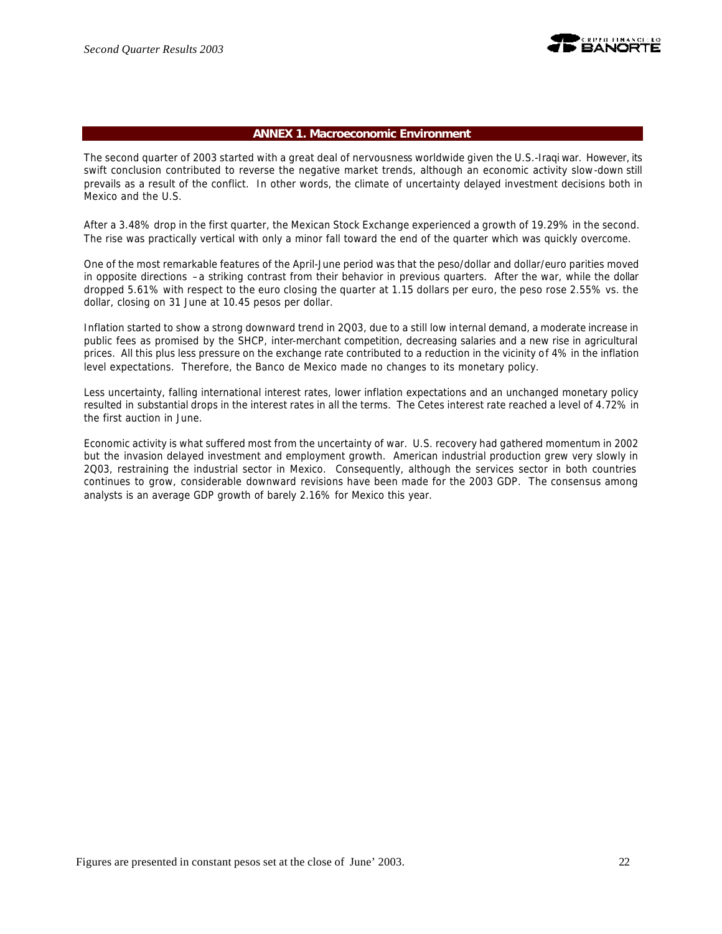

### **ANNEX 1. Macroeconomic Environment**

The second quarter of 2003 started with a great deal of nervousness worldwide given the U.S.-Iraqi war. However, its swift conclusion contributed to reverse the negative market trends, although an economic activity slow-down still prevails as a result of the conflict. In other words, the climate of uncertainty delayed investment decisions both in Mexico and the U.S.

After a 3.48% drop in the first quarter, the Mexican Stock Exchange experienced a growth of 19.29% in the second. The rise was practically vertical with only a minor fall toward the end of the quarter which was quickly overcome.

One of the most remarkable features of the April-June period was that the peso/dollar and dollar/euro parities moved in opposite directions –a striking contrast from their behavior in previous quarters. After the war, while the dollar dropped 5.61% with respect to the euro closing the quarter at 1.15 dollars per euro, the peso rose 2.55% vs. the dollar, closing on 31 June at 10.45 pesos per dollar.

Inflation started to show a strong downward trend in 2Q03, due to a still low internal demand, a moderate increase in public fees as promised by the SHCP, inter-merchant competition, decreasing salaries and a new rise in agricultural prices. All this plus less pressure on the exchange rate contributed to a reduction in the vicinity of 4% in the inflation level expectations. Therefore, the Banco de Mexico made no changes to its monetary policy.

Less uncertainty, falling international interest rates, lower inflation expectations and an unchanged monetary policy resulted in substantial drops in the interest rates in all the terms. The Cetes interest rate reached a level of 4.72% in the first auction in June.

Economic activity is what suffered most from the uncertainty of war. U.S. recovery had gathered momentum in 2002 but the invasion delayed investment and employment growth. American industrial production grew very slowly in 2Q03, restraining the industrial sector in Mexico. Consequently, although the services sector in both countries continues to grow, considerable downward revisions have been made for the 2003 GDP. The consensus among analysts is an average GDP growth of barely 2.16% for Mexico this year.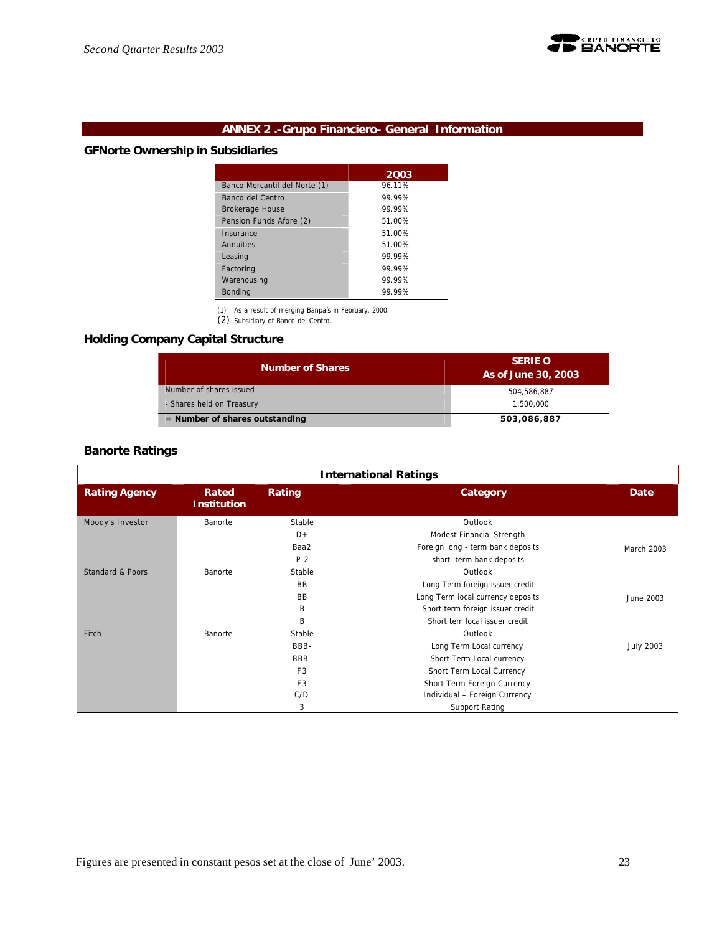

# **ANNEX 2 .-Grupo Financiero- General Information**

# **GFNorte Ownership in Subsidiaries**

|                               | 2003   |
|-------------------------------|--------|
| Banco Mercantil del Norte (1) | 96.11% |
| Banco del Centro              | 99.99% |
| <b>Brokerage House</b>        | 99 99% |
| Pension Funds Afore (2)       | 51.00% |
| Insurance                     | 51.00% |
| Annuities                     | 51.00% |
| Leasing                       | 99.99% |
| Factoring                     | 99.99% |
| Warehousing                   | 99.99% |
| <b>Bonding</b>                | 99.99% |

(1) As a result of merging Banpaís in February, 2000. (2) Subsidiary of Banco del Centro.

# **Holding Company Capital Structure**

| <b>Number of Shares</b>          | <b>SERIE O</b><br>As of June 30, 2003 |
|----------------------------------|---------------------------------------|
| Number of shares issued          | 504.586.887                           |
| - Shares held on Treasury        | 1,500,000                             |
| $=$ Number of shares outstanding | 503,086,887                           |

# **Banorte Ratings**

| <b>International Ratings</b> |                             |                |                                   |                  |  |  |
|------------------------------|-----------------------------|----------------|-----------------------------------|------------------|--|--|
| <b>Rating Agency</b>         | Rated<br><b>Institution</b> | Rating         | Category                          | <b>Date</b>      |  |  |
| Moody's Investor             | Banorte                     | Stable         | Outlook                           |                  |  |  |
|                              |                             | D+             | Modest Financial Strength         |                  |  |  |
|                              |                             | Baa2           | Foreign long - term bank deposits | March 2003       |  |  |
|                              |                             | $P-2$          | short- term bank deposits         |                  |  |  |
| Standard & Poors             | Banorte                     | Stable         | Outlook                           |                  |  |  |
|                              |                             | BB.            | Long Term foreign issuer credit   |                  |  |  |
|                              |                             | <b>BB</b>      | Long Term local currency deposits | June 2003        |  |  |
|                              |                             | B              | Short term foreign issuer credit  |                  |  |  |
|                              |                             | B              | Short tem local issuer credit     |                  |  |  |
| Fitch                        | Banorte                     | Stable         | Outlook                           |                  |  |  |
|                              |                             | BBB-           | Long Term Local currency          | <b>July 2003</b> |  |  |
|                              |                             | BBB-           | Short Term Local currency         |                  |  |  |
|                              |                             | F <sub>3</sub> | Short Term Local Currency         |                  |  |  |
|                              |                             | F <sub>3</sub> | Short Term Foreign Currency       |                  |  |  |
|                              |                             | C/D            | Individual - Foreign Currency     |                  |  |  |
|                              |                             | 3              | Support Rating                    |                  |  |  |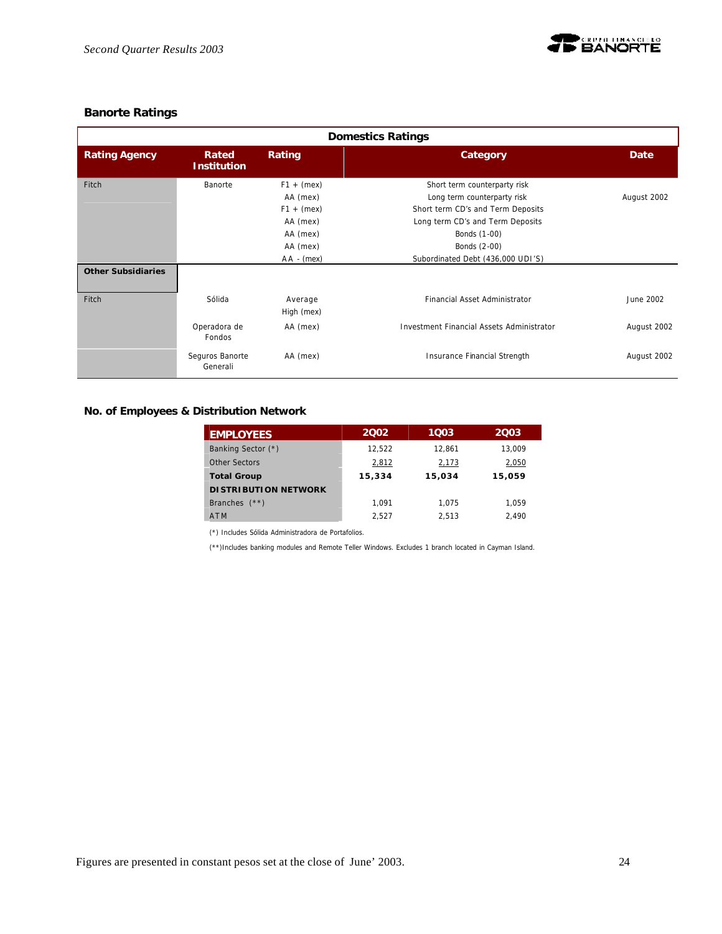

# **Banorte Ratings**

| <b>Domestics Ratings</b>  |                               |                                                                                              |                                                                                                                                                                                                           |             |  |  |  |
|---------------------------|-------------------------------|----------------------------------------------------------------------------------------------|-----------------------------------------------------------------------------------------------------------------------------------------------------------------------------------------------------------|-------------|--|--|--|
| <b>Rating Agency</b>      | Rated<br><b>Institution</b>   | Rating                                                                                       | Category                                                                                                                                                                                                  | Date        |  |  |  |
| Fitch                     | Banorte                       | $F1 + (mex)$<br>AA (mex)<br>$F1 + (mex)$<br>AA (mex)<br>AA (mex)<br>AA (mex)<br>$AA - (mex)$ | Short term counterparty risk<br>Long term counterparty risk<br>Short term CD's and Term Deposits<br>Long term CD's and Term Deposits<br>Bonds (1-00)<br>Bonds (2-00)<br>Subordinated Debt (436,000 UDI'S) | August 2002 |  |  |  |
| <b>Other Subsidiaries</b> |                               |                                                                                              |                                                                                                                                                                                                           |             |  |  |  |
| Fitch                     | Sólida                        | Average<br>High (mex)                                                                        | Financial Asset Administrator                                                                                                                                                                             | June 2002   |  |  |  |
|                           | Operadora de<br><b>Fondos</b> | AA (mex)                                                                                     | Investment Financial Assets Administrator                                                                                                                                                                 | August 2002 |  |  |  |
|                           | Seguros Banorte<br>Generali   | AA (mex)                                                                                     | Insurance Financial Strength                                                                                                                                                                              | August 2002 |  |  |  |

# **No. of Employees & Distribution Network**

| <b>EMPLOYEES</b>            | 2002   | 1003   | 2003   |
|-----------------------------|--------|--------|--------|
| Banking Sector (*)          | 12.522 | 12.861 | 13.009 |
| Other Sectors               | 2,812  | 2,173  | 2,050  |
| <b>Total Group</b>          | 15,334 | 15,034 | 15,059 |
| <b>DISTRIBUTION NETWORK</b> |        |        |        |
| Branches $(**)$             | 1.091  | 1.075  | 1.059  |
| <b>ATM</b>                  | 2.527  | 2.513  | 2.490  |

(\*) Includes Sólida Administradora de Portafolios.

(\*\*)Includes banking modules and Remote Teller Windows. Excludes 1 branch located in Cayman Island.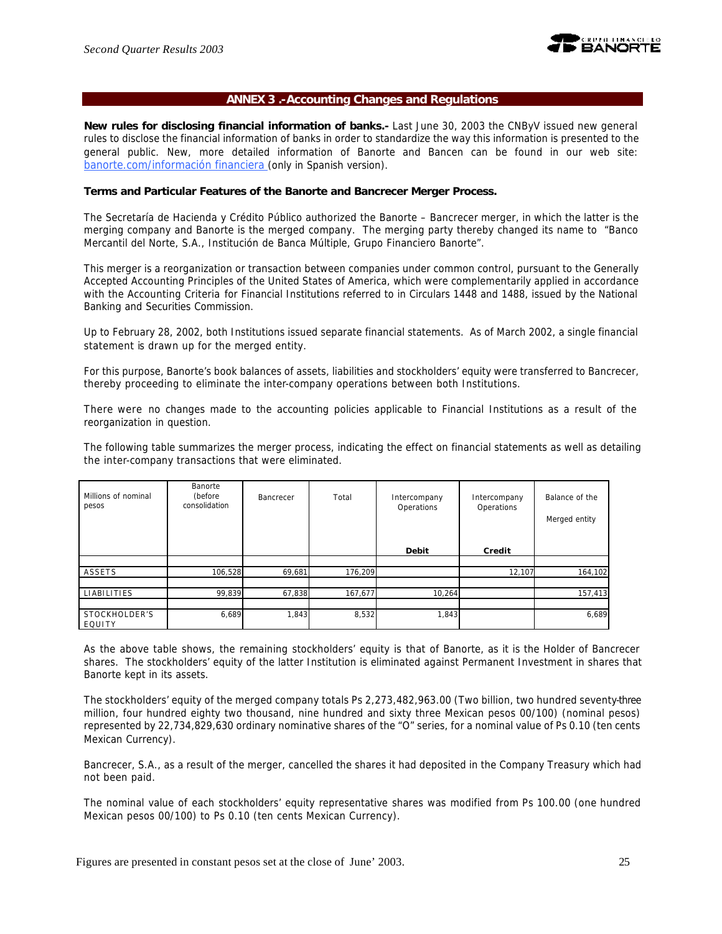

### **ANNEX 3 .-Accounting Changes and Regulations**

**New rules for disclosing financial information of banks.-** Last June 30, 2003 the CNByV issued new general rules to disclose the financial information of banks in order to standardize the way this information is presented to the general public. New, more detailed information of Banorte and Bancen can be found in our web site: banorte.com/información financiera (only in Spanish version).

### **Terms and Particular Features of the Banorte and Bancrecer Merger Process.**

The Secretaría de Hacienda y Crédito Público authorized the Banorte – Bancrecer merger, in which the latter is the merging company and Banorte is the merged company. The merging party thereby changed its name to "Banco Mercantil del Norte, S.A., Institución de Banca Múltiple, Grupo Financiero Banorte".

This merger is a reorganization or transaction between companies under common control, pursuant to the Generally Accepted Accounting Principles of the United States of America, which were complementarily applied in accordance with the Accounting Criteria for Financial Institutions referred to in Circulars 1448 and 1488, issued by the National Banking and Securities Commission.

Up to February 28, 2002, both Institutions issued separate financial statements. As of March 2002, a single financial statement is drawn up for the merged entity.

For this purpose, Banorte's book balances of assets, liabilities and stockholders' equity were transferred to Bancrecer, thereby proceeding to eliminate the inter-company operations between both Institutions.

There were no changes made to the accounting policies applicable to Financial Institutions as a result of the reorganization in question.

The following table summarizes the merger process, indicating the effect on financial statements as well as detailing the inter-company transactions that were eliminated.

| Millions of nominal<br>pesos | Banorte<br>(before<br>consolidation | Bancrecer | Total   | Intercompany<br>Operations | Intercompany<br>Operations | Balance of the<br>Merged entity |
|------------------------------|-------------------------------------|-----------|---------|----------------------------|----------------------------|---------------------------------|
|                              |                                     |           |         | <b>Debit</b>               | Credit                     |                                 |
|                              |                                     |           |         |                            |                            |                                 |
| ASSETS                       | 106,528                             | 69,681    | 176,209 |                            | 12,107                     | 164,102                         |
|                              |                                     |           |         |                            |                            |                                 |
| <b>LIABILITIES</b>           | 99,839                              | 67,838    | 167,677 | 10,264                     |                            | 157,413                         |
|                              |                                     |           |         |                            |                            |                                 |
| STOCKHOLDER'S<br>EQUITY      | 6,689                               | 1,843     | 8,532   | 1,843                      |                            | 6,689                           |

As the above table shows, the remaining stockholders' equity is that of Banorte, as it is the Holder of Bancrecer shares. The stockholders' equity of the latter Institution is eliminated against Permanent Investment in shares that Banorte kept in its assets.

The stockholders' equity of the merged company totals Ps 2,273,482,963.00 (Two billion, two hundred seventy-three million, four hundred eighty two thousand, nine hundred and sixty three Mexican pesos 00/100) (nominal pesos) represented by 22,734,829,630 ordinary nominative shares of the "O" series, for a nominal value of Ps 0.10 (ten cents Mexican Currency).

Bancrecer, S.A., as a result of the merger, cancelled the shares it had deposited in the Company Treasury which had not been paid.

The nominal value of each stockholders' equity representative shares was modified from Ps 100.00 (one hundred Mexican pesos 00/100) to Ps 0.10 (ten cents Mexican Currency).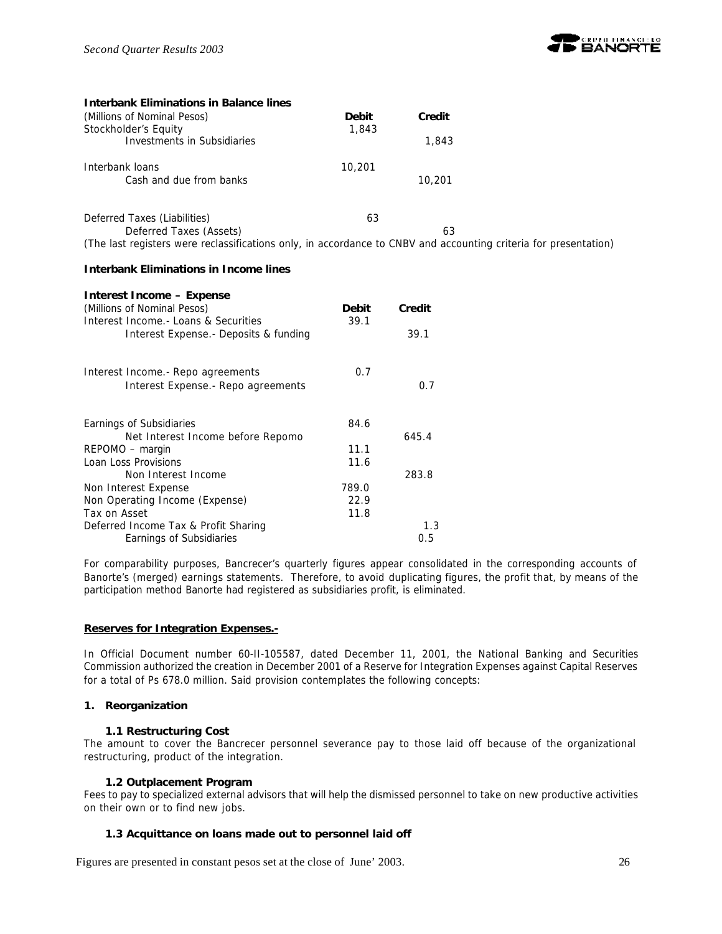

| <b>Interbank Eliminations in Balance lines</b>                                                                   |              |        |  |
|------------------------------------------------------------------------------------------------------------------|--------------|--------|--|
| (Millions of Nominal Pesos)                                                                                      | <b>Debit</b> | Credit |  |
| Stockholder's Equity                                                                                             | 1,843        |        |  |
| Investments in Subsidiaries                                                                                      |              | 1,843  |  |
| Interbank loans                                                                                                  | 10,201       |        |  |
| Cash and due from banks                                                                                          |              | 10,201 |  |
| Deferred Taxes (Liabilities)                                                                                     | 63           |        |  |
| Deferred Taxes (Assets)                                                                                          |              | 63     |  |
| (The last registers were reclassifications only, in accordance to CNBV and accounting criteria for presentation) |              |        |  |

### **Interbank Eliminations in Income lines**

| Interest Income – Expense              |              |        |
|----------------------------------------|--------------|--------|
| (Millions of Nominal Pesos)            | <b>Debit</b> | Credit |
| Interest Income. - Loans & Securities  | 39.1         |        |
| Interest Expense. - Deposits & funding |              | 39.1   |
| Interest Income. - Repo agreements     | 0.7          |        |
| Interest Expense. - Repo agreements    |              | 0.7    |
| Earnings of Subsidiaries               | 84.6         |        |
| Net Interest Income before Repomo      |              | 645.4  |
| REPOMO – margin                        | 11.1         |        |
| Loan Loss Provisions                   | 11.6         |        |
| Non Interest Income                    |              | 283.8  |
| Non Interest Expense                   | 789.0        |        |
| Non Operating Income (Expense)         | 22.9         |        |
| Tax on Asset                           | 11.8         |        |
| Deferred Income Tax & Profit Sharing   |              | 1.3    |
| Earnings of Subsidiaries               |              | 0.5    |

For comparability purposes, Bancrecer's quarterly figures appear consolidated in the corresponding accounts of Banorte's (merged) earnings statements. Therefore, to avoid duplicating figures, the profit that, by means of the participation method Banorte had registered as subsidiaries profit, is eliminated.

### **Reserves for Integration Expenses.-**

In Official Document number 60-II-105587, dated December 11, 2001, the National Banking and Securities Commission authorized the creation in December 2001 of a Reserve for Integration Expenses against Capital Reserves for a total of Ps 678.0 million. Said provision contemplates the following concepts:

### **1. Reorganization**

### **1.1 Restructuring Cost**

The amount to cover the Bancrecer personnel severance pay to those laid off because of the organizational restructuring, product of the integration.

### **1.2 Outplacement Program**

Fees to pay to specialized external advisors that will help the dismissed personnel to take on new productive activities on their own or to find new jobs.

# **1.3 Acquittance on loans made out to personnel laid off**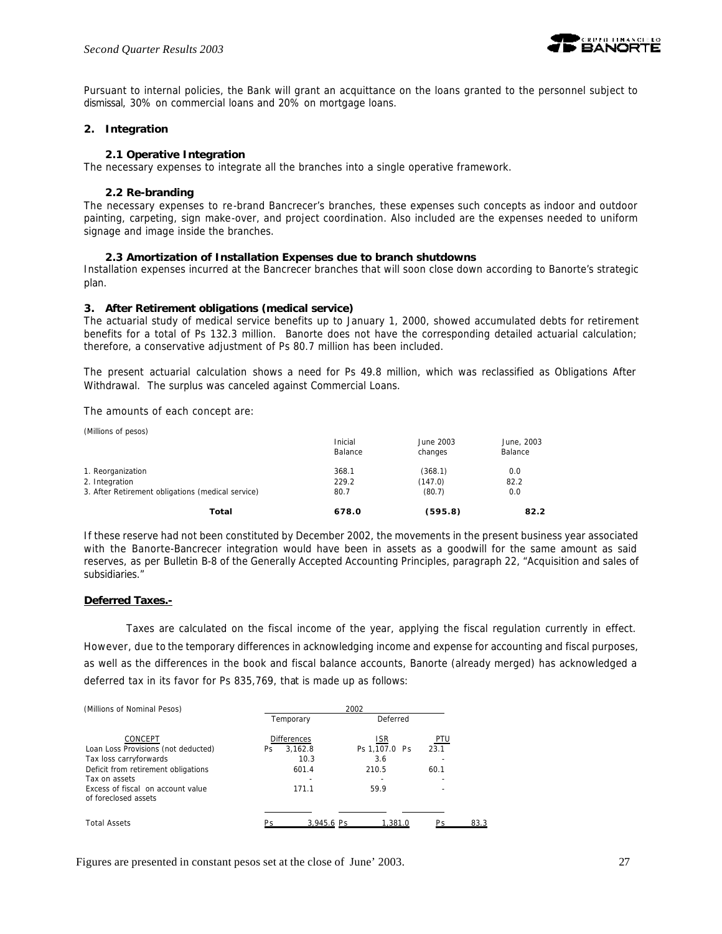

Pursuant to internal policies, the Bank will grant an acquittance on the loans granted to the personnel subject to dismissal, 30% on commercial loans and 20% on mortgage loans.

### **2. Integration**

### **2.1 Operative Integration**

The necessary expenses to integrate all the branches into a single operative framework.

### **2.2 Re-branding**

The necessary expenses to re-brand Bancrecer's branches, these expenses such concepts as indoor and outdoor painting, carpeting, sign make-over, and project coordination. Also included are the expenses needed to uniform signage and image inside the branches.

### **2.3 Amortization of Installation Expenses due to branch shutdowns**

Installation expenses incurred at the Bancrecer branches that will soon close down according to Banorte's strategic plan.

### **3. After Retirement obligations (medical service)**

The actuarial study of medical service benefits up to January 1, 2000, showed accumulated debts for retirement benefits for a total of Ps 132.3 million. Banorte does not have the corresponding detailed actuarial calculation; therefore, a conservative adjustment of Ps 80.7 million has been included.

The present actuarial calculation shows a need for Ps 49.8 million, which was reclassified as Obligations After Withdrawal. The surplus was canceled against Commercial Loans.

The amounts of each concept are:

| Total                                             | 678.0              | (595.8)              | 82.2                  |
|---------------------------------------------------|--------------------|----------------------|-----------------------|
| 3. After Retirement obligations (medical service) | 80.7               | (80.7)               | 0.0                   |
| 2. Integration                                    | 229.2              | (147.0)              | 82.2                  |
| 1. Reorganization                                 | 368.1              | (368.1)              | 0.0                   |
|                                                   | Inicial<br>Balance | June 2003<br>changes | June, 2003<br>Balance |
| (Millions of pesos)                               |                    |                      |                       |

If these reserve had not been constituted by December 2002, the movements in the present business year associated with the Banorte-Bancrecer integration would have been in assets as a goodwill for the same amount as said reserves, as per Bulletin B-8 of the Generally Accepted Accounting Principles, paragraph 22, "Acquisition and sales of subsidiaries."

### **Deferred Taxes.-**

Taxes are calculated on the fiscal income of the year, applying the fiscal regulation currently in effect. However, due to the temporary differences in acknowledging income and expense for accounting and fiscal purposes, as well as the differences in the book and fiscal balance accounts, Banorte (already merged) has acknowledged a deferred tax in its favor for Ps 835,769, that is made up as follows:

| (Millions of Nominal Pesos)         | 2002               |               |            |  |  |  |  |
|-------------------------------------|--------------------|---------------|------------|--|--|--|--|
|                                     | Temporary          | Deferred      |            |  |  |  |  |
| CONCEPT                             | <b>Differences</b> | ISR           | <u>PTU</u> |  |  |  |  |
| Loan Loss Provisions (not deducted) | 3.162.8<br>Ps.     | Ps 1.107.0 Ps | 23.1       |  |  |  |  |
| Tax loss carryforwards              | 10.3               | 3.6           |            |  |  |  |  |
| Deficit from retirement obligations | 601.4              | 210.5         | 60.1       |  |  |  |  |
| Tax on assets                       | ۰                  |               |            |  |  |  |  |
| Excess of fiscal on account value   | 171.1              | 59.9          |            |  |  |  |  |
| of foreclosed assets                |                    |               |            |  |  |  |  |
|                                     |                    |               |            |  |  |  |  |
| <b>Total Assets</b>                 | 3.945.6 Ps         | 1.381.0       | 83 S<br>Ps |  |  |  |  |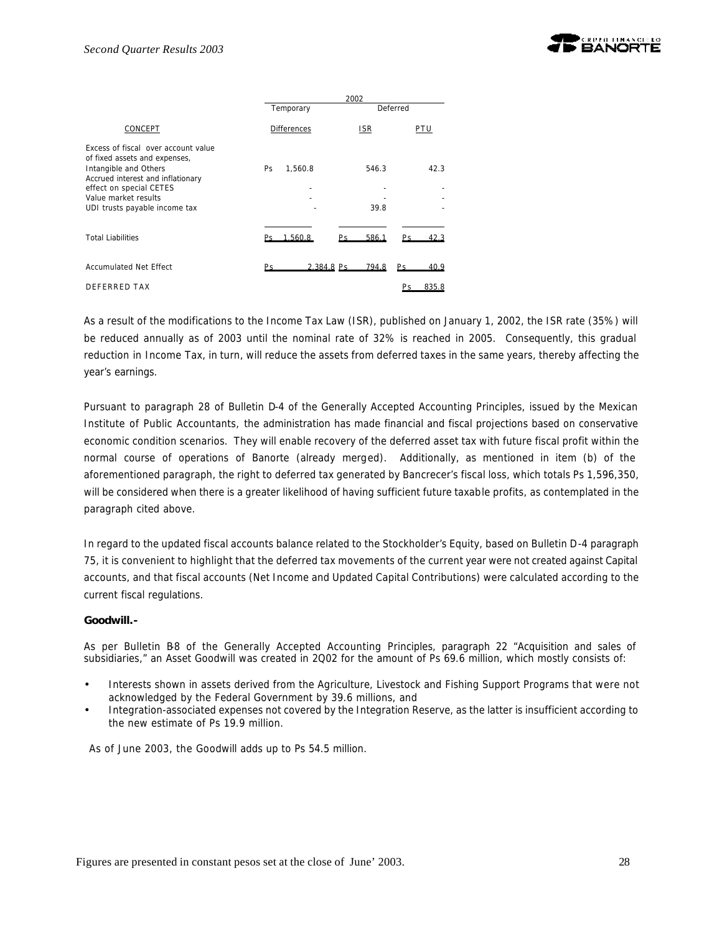

|                                                                                                                                                                                                                        | 2002      |                    |            |               |     |       |  |  |  |
|------------------------------------------------------------------------------------------------------------------------------------------------------------------------------------------------------------------------|-----------|--------------------|------------|---------------|-----|-------|--|--|--|
|                                                                                                                                                                                                                        |           | Temporary          |            | Deferred      |     |       |  |  |  |
| CONCEPT                                                                                                                                                                                                                |           | <b>Differences</b> |            | ISR           |     | PTU   |  |  |  |
| Excess of fiscal over account value<br>of fixed assets and expenses,<br>Intangible and Others<br>Accrued interest and inflationary<br>effect on special CETES<br>Value market results<br>UDI trusts payable income tax | <b>Ps</b> | 1,560.8            |            | 546.3<br>39.8 |     | 42.3  |  |  |  |
| <b>Total Liabilities</b>                                                                                                                                                                                               |           | 1.560.8            | Pς         | 586.1         | Ps. | 42.3  |  |  |  |
| <b>Accumulated Net Effect</b>                                                                                                                                                                                          | Рs        |                    | 2.384.8 Ps | 794.8         | Ps. | 40.9  |  |  |  |
| DEFERRED TAX                                                                                                                                                                                                           |           |                    |            |               |     | 835.8 |  |  |  |

As a result of the modifications to the Income Tax Law (ISR), published on January 1, 2002, the ISR rate (35%) will be reduced annually as of 2003 until the nominal rate of 32% is reached in 2005. Consequently, this gradual reduction in Income Tax, in turn, will reduce the assets from deferred taxes in the same years, thereby affecting the year's earnings.

Pursuant to paragraph 28 of Bulletin D-4 of the Generally Accepted Accounting Principles, issued by the Mexican Institute of Public Accountants, the administration has made financial and fiscal projections based on conservative economic condition scenarios. They will enable recovery of the deferred asset tax with future fiscal profit within the normal course of operations of Banorte (already merged). Additionally, as mentioned in item (b) of the aforementioned paragraph, the right to deferred tax generated by Bancrecer's fiscal loss, which totals Ps 1,596,350, will be considered when there is a greater likelihood of having sufficient future taxable profits, as contemplated in the paragraph cited above.

In regard to the updated fiscal accounts balance related to the Stockholder's Equity, based on Bulletin D-4 paragraph 75, it is convenient to highlight that the deferred tax movements of the current year were not created against Capital accounts, and that fiscal accounts (Net Income and Updated Capital Contributions) were calculated according to the current fiscal regulations.

### **Goodwill.-**

As per Bulletin B-8 of the Generally Accepted Accounting Principles, paragraph 22 "Acquisition and sales of subsidiaries," an Asset Goodwill was created in 2Q02 for the amount of Ps 69.6 million, which mostly consists of:

- Interests shown in assets derived from the Agriculture, Livestock and Fishing Support Programs that were not acknowledged by the Federal Government by 39.6 millions, and
- Integration-associated expenses not covered by the Integration Reserve, as the latter is insufficient according to the new estimate of Ps 19.9 million.

As of June 2003, the Goodwill adds up to Ps 54.5 million.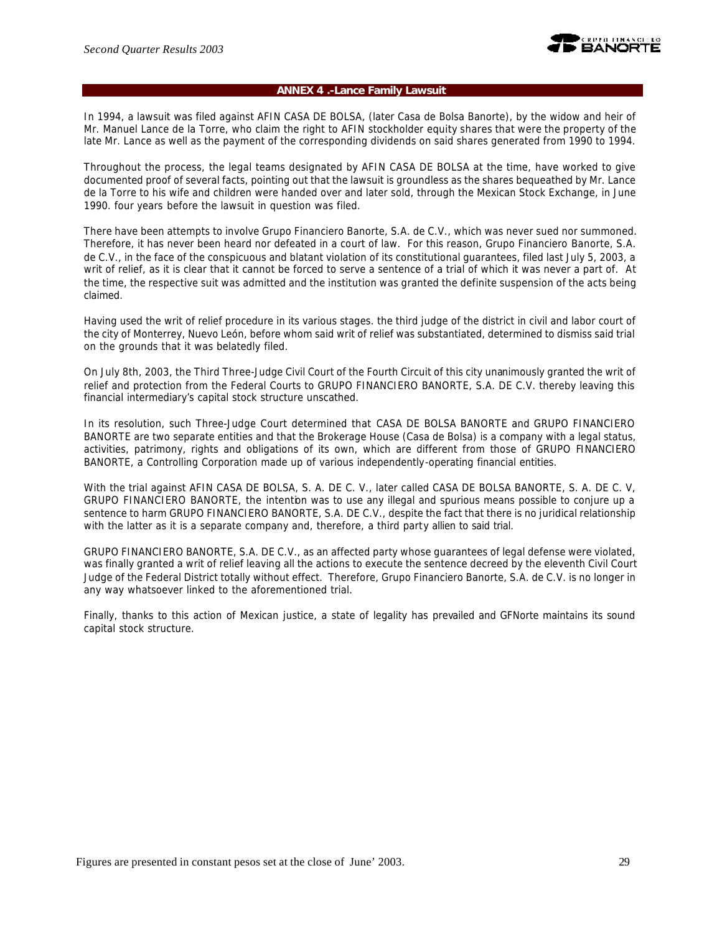

### **ANNEX 4 .-Lance Family Lawsuit**

In 1994, a lawsuit was filed against AFIN CASA DE BOLSA, (later Casa de Bolsa Banorte), by the widow and heir of Mr. Manuel Lance de la Torre, who claim the right to AFIN stockholder equity shares that were the property of the late Mr. Lance as well as the payment of the corresponding dividends on said shares generated from 1990 to 1994.

Throughout the process, the legal teams designated by AFIN CASA DE BOLSA at the time, have worked to give documented proof of several facts, pointing out that the lawsuit is groundless as the shares bequeathed by Mr. Lance de la Torre to his wife and children were handed over and later sold, through the Mexican Stock Exchange, in June 1990. four years before the lawsuit in question was filed.

There have been attempts to involve Grupo Financiero Banorte, S.A. de C.V., which was never sued nor summoned. Therefore, it has never been heard nor defeated in a court of law. For this reason, Grupo Financiero Banorte, S.A. de C.V., in the face of the conspicuous and blatant violation of its constitutional guarantees, filed last July 5, 2003, a writ of relief, as it is clear that it cannot be forced to serve a sentence of a trial of which it was never a part of. At the time, the respective suit was admitted and the institution was granted the definite suspension of the acts being claimed.

Having used the writ of relief procedure in its various stages. the third judge of the district in civil and labor court of the city of Monterrey, Nuevo León, before whom said writ of relief was substantiated, determined to dismiss said trial on the grounds that it was belatedly filed.

On July 8th, 2003, the Third Three-Judge Civil Court of the Fourth Circuit of this city unanimously granted the writ of relief and protection from the Federal Courts to GRUPO FINANCIERO BANORTE, S.A. DE C.V. thereby leaving this financial intermediary's capital stock structure unscathed.

In its resolution, such Three-Judge Court determined that CASA DE BOLSA BANORTE and GRUPO FINANCIERO BANORTE are two separate entities and that the Brokerage House (Casa de Bolsa) is a company with a legal status, activities, patrimony, rights and obligations of its own, which are different from those of GRUPO FINANCIERO BANORTE, a Controlling Corporation made up of various independently-operating financial entities.

With the trial against AFIN CASA DE BOLSA, S. A. DE C. V., later called CASA DE BOLSA BANORTE, S. A. DE C. V, GRUPO FINANCIERO BANORTE, the intention was to use any illegal and spurious means possible to conjure up a sentence to harm GRUPO FINANCIERO BANORTE, S.A. DE C.V., despite the fact that there is no juridical relationship with the latter as it is a separate company and, therefore, a third party allien to said trial.

GRUPO FINANCIERO BANORTE, S.A. DE C.V., as an affected party whose guarantees of legal defense were violated, was finally granted a writ of relief leaving all the actions to execute the sentence decreed by the eleventh Civil Court Judge of the Federal District totally without effect. Therefore, Grupo Financiero Banorte, S.A. de C.V. is no longer in any way whatsoever linked to the aforementioned trial.

Finally, thanks to this action of Mexican justice, a state of legality has prevailed and GFNorte maintains its sound capital stock structure.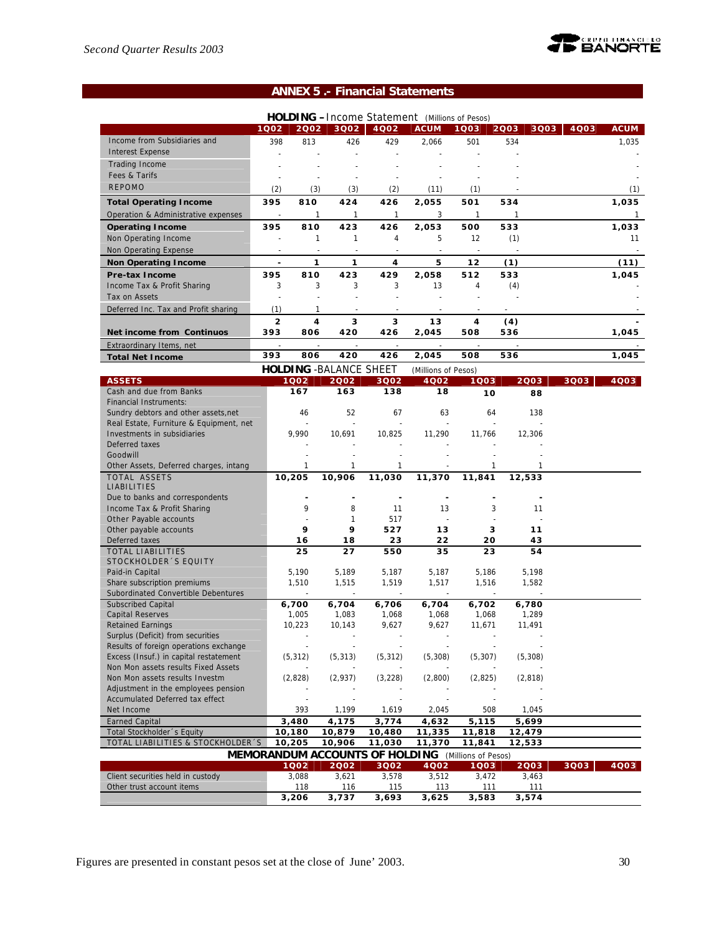

# **ANNEX 5 .- Financial Statements**

|                                         |                          |          |                                |                          | <b>HOLDING</b> - Income Statement (Millions of Pesos) |              |              |              |              |
|-----------------------------------------|--------------------------|----------|--------------------------------|--------------------------|-------------------------------------------------------|--------------|--------------|--------------|--------------|
|                                         | 1002                     | 2002     | 3002                           | 4002                     | <b>ACUM</b>                                           | 1Q03         | 2003         | 3Q03<br>4003 | <b>ACUM</b>  |
| Income from Subsidiaries and            | 398                      | 813      | 426                            | 429                      | 2,066                                                 | 501          | 534          |              | 1,035        |
| <b>Interest Expense</b>                 |                          |          | $\overline{a}$                 |                          |                                                       |              |              |              |              |
| <b>Trading Income</b>                   |                          |          |                                |                          |                                                       |              |              |              |              |
| Fees & Tarifs                           |                          |          |                                |                          |                                                       |              |              |              |              |
| <b>REPOMO</b>                           | (2)                      | (3)      | (3)                            | (2)                      | (11)                                                  | (1)          |              |              | (1)          |
|                                         |                          |          |                                |                          |                                                       |              |              |              |              |
| <b>Total Operating Income</b>           | 395                      | 810      | 424                            | 426                      | 2,055                                                 | 501          | 534          |              | 1,035        |
| Operation & Administrative expenses     | $\overline{\phantom{a}}$ | 1        | $\mathbf{1}$                   | $\mathbf{1}$             | 3                                                     | $\mathbf{1}$ | $\mathbf{1}$ |              | $\mathbf{1}$ |
| <b>Operating Income</b>                 | 395                      | 810      | 423                            | 426                      | 2,053                                                 | 500          | 533          |              | 1,033        |
| Non Operating Income                    | ä,                       | 1        | 1                              | 4                        | 5                                                     | 12           | (1)          |              | 11           |
| Non Operating Expense                   |                          |          |                                |                          |                                                       |              |              |              |              |
| <b>Non Operating Income</b>             | $\frac{1}{2}$            | 1        | 1                              | 4                        | 5                                                     | 12           | (1)          |              | (11)         |
| <b>Pre-tax Income</b>                   | 395                      | 810      | 423                            | 429                      | 2,058                                                 | 512          | 533          |              | 1,045        |
| Income Tax & Profit Sharing             | 3                        | 3        | 3                              | 3                        | 13                                                    | 4            | (4)          |              |              |
| Tax on Assets                           | ÷,                       |          |                                |                          |                                                       |              |              |              |              |
| Deferred Inc. Tax and Profit sharing    | (1)                      | 1        |                                |                          |                                                       | $\sim$       |              |              |              |
|                                         | $\overline{2}$           | 4        | 3                              | 3                        | 13                                                    | 4            | (4)          |              |              |
| Net income from Continuos               | 393                      | 806      | 420                            | 426                      | 2,045                                                 | 508          | 536          |              | 1,045        |
|                                         |                          |          |                                |                          |                                                       |              |              |              |              |
| Extraordinary Items, net                | 393                      | 806      | 420                            | 426                      | 2,045                                                 | 508          | 536          |              | 1,045        |
| <b>Total Net Income</b>                 |                          |          |                                |                          |                                                       |              |              |              |              |
|                                         |                          |          | <b>HOLDING - BALANCE SHEET</b> |                          | (Millions of Pesos)                                   |              |              |              |              |
| <b>ASSETS</b>                           |                          | 1Q02     | 2002                           | 3Q02                     | 4Q02                                                  | 1003         | 2003         | 3Q03         | 4Q03         |
| Cash and due from Banks                 |                          | 167      | 163                            | 138                      | 18                                                    | 10           |              | 88           |              |
| <b>Financial Instruments:</b>           |                          |          |                                |                          |                                                       |              |              |              |              |
| Sundry debtors and other assets, net    |                          | 46       | 52                             | 67                       | 63                                                    | 64           | 138          |              |              |
| Real Estate, Furniture & Equipment, net |                          |          | ÷,                             |                          |                                                       |              |              |              |              |
| Investments in subsidiaries             |                          | 9,990    | 10,691                         | 10,825                   | 11,290                                                | 11,766       | 12,306       |              |              |
| Deferred taxes<br>Goodwill              |                          |          |                                |                          |                                                       |              |              |              |              |
| Other Assets, Deferred charges, intang  |                          | 1        | 1                              | 1                        |                                                       | 1            |              |              |              |
| TOTAL ASSETS                            |                          | 10,205   | 10,906                         | 11,030                   | 11,370                                                | 11,841       | 12,533       |              |              |
| LIABILITIES                             |                          |          |                                |                          |                                                       |              |              |              |              |
| Due to banks and correspondents         |                          | ÷,       | Ĭ.                             | $\overline{\phantom{a}}$ |                                                       |              |              |              |              |
| Income Tax & Profit Sharing             |                          | 9        | 8                              | 11                       | 13                                                    | 3            |              | 11           |              |
| Other Payable accounts                  |                          |          | 1                              | 517                      |                                                       |              |              |              |              |
| Other payable accounts                  |                          | 9        | 9                              | 527                      | 13                                                    | 3            |              | 11           |              |
| Deferred taxes                          |                          | 16       | 18                             | 23                       | 22                                                    | 20           |              | 43           |              |
| <b>TOTAL LIABILITIES</b>                |                          | 25       | 27                             | 550                      | 35                                                    | 23           |              | 54           |              |
| STOCKHOLDER 'S EQUITY                   |                          |          |                                |                          |                                                       |              |              |              |              |
| Paid-in Capital                         |                          | 5.190    | 5,189                          | 5,187                    | 5,187                                                 | 5,186        | 5,198        |              |              |
| Share subscription premiums             |                          | 1,510    | 1,515                          | 1,519                    | 1,517                                                 | 1,516        | 1,582        |              |              |
| Subordinated Convertible Debentures     |                          |          |                                | $\sim$                   |                                                       |              |              |              |              |
| <b>Subscribed Capital</b>               |                          | 6,700    | 6,704                          | 6,706                    | 6,704                                                 | 6,702        | 6,780        |              |              |
| <b>Capital Reserves</b>                 |                          | 1,005    | 1,083                          | 1,068                    | 1,068                                                 | 1,068        | 1,289        |              |              |
| <b>Retained Earnings</b>                |                          | 10,223   | 10,143                         | 9,627                    | 9,627                                                 | 11,671       | 11,491       |              |              |
| Surplus (Deficit) from securities       |                          |          |                                | $\sim$                   |                                                       |              |              |              |              |
| Results of foreign operations exchange  |                          |          |                                |                          |                                                       |              |              |              |              |
| Excess (Insuf.) in capital restatement  |                          | (5, 312) | (5, 313)                       | (5, 312)                 | (5, 308)                                              | (5, 307)     | (5, 308)     |              |              |
| Non Mon assets results Fixed Assets     |                          |          |                                |                          |                                                       |              |              |              |              |
| Non Mon assets results Investm          |                          | (2,828)  | (2,937)                        | (3,228)                  | (2,800)                                               | (2,825)      | (2,818)      |              |              |
| Adjustment in the employees pension     |                          |          |                                |                          |                                                       |              |              |              |              |
| Accumulated Deferred tax effect         |                          |          |                                |                          |                                                       |              |              |              |              |
| Net Income                              |                          | 393      | 1,199                          | 1,619                    | 2,045                                                 | 508          | 1,045        |              |              |
| <b>Earned Capital</b>                   |                          | 3,480    | 4,175                          | 3,774                    | 4,632                                                 | 5,115        | 5,699        |              |              |
| Total Stockholder 's Equity             |                          | 10,180   | 10,879                         | 10,480                   | 11,335                                                | 11,818       | 12,479       |              |              |
| TOTAL LIABILITIES & STOCKHOLDER'S       |                          | 10,205   | 10,906                         | 11,030                   | 11,370                                                | 11,841       | 12,533       |              |              |
|                                         |                          |          |                                |                          | MEMORANDUM ACCOUNTS OF HOLDING (Millions of Pesos)    |              |              |              |              |
|                                         |                          | 1002     | 2002                           | 3Q02                     | 4002                                                  | 1Q03         | 2003         | 3Q03         | 4Q03         |
| Client securities held in custody       |                          | 3,088    | 3,621                          | 3,578                    | 3,512                                                 | 3,472        | 3,463        |              |              |
| Other trust account items               |                          | 118      | 116                            | 115                      | 113                                                   | 111          | 111          |              |              |
|                                         |                          | 3,206    | 3,737                          | 3,693                    | 3,625                                                 | 3,583        | 3,574        |              |              |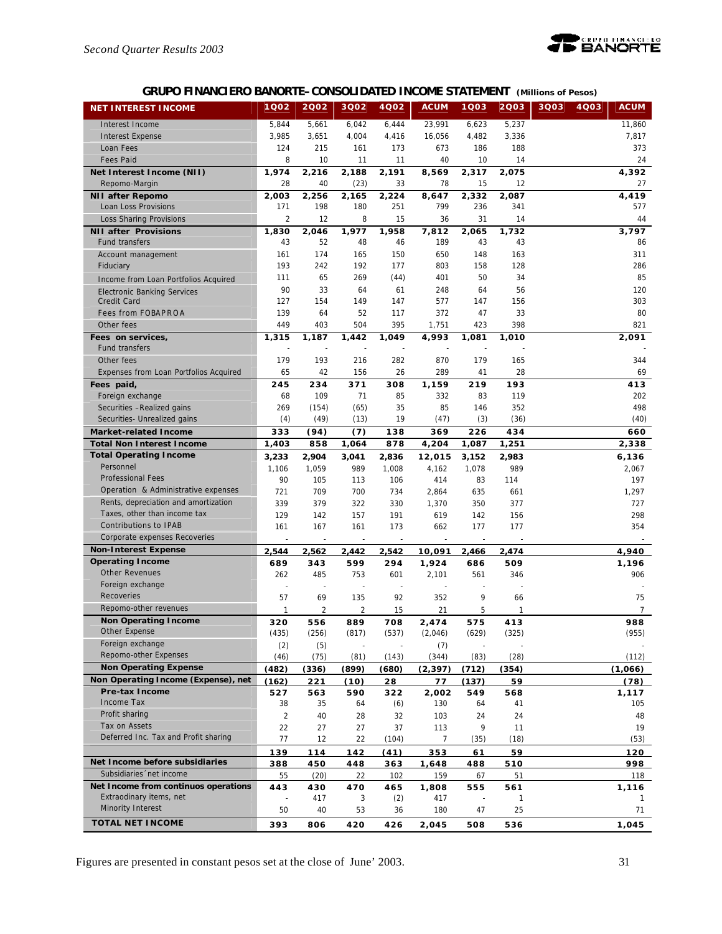

# **GRUPO FINANCIERO BANORTE–CONSOLIDATED INCOME STATEMENT** *(Millions of Pesos)*

| <b>NET INTEREST INCOME</b>                                       | 1Q02           | 2002           | 3Q02           | 4Q02           | <b>ACUM</b>     | 1Q03           | 2003         | 3Q03<br>4Q03 | <b>ACUM</b>    |
|------------------------------------------------------------------|----------------|----------------|----------------|----------------|-----------------|----------------|--------------|--------------|----------------|
| Interest Income                                                  | 5,844          | 5,661          | 6,042          | 6,444          | 23,991          | 6,623          | 5,237        |              | 11,860         |
| <b>Interest Expense</b>                                          | 3,985          | 3,651          | 4,004          | 4,416          | 16,056          | 4,482          | 3,336        |              | 7,817          |
| Loan Fees                                                        | 124            | 215            | 161            | 173            | 673             | 186            | 188          |              | 373            |
| <b>Fees Paid</b>                                                 | 8              | 10             | 11             | 11             | 40              | 10             | 14           |              | 24             |
| Net Interest Income (NII)                                        | 1,974          | 2,216          | 2,188          | 2,191          | 8,569           | 2,317          | 2,075        |              | 4,392          |
| Repomo-Margin                                                    | 28             | 40             | (23)           | 33             | 78              | 15             | 12           |              | 27             |
| <b>NII after Repomo</b>                                          | 2,003          | 2,256          | 2,165          | 2,224          | 8,647           | 2,332          | 2,087        |              | 4,419          |
| Loan Loss Provisions                                             | 171            | 198            | 180            | 251            | 799             | 236            | 341          |              | 577            |
| Loss Sharing Provisions                                          | $\overline{2}$ | 12             | 8              | 15             | 36              | 31             | 14           |              | 44             |
| <b>NII after Provisions</b>                                      | 1,830          | 2,046          | 1,977          | 1.958          | 7,812           | 2,065          | 1,732        |              | 3,797          |
| Fund transfers                                                   | 43             | 52             | 48             | 46             | 189             | 43             | 43           |              | 86             |
| Account management                                               | 161            | 174            | 165            | 150            | 650             | 148            | 163          |              | 311            |
| Fiduciary                                                        | 193            | 242            | 192            | 177            | 803             | 158            | 128          |              | 286            |
| Income from Loan Portfolios Acquired                             | 111            | 65             | 269            | (44)           | 401             | 50             | 34           |              | 85             |
| <b>Electronic Banking Services</b>                               | 90             | 33             | 64             | 61             | 248             | 64             | 56           |              | 120            |
| Credit Card                                                      | 127            | 154            | 149            | 147            | 577             | 147            | 156          |              | 303            |
| <b>Fees from FOBAPROA</b>                                        | 139            | 64             | 52             | 117            | 372             | 47             | 33           |              | 80             |
| Other fees                                                       | 449            | 403            | 504            | 395            | 1,751           | 423            | 398          |              | 821            |
| Fees on services,                                                | 1,315          | 1,187          | 1,442          | 1,049          | 4,993           | 1,081          | 1,010        |              | 2,091          |
| <b>Fund transfers</b>                                            |                |                |                |                |                 |                |              |              |                |
| Other fees                                                       | 179            | 193            | 216            | 282            | 870             | 179            | 165          |              | 344            |
| Expenses from Loan Portfolios Acquired                           | 65             | 42             | 156            | 26             | 289             | 41             | 28           |              | 69             |
| Fees paid,                                                       | 245            | 234            | 371            | 308            | 1,159           | 219            | 193          |              | 413            |
| Foreign exchange                                                 | 68<br>269      | 109            | 71             | 85<br>35       | 332<br>85       | 83<br>146      | 119<br>352   |              | 202<br>498     |
| Securities -Realized gains<br>Securities- Unrealized gains       | (4)            | (154)<br>(49)  | (65)<br>(13)   | 19             | (47)            | (3)            | (36)         |              | (40)           |
|                                                                  | 333            |                |                | 138            | 369             |                | 434          |              | 660            |
| <b>Market-related Income</b><br><b>Total Non Interest Income</b> | 1,403          | (94)<br>858    | (7)<br>1,064   | 878            | 4,204           | 226<br>1,087   | 1,251        |              | 2,338          |
| <b>Total Operating Income</b>                                    |                |                |                |                |                 |                |              |              |                |
| Personnel                                                        | 3,233<br>1,106 | 2,904<br>1,059 | 3,041<br>989   | 2,836<br>1,008 | 12,015<br>4,162 | 3,152<br>1,078 | 2,983<br>989 |              | 6,136<br>2,067 |
| <b>Professional Fees</b>                                         | 90             | 105            | 113            | 106            | 414             | 83             | 114          |              | 197            |
| Operation & Administrative expenses                              | 721            | 709            | 700            | 734            | 2,864           | 635            | 661          |              | 1,297          |
| Rents, depreciation and amortization                             | 339            | 379            | 322            | 330            | 1,370           | 350            | 377          |              | 727            |
| Taxes, other than income tax                                     | 129            | 142            | 157            | 191            | 619             | 142            | 156          |              | 298            |
| Contributions to IPAB                                            | 161            | 167            | 161            | 173            | 662             | 177            | 177          |              | 354            |
| Corporate expenses Recoveries                                    | ÷,             |                | L,             | ÷,             |                 |                |              |              |                |
| <b>Non-Interest Expense</b>                                      | 2,544          | 2,562          | 2,442          | 2,542          | 10,091          | 2,466          | 2,474        |              | 4,940          |
| <b>Operating Income</b>                                          | 689            | 343            | 599            | 294            | 1,924           | 686            | 509          |              | 1,196          |
| <b>Other Revenues</b>                                            | 262            | 485            | 753            | 601            | 2,101           | 561            | 346          |              | 906            |
| Foreign exchange                                                 |                |                | ÷,             |                |                 |                |              |              |                |
| Recoveries                                                       | 57             | 69             | 135            | 92             | 352             | 9              | 66           |              | 75             |
| Repomo-other revenues                                            | $\mathbf{1}$   | 2              | $\overline{2}$ | 15             | 21              | 5              | 1            |              | 7              |
| <b>Non Operating Income</b>                                      | 320            | 556            | 889            | 708            | 2,474           | 575            | 413          |              | 988            |
| Other Expense                                                    | (435)          | (256)          | (817)          | (537)          | (2,046)         | (629)          | (325)        |              | (955)          |
| Foreign exchange                                                 | (2)            | (5)            |                |                | (7)             |                |              |              |                |
| Repomo-other Expenses                                            | (46)           | (75)           | (81)           | (143)          | (344)           | (83)           | (28)         |              | (112)          |
| <b>Non Operating Expense</b>                                     | (482)          | (336)          | (899)          | (680)          | (2, 397)        | (712)          | (354)        |              | (1,066)        |
| Non Operating Income (Expense), net<br><b>Pre-tax Income</b>     | (162)          | 221            | (10)           | 28             | 77              | (137)          | 59           |              | (78)           |
| Income Tax                                                       | 527            | 563            | 590            | 322            | 2,002           | 549            | 568          |              | 1,117          |
| Profit sharing                                                   | 38             | 35             | 64             | (6)            | 130             | 64             | 41           |              | 105            |
| Tax on Assets                                                    | $\overline{2}$ | 40             | 28             | 32             | 103             | 24             | 24           |              | 48             |
| Deferred Inc. Tax and Profit sharing                             | 22<br>77       | 27<br>12       | 27<br>22       | 37<br>(104)    | 113<br>7        | 9<br>(35)      | 11<br>(18)   |              | 19<br>(53)     |
|                                                                  |                |                |                |                |                 |                |              |              | 120            |
| Net Income before subsidiaries                                   | 139<br>388     | 114<br>450     | 142<br>448     | (41)<br>363    | 353<br>1,648    | 61<br>488      | 59<br>510    |              | 998            |
| Subsidiaries 'net income                                         | 55             | (20)           | 22             | 102            | 159             | 67             | 51           |              | 118            |
| Net Income from continuos operations                             | 443            | 430            | 470            | 465            | 1,808           | 555            | 561          |              | 1,116          |
| Extraodinary items, net                                          |                | 417            | 3              | (2)            | 417             |                | $\mathbf{1}$ |              | 1              |
| Minority Interest                                                | 50             | 40             | 53             | 36             | 180             | 47             | 25           |              | 71             |
| <b>TOTAL NET INCOME</b>                                          | 393            | 806            | 420            | 426            | 2,045           | 508            | 536          |              | 1,045          |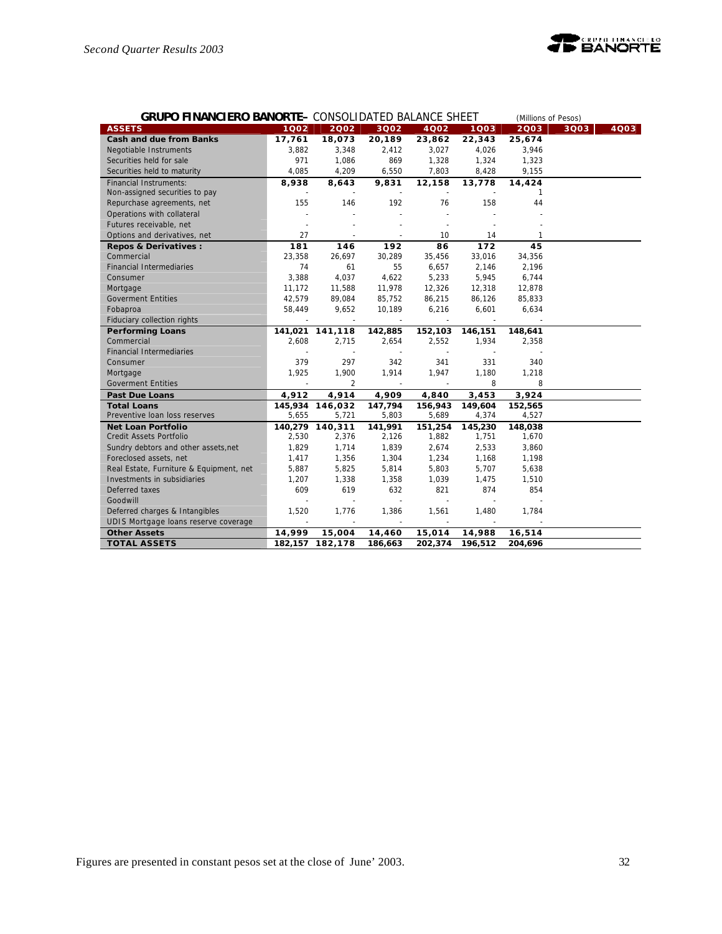

| <b>GRUPO FINANCIERO BANORTE- CONSOLIDATED BALANCE SHEET</b> |                |                          |                          |                          |         | (Millions of Pesos) |      |      |
|-------------------------------------------------------------|----------------|--------------------------|--------------------------|--------------------------|---------|---------------------|------|------|
| <b>ASSETS</b>                                               | 1002           | 2002                     | 3Q02                     | 4002                     | 1003    | 2003                | 3Q03 | 4003 |
| <b>Cash and due from Banks</b>                              | 17,761         | 18,073                   | 20,189                   | 23,862                   | 22,343  | 25,674              |      |      |
| Negotiable Instruments                                      | 3,882          | 3,348                    | 2,412                    | 3,027                    | 4,026   | 3,946               |      |      |
| Securities held for sale                                    | 971            | 1,086                    | 869                      | 1,328                    | 1,324   | 1,323               |      |      |
| Securities held to maturity                                 | 4,085          | 4,209                    | 6,550                    | 7,803                    | 8,428   | 9,155               |      |      |
| <b>Financial Instruments:</b>                               | 8,938          | 8,643                    | 9,831                    | 12,158                   | 13,778  | 14,424              |      |      |
| Non-assigned securities to pay                              |                | $\overline{\phantom{a}}$ |                          | $\overline{\phantom{a}}$ |         | 1                   |      |      |
| Repurchase agreements, net                                  | 155            | 146                      | 192                      | 76                       | 158     | 44                  |      |      |
| Operations with collateral                                  |                |                          | $\overline{\phantom{a}}$ |                          |         |                     |      |      |
| Futures receivable, net                                     |                |                          |                          |                          |         |                     |      |      |
| Options and derivatives, net                                | 27             | ÷,                       | $\sim$                   | 10                       | 14      | 1                   |      |      |
| Repos & Derivatives :                                       | 181            | 146                      | 192                      | 86                       | 172     | 45                  |      |      |
| Commercial                                                  | 23,358         | 26,697                   | 30,289                   | 35,456                   | 33,016  | 34,356              |      |      |
| <b>Financial Intermediaries</b>                             | 74             | 61                       | 55                       | 6,657                    | 2,146   | 2,196               |      |      |
| Consumer                                                    | 3,388          | 4,037                    | 4,622                    | 5,233                    | 5,945   | 6,744               |      |      |
| Mortgage                                                    | 11,172         | 11,588                   | 11,978                   | 12,326                   | 12,318  | 12,878              |      |      |
| <b>Goverment Entities</b>                                   | 42,579         | 89,084                   | 85,752                   | 86,215                   | 86,126  | 85,833              |      |      |
| Fobaproa                                                    | 58,449         | 9,652                    | 10,189                   | 6,216                    | 6,601   | 6,634               |      |      |
| Fiduciary collection rights                                 |                | $\sim$                   | $\sim$                   | $\sim$                   | $\sim$  |                     |      |      |
| <b>Performing Loans</b>                                     |                | 141,021 141,118          | 142,885                  | 152,103                  | 146,151 | 148,641             |      |      |
| Commercial                                                  | 2,608          | 2,715                    | 2,654                    | 2,552                    | 1,934   | 2,358               |      |      |
| <b>Financial Intermediaries</b>                             |                | $\sim$                   | $\sim$                   |                          |         |                     |      |      |
| Consumer                                                    | 379            | 297                      | 342                      | 341                      | 331     | 340                 |      |      |
| Mortgage                                                    | 1,925          | 1,900                    | 1,914                    | 1,947                    | 1,180   | 1,218               |      |      |
| <b>Goverment Entities</b>                                   | ä,             | 2                        | $\omega$                 | $\sim$                   | 8       | 8                   |      |      |
| <b>Past Due Loans</b>                                       | 4,912          | 4,914                    | 4,909                    | 4,840                    | 3,453   | 3,924               |      |      |
| <b>Total Loans</b>                                          |                | 145,934 146,032          | 147,794                  | 156,943                  | 149,604 | 152,565             |      |      |
| Preventive Ioan loss reserves                               | 5,655          | 5,721                    | 5,803                    | 5,689                    | 4,374   | 4,527               |      |      |
| <b>Net Loan Portfolio</b>                                   |                | 140,279 140,311          | 141,991                  | 151,254                  | 145,230 | 148,038             |      |      |
| Credit Assets Portfolio                                     | 2,530          | 2,376                    | 2,126                    | 1,882                    | 1,751   | 1,670               |      |      |
| Sundry debtors and other assets, net                        | 1,829          | 1,714                    | 1,839                    | 2,674                    | 2,533   | 3,860               |      |      |
| Foreclosed assets, net                                      | 1,417          | 1,356                    | 1,304                    | 1,234                    | 1,168   | 1,198               |      |      |
| Real Estate, Furniture & Equipment, net                     | 5,887          | 5,825                    | 5,814                    | 5,803                    | 5,707   | 5,638               |      |      |
| Investments in subsidiaries                                 | 1,207          | 1,338                    | 1,358                    | 1,039                    | 1,475   | 1,510               |      |      |
| Deferred taxes                                              | 609            | 619                      | 632                      | 821                      | 874     | 854                 |      |      |
| Goodwill                                                    |                | L.                       | $\mathbf{r}$             |                          |         |                     |      |      |
| Deferred charges & Intangibles                              | 1,520          | 1,776                    | 1,386                    | 1,561                    | 1,480   | 1.784               |      |      |
| UDIS Mortgage loans reserve coverage                        | $\overline{a}$ | $\sim$                   | $\sim$                   | $\sim$                   | $\sim$  |                     |      |      |
| <b>Other Assets</b>                                         | 14,999         | 15,004                   | 14,460                   | 15,014                   | 14,988  | 16,514              |      |      |
| <b>TOTAL ASSETS</b>                                         |                | 182, 157 182, 178        | 186,663                  | 202,374                  | 196,512 | 204,696             |      |      |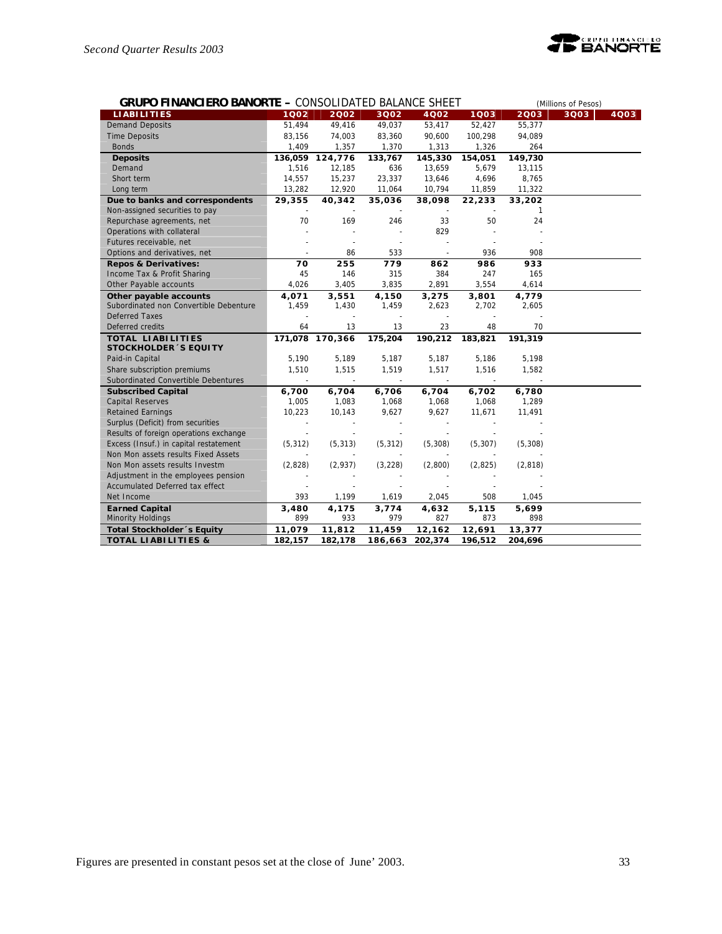

| <b>GRUPO FINANCIERO BANORTE - CONSOLIDATED BALANCE SHEET</b> |          |                 |                          | (Millions of Pesos) |          |              |      |      |
|--------------------------------------------------------------|----------|-----------------|--------------------------|---------------------|----------|--------------|------|------|
| <b>LIABILITIES</b>                                           | 1002     | 2002            | 3Q02                     | 4002                | 1Q03     | 2003         | 3Q03 | 4Q03 |
| <b>Demand Deposits</b>                                       | 51,494   | 49,416          | 49,037                   | 53,417              | 52,427   | 55,377       |      |      |
| <b>Time Deposits</b>                                         | 83,156   | 74,003          | 83,360                   | 90,600              | 100,298  | 94,089       |      |      |
| <b>Bonds</b>                                                 | 1,409    | 1,357           | 1,370                    | 1,313               | 1,326    | 264          |      |      |
| <b>Deposits</b>                                              | 136,059  | 124,776         | 133,767                  | 145,330             | 154,051  | 149,730      |      |      |
| Demand                                                       | 1,516    | 12,185          | 636                      | 13,659              | 5,679    | 13,115       |      |      |
| Short term                                                   | 14,557   | 15,237          | 23,337                   | 13,646              | 4,696    | 8,765        |      |      |
| Long term                                                    | 13,282   | 12,920          | 11,064                   | 10,794              | 11,859   | 11,322       |      |      |
| Due to banks and correspondents                              | 29,355   | 40,342          | 35,036                   | 38,098              | 22,233   | 33,202       |      |      |
| Non-assigned securities to pay                               |          |                 |                          |                     |          | $\mathbf{1}$ |      |      |
| Repurchase agreements, net                                   | 70       | 169             | 246                      | 33                  | 50       | 24           |      |      |
| Operations with collateral                                   |          |                 |                          | 829                 |          |              |      |      |
| Futures receivable, net                                      |          | $\overline{a}$  |                          |                     |          |              |      |      |
| Options and derivatives, net                                 |          | 86              | 533                      |                     | 936      | 908          |      |      |
| <b>Repos &amp; Derivatives:</b>                              | 70       | 255             | 779                      | 862                 | 986      | 933          |      |      |
| Income Tax & Profit Sharing                                  | 45       | 146             | 315                      | 384                 | 247      | 165          |      |      |
| Other Payable accounts                                       | 4,026    | 3,405           | 3,835                    | 2,891               | 3,554    | 4,614        |      |      |
| Other payable accounts                                       | 4,071    | 3,551           | 4,150                    | 3,275               | 3,801    | 4,779        |      |      |
| Subordinated non Convertible Debenture                       | 1,459    | 1,430           | 1,459                    | 2,623               | 2,702    | 2,605        |      |      |
| <b>Deferred Taxes</b>                                        | ä,       |                 | $\overline{\phantom{a}}$ |                     | ÷,       |              |      |      |
| Deferred credits                                             | 64       | 13              | 13                       | 23                  | 48       | 70           |      |      |
| TOTAL LIABILITIES                                            |          | 171,078 170,366 | 175,204                  | 190,212             | 183,821  | 191,319      |      |      |
| <b>STOCKHOLDER 'S EQUITY</b>                                 |          |                 |                          |                     |          |              |      |      |
| Paid-in Capital                                              | 5,190    | 5,189           | 5,187                    | 5,187               | 5,186    | 5,198        |      |      |
| Share subscription premiums                                  | 1,510    | 1,515           | 1,519                    | 1,517               | 1,516    | 1,582        |      |      |
| Subordinated Convertible Debentures                          |          | $\sim$          |                          |                     |          |              |      |      |
| <b>Subscribed Capital</b>                                    | 6,700    | 6,704           | 6,706                    | 6,704               | 6,702    | 6,780        |      |      |
| <b>Capital Reserves</b>                                      | 1,005    | 1,083           | 1,068                    | 1,068               | 1,068    | 1,289        |      |      |
| <b>Retained Earnings</b>                                     | 10,223   | 10,143          | 9,627                    | 9,627               | 11,671   | 11,491       |      |      |
| Surplus (Deficit) from securities                            |          |                 |                          |                     |          |              |      |      |
| Results of foreign operations exchange                       |          |                 |                          |                     |          |              |      |      |
| Excess (Insuf.) in capital restatement                       | (5, 312) | (5, 313)        | (5, 312)                 | (5, 308)            | (5, 307) | (5, 308)     |      |      |
| Non Mon assets results Fixed Assets                          |          |                 |                          |                     |          |              |      |      |
| Non Mon assets results Investm                               | (2,828)  | (2,937)         | (3, 228)                 | (2,800)             | (2,825)  | (2,818)      |      |      |
| Adjustment in the employees pension                          |          |                 |                          |                     |          |              |      |      |
| Accumulated Deferred tax effect                              |          |                 |                          |                     |          |              |      |      |
| Net Income                                                   | 393      | 1,199           | 1,619                    | 2,045               | 508      | 1,045        |      |      |
| <b>Earned Capital</b>                                        | 3,480    | 4,175           | 3,774                    | 4,632               | 5,115    | 5,699        |      |      |
| <b>Minority Holdings</b>                                     | 899      | 933             | 979                      | 827                 | 873      | 898          |      |      |
| Total Stockholder's Equity                                   | 11,079   | 11,812          | 11,459                   | 12,162              | 12,691   | 13,377       |      |      |
| <b>TOTAL LIABILITIES &amp;</b>                               | 182,157  | 182,178         | 186,663                  | 202,374             | 196,512  | 204,696      |      |      |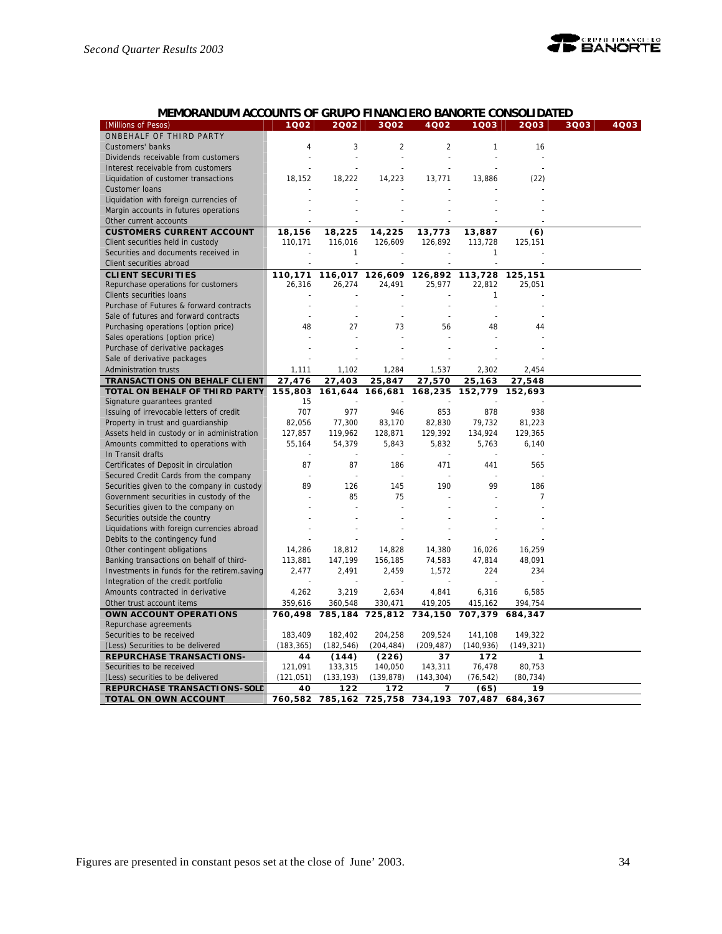

# **MEMORANDUM ACCOUNTS OF GRUPO FINANCIERO BANORTE CONSOLIDATED**

| (Millions of Pesos)                         | 1Q02       | 2002       | 3002           | 4002           | 1Q03           | 2003           | 3Q03 | 4Q03 |
|---------------------------------------------|------------|------------|----------------|----------------|----------------|----------------|------|------|
| ONBEHALF OF THIRD PARTY                     |            |            |                |                |                |                |      |      |
| Customers' banks                            | 4          | 3          | $\overline{2}$ | $\overline{2}$ | 1              | 16             |      |      |
| Dividends receivable from customers         |            |            | $\sim$         | $\sim$         |                |                |      |      |
| Interest receivable from customers          |            |            |                |                |                |                |      |      |
| Liquidation of customer transactions        | 18,152     | 18,222     | 14,223         | 13,771         | 13,886         | (22)           |      |      |
| Customer Ioans                              |            |            |                |                |                |                |      |      |
| Liquidation with foreign currencies of      |            |            |                |                |                |                |      |      |
| Margin accounts in futures operations       |            |            |                |                |                |                |      |      |
| Other current accounts                      |            |            |                |                |                |                |      |      |
| <b>CUSTOMERS CURRENT ACCOUNT</b>            | 18,156     | 18,225     | 14,225         | 13,773         | 13,887         | (6)            |      |      |
| Client securities held in custody           | 110,171    | 116,016    | 126,609        | 126,892        | 113,728        | 125,151        |      |      |
| Securities and documents received in        |            | 1          |                |                | 1              |                |      |      |
| Client securities abroad                    |            | $\sim$     | $\overline{a}$ | $\overline{a}$ | $\overline{a}$ | $\overline{a}$ |      |      |
| <b>CLIENT SECURITIES</b>                    | 110,171    | 116,017    | 126,609        | 126,892        | 113,728        | 125,151        |      |      |
| Repurchase operations for customers         | 26,316     | 26,274     | 24,491         | 25,977         | 22,812         | 25,051         |      |      |
| Clients securities loans                    |            |            |                |                | 1              |                |      |      |
| Purchase of Futures & forward contracts     |            |            |                |                | $\overline{a}$ |                |      |      |
| Sale of futures and forward contracts       |            | ÷,         |                |                |                |                |      |      |
| Purchasing operations (option price)        | 48         | 27         | 73             | 56             | 48             | 44             |      |      |
| Sales operations (option price)             |            |            |                |                |                |                |      |      |
| Purchase of derivative packages             |            |            |                |                |                |                |      |      |
| Sale of derivative packages                 |            |            |                |                |                |                |      |      |
| Administration trusts                       | 1,111      | 1,102      | 1,284          | 1,537          | 2,302          | 2,454          |      |      |
| <b>TRANSACTIONS ON BEHALF CLIENT</b>        | 27,476     | 27,403     | 25,847         | 27,570         | 25,163         | 27,548         |      |      |
| TOTAL ON BEHALF OF THIRD PARTY              | 155,803    | 161,644    | 166,681        | 168,235        | 152,779        | 152,693        |      |      |
| Signature guarantees granted                | 15         |            |                |                |                |                |      |      |
| Issuing of irrevocable letters of credit    | 707        | 977        | 946            | 853            | 878            | 938            |      |      |
| Property in trust and guardianship          | 82,056     | 77,300     | 83,170         | 82,830         | 79,732         | 81,223         |      |      |
| Assets held in custody or in administration | 127,857    | 119,962    | 128,871        | 129,392        | 134,924        | 129,365        |      |      |
| Amounts committed to operations with        | 55,164     | 54,379     | 5,843          | 5,832          | 5,763          | 6,140          |      |      |
| In Transit drafts                           |            |            |                |                |                |                |      |      |
| Certificates of Deposit in circulation      | 87         | 87         | 186            | 471            | 441            | 565            |      |      |
| Secured Credit Cards from the company       |            |            |                |                |                |                |      |      |
| Securities given to the company in custody  | 89         | 126        | 145            | 190            | 99             | 186            |      |      |
| Government securities in custody of the     |            | 85         | 75             |                |                | 7              |      |      |
| Securities given to the company on          |            |            |                |                |                |                |      |      |
| Securities outside the country              |            |            |                |                |                |                |      |      |
| Liquidations with foreign currencies abroad |            |            |                |                |                |                |      |      |
| Debits to the contingency fund              |            |            |                |                |                |                |      |      |
| Other contingent obligations                | 14,286     | 18,812     | 14,828         | 14,380         | 16,026         | 16,259         |      |      |
| Banking transactions on behalf of third-    | 113,881    | 147,199    | 156,185        | 74,583         | 47,814         | 48,091         |      |      |
| Investments in funds for the retirem.saving | 2,477      | 2,491      | 2,459          | 1,572          | 224            | 234            |      |      |
| Integration of the credit portfolio         |            |            |                |                |                |                |      |      |
| Amounts contracted in derivative            | 4,262      | 3,219      | 2,634          | 4,841          | 6,316          | 6,585          |      |      |
| Other trust account items                   | 359,616    | 360,548    | 330,471        | 419,205        | 415,162        | 394,754        |      |      |
| OWN ACCOUNT OPERATIONS                      | 760,498    | 785,184    | 725,812        | 734,150        | 707,379        | 684,347        |      |      |
| Repurchase agreements                       |            |            |                |                |                |                |      |      |
| Securities to be received                   | 183,409    | 182,402    | 204,258        | 209,524        | 141,108        | 149,322        |      |      |
| (Less) Securities to be delivered           | (183, 365) | (182, 546) | (204, 484)     | (209, 487)     | (140, 936)     | (149, 321)     |      |      |
| <b>REPURCHASE TRANSACTIONS-</b>             | 44         | (144)      | (226)          | 37             | 172            | $\mathbf{1}$   |      |      |
| Securities to be received                   | 121,091    | 133,315    | 140,050        | 143,311        | 76,478         | 80,753         |      |      |
| (Less) securities to be delivered           | (121, 051) | (133, 193) | (139, 878)     | (143, 304)     | (76, 542)      | (80, 734)      |      |      |
| REPURCHASE TRANSACTIONS-SOLD                | 40         | 122        | 172            | 7              | (65)           | 19             |      |      |
| <b>TOTAL ON OWN ACCOUNT</b>                 | 760,582    | 785,162    | 725,758        | 734,193        | 707,487        | 684,367        |      |      |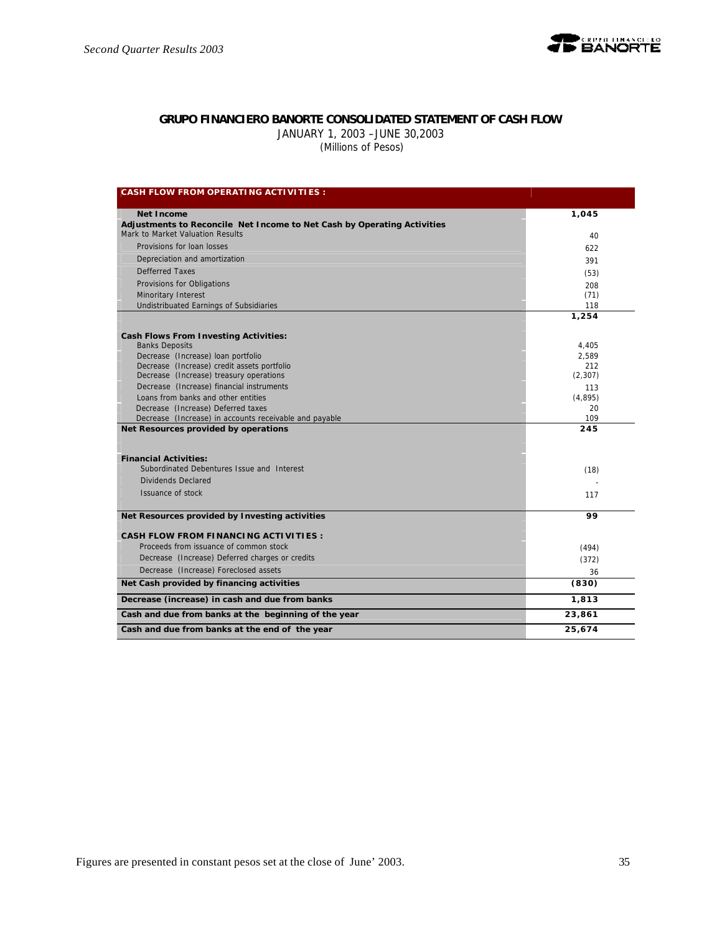

# **GRUPO FINANCIERO BANORTE CONSOLIDATED STATEMENT OF CASH FLOW**

JANUARY 1, 2003 –JUNE 30,2003  *(Millions of Pesos)*

| <b>CASH FLOW FROM OPERATING ACTIVITIES:</b>                             |          |
|-------------------------------------------------------------------------|----------|
| <b>Net Income</b>                                                       | 1.045    |
| Adjustments to Reconcile Net Income to Net Cash by Operating Activities |          |
| Mark to Market Valuation Results                                        | 40       |
| Provisions for loan losses                                              | 622      |
| Depreciation and amortization                                           | 391      |
| Defferred Taxes                                                         | (53)     |
| Provisions for Obligations                                              | 208      |
| Minoritary Interest                                                     | (71)     |
| Undistribuated Earnings of Subsidiaries                                 | 118      |
|                                                                         | 1,254    |
| <b>Cash Flows From Investing Activities:</b>                            |          |
| <b>Banks Deposits</b>                                                   | 4,405    |
| Decrease (Increase) loan portfolio                                      | 2,589    |
| Decrease (Increase) credit assets portfolio                             | 212      |
| Decrease (Increase) treasury operations                                 | (2, 307) |
| Decrease (Increase) financial instruments                               | 113      |
| Loans from banks and other entities                                     | (4,895)  |
| Decrease (Increase) Deferred taxes                                      | 20       |
| Decrease (Increase) in accounts receivable and payable                  | 109      |
| Net Resources provided by operations                                    | 245      |
|                                                                         |          |
| <b>Financial Activities:</b>                                            |          |
| Subordinated Debentures Issue and Interest                              | (18)     |
| Dividends Declared                                                      |          |
| Issuance of stock                                                       | 117      |
|                                                                         |          |
| Net Resources provided by Investing activities                          | 99       |
| <b>CASH FLOW FROM FINANCING ACTIVITIES:</b>                             |          |
| Proceeds from issuance of common stock                                  | (494)    |
| Decrease (Increase) Deferred charges or credits                         | (372)    |
| Decrease (Increase) Foreclosed assets                                   | 36       |
| Net Cash provided by financing activities                               | (830)    |
| Decrease (increase) in cash and due from banks                          | 1,813    |
| Cash and due from banks at the beginning of the year                    | 23,861   |
| Cash and due from banks at the end of the year                          | 25,674   |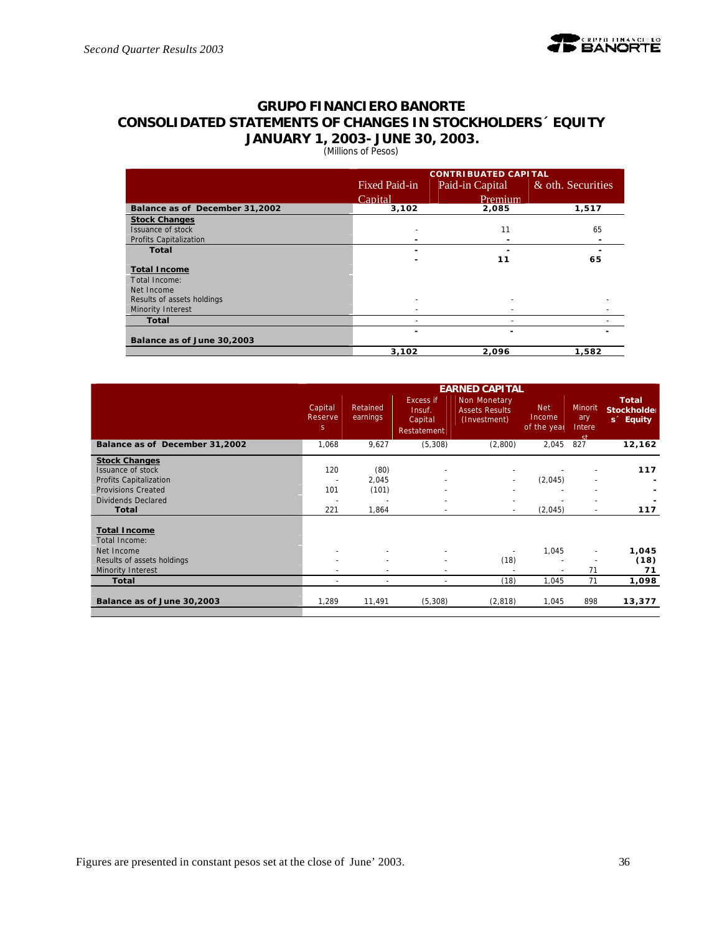# **GRUPO FINANCIERO BANORTE CONSOLIDATED STATEMENTS OF CHANGES IN STOCKHOLDERS´ EQUITY JANUARY 1, 2003- JUNE 30, 2003.**

(Millions of Pesos)

|                                | <b>CONTRIBUATED CAPITAL</b> |                 |                   |  |  |  |  |  |
|--------------------------------|-----------------------------|-----------------|-------------------|--|--|--|--|--|
|                                | <b>Fixed Paid-in</b>        | Paid-in Capital | & oth. Securities |  |  |  |  |  |
|                                | Capital                     | Premium         |                   |  |  |  |  |  |
| Balance as of December 31,2002 | 3,102                       | 2,085           | 1,517             |  |  |  |  |  |
| <b>Stock Changes</b>           |                             |                 |                   |  |  |  |  |  |
| Issuance of stock              |                             | 11              | 65                |  |  |  |  |  |
| Profits Capitalization         | -                           |                 |                   |  |  |  |  |  |
| <b>Total</b>                   | -                           |                 |                   |  |  |  |  |  |
|                                |                             | 11              | 65                |  |  |  |  |  |
| <b>Total Income</b>            |                             |                 |                   |  |  |  |  |  |
| Total Income:                  |                             |                 |                   |  |  |  |  |  |
| Net Income                     |                             |                 |                   |  |  |  |  |  |
| Results of assets holdings     |                             |                 |                   |  |  |  |  |  |
| Minority Interest              |                             |                 |                   |  |  |  |  |  |
| Total                          |                             |                 |                   |  |  |  |  |  |
|                                | ۰                           |                 |                   |  |  |  |  |  |
| Balance as of June 30,2003     |                             |                 |                   |  |  |  |  |  |
|                                | 3,102                       | 2,096           | 1,582             |  |  |  |  |  |

|                                | <b>EARNED CAPITAL</b>              |                          |                                               |                                                       |                                     |                                 |                                                      |  |  |
|--------------------------------|------------------------------------|--------------------------|-----------------------------------------------|-------------------------------------------------------|-------------------------------------|---------------------------------|------------------------------------------------------|--|--|
|                                | Capital<br>Reserve<br><sub>S</sub> | Retained<br>earnings     | Excess if<br>Insuf.<br>Capital<br>Restatement | Non Monetary<br><b>Assets Results</b><br>(Investment) | <b>Net</b><br>Income<br>of the year | Minorit<br>ary<br>Intere<br>-ct | <b>Total</b><br>Stockholder<br>s <sup>2</sup> Equity |  |  |
| Balance as of December 31,2002 | 1,068                              | 9,627                    | (5,308)                                       | (2,800)                                               | 2,045                               | 827                             | 12,162                                               |  |  |
| <b>Stock Changes</b>           |                                    |                          |                                               |                                                       |                                     |                                 |                                                      |  |  |
| Issuance of stock              | 120                                | (80)                     |                                               |                                                       |                                     |                                 | 117                                                  |  |  |
| Profits Capitalization         |                                    | 2,045                    |                                               |                                                       | (2,045)                             |                                 |                                                      |  |  |
| <b>Provisions Created</b>      | 101                                | (101)                    |                                               |                                                       |                                     |                                 |                                                      |  |  |
| Dividends Declared             |                                    |                          |                                               |                                                       |                                     |                                 |                                                      |  |  |
| Total                          | 221                                | 1,864                    |                                               |                                                       | (2,045)                             | $\overline{\phantom{a}}$        | 117                                                  |  |  |
|                                |                                    |                          |                                               |                                                       |                                     |                                 |                                                      |  |  |
| <b>Total Income</b>            |                                    |                          |                                               |                                                       |                                     |                                 |                                                      |  |  |
| Total Income:                  |                                    |                          |                                               |                                                       |                                     |                                 |                                                      |  |  |
| Net Income                     | $\overline{\phantom{a}}$           |                          |                                               |                                                       | 1,045                               | $\sim$                          | 1,045                                                |  |  |
| Results of assets holdings     |                                    |                          |                                               | (18)                                                  |                                     |                                 | (18)                                                 |  |  |
| Minority Interest              |                                    |                          |                                               |                                                       |                                     | 71                              | 71                                                   |  |  |
| Total                          | $\overline{\phantom{a}}$           | $\overline{\phantom{a}}$ | $\overline{\phantom{a}}$                      | (18)                                                  | 1,045                               | 71                              | 1,098                                                |  |  |
| Balance as of June 30,2003     | 1,289                              | 11,491                   | (5,308)                                       | (2,818)                                               | 1,045                               | 898                             | 13,377                                               |  |  |
|                                |                                    |                          |                                               |                                                       |                                     |                                 |                                                      |  |  |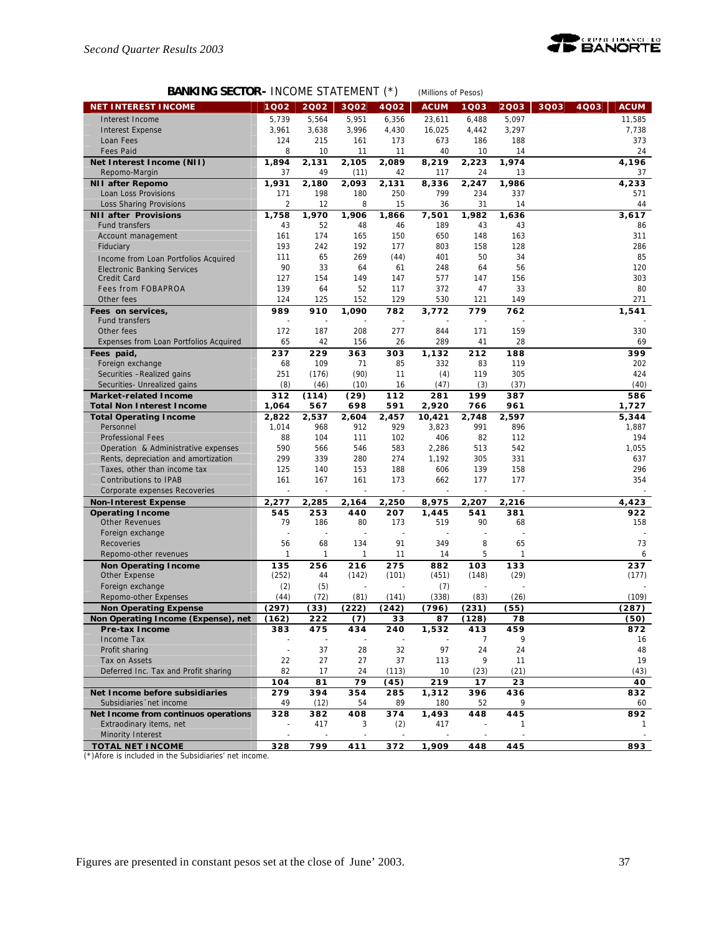

# **BANKING SECTOR-** INCOME STATEMENT (\*) *(Millions of Pesos)*

| <b>NET INTEREST INCOME</b>                                                  | 1Q02                  | 2002        | 3Q02       | 4Q02         | <b>ACUM</b>    | 1Q03         | 2003         | 3Q03 | <b>ACUM</b><br>4Q03 |
|-----------------------------------------------------------------------------|-----------------------|-------------|------------|--------------|----------------|--------------|--------------|------|---------------------|
| Interest Income                                                             | 5,739                 | 5,564       | 5,951      | 6,356        | 23,611         | 6,488        | 5,097        |      | 11,585              |
| <b>Interest Expense</b>                                                     | 3,961                 | 3,638       | 3,996      | 4,430        | 16,025         | 4,442        | 3,297        |      | 7,738               |
| Loan Fees                                                                   | 124                   | 215         | 161        | 173          | 673            | 186          | 188          |      | 373                 |
| <b>Fees Paid</b>                                                            | 8                     | 10          | 11         | 11           | 40             | 10           | 14           |      | 24                  |
| Net Interest Income (NII)                                                   | 1,894                 | 2,131       | 2,105      | 2,089        | 8,219          | 2,223        | 1,974        |      | 4,196               |
| Repomo-Margin                                                               | 37                    | 49          | (11)       | 42           | 117            | 24           | 13           |      | 37                  |
| <b>NII after Repomo</b>                                                     | 1,931                 | 2,180       | 2,093      | 2,131        | 8,336          | 2,247        | 1,986        |      | 4,233               |
| Loan Loss Provisions<br>Loss Sharing Provisions                             | 171<br>$\overline{2}$ | 198<br>12   | 180<br>8   | 250<br>15    | 799<br>36      | 234<br>31    | 337<br>14    |      | 571<br>44           |
| <b>NII after Provisions</b>                                                 | 1,758                 | 1,970       | 1,906      | 1,866        | 7,501          | 1,982        | 1,636        |      | 3,617               |
| <b>Fund transfers</b>                                                       | 43                    | 52          | 48         | 46           | 189            | 43           | 43           |      | 86                  |
| Account management                                                          | 161                   | 174         | 165        | 150          | 650            | 148          | 163          |      | 311                 |
| Fiduciary                                                                   | 193                   | 242         | 192        | 177          | 803            | 158          | 128          |      | 286                 |
| Income from Loan Portfolios Acquired                                        | 111                   | 65          | 269        | (44)         | 401            | 50           | 34           |      | 85                  |
| Electronic Banking Services                                                 | 90                    | 33          | 64         | 61           | 248            | 64           | 56           |      | 120                 |
| Credit Card                                                                 | 127                   | 154         | 149        | 147          | 577            | 147          | 156          |      | 303                 |
| <b>Fees from FOBAPROA</b>                                                   | 139                   | 64          | 52         | 117          | 372            | 47           | 33           |      | 80                  |
| Other fees                                                                  | 124                   | 125         | 152        | 129          | 530            | 121          | 149          |      | 271                 |
| Fees on services,                                                           | 989                   | 910         | 1,090      | 782          | 3,772          | 779          | 762          |      | 1,541               |
| <b>Fund transfers</b><br>Other fees                                         | 172                   | 187         | 208        | 277          | 844            | 171          | 159          |      | 330                 |
| Expenses from Loan Portfolios Acquired                                      | 65                    | 42          | 156        | 26           | 289            | 41           | 28           |      | 69                  |
| Fees paid,                                                                  | 237                   | 229         | 363        | 303          | 1,132          | 212          | 188          |      | 399                 |
| Foreign exchange                                                            | 68                    | 109         | 71         | 85           | 332            | 83           | 119          |      | 202                 |
| Securities -Realized gains                                                  | 251                   | (176)       | (90)       | 11           | (4)            | 119          | 305          |      | 424                 |
| Securities- Unrealized gains                                                | (8)                   | (46)        | (10)       | 16           | (47)           | (3)          | (37)         |      | (40)                |
| <b>Market-related Income</b>                                                | 312                   | (114)       | (29)       | 112          | 281            | 199          | 387          |      | 586                 |
| <b>Total Non Interest Income</b>                                            | 1.064                 | 567         | 698        | 591          | 2,920          | 766          | 961          |      | 1,727               |
| <b>Total Operating Income</b>                                               | 2,822                 | 2,537       | 2,604      | 2,457        | 10,421         | 2,748        | 2,597        |      | 5,344               |
| Personnel                                                                   | 1,014                 | 968         | 912        | 929          | 3,823          | 991          | 896          |      | 1,887               |
| <b>Professional Fees</b>                                                    | 88                    | 104         | 111        | 102          | 406            | 82           | 112          |      | 194                 |
| Operation & Administrative expenses<br>Rents, depreciation and amortization | 590<br>299            | 566<br>339  | 546<br>280 | 583<br>274   | 2,286<br>1,192 | 513<br>305   | 542<br>331   |      | 1,055<br>637        |
| Taxes, other than income tax                                                | 125                   | 140         | 153        | 188          | 606            | 139          | 158          |      | 296                 |
| Contributions to IPAB                                                       | 161                   | 167         | 161        | 173          | 662            | 177          | 177          |      | 354                 |
| Corporate expenses Recoveries                                               | L,                    | ÷,          | ÷,         | ÷,           | J.             | ÷,           |              |      |                     |
| <b>Non-Interest Expense</b>                                                 | 2,277                 | 2,285       | 2,164      | 2,250        | 8,975          | 2,207        | 2,216        |      | 4,423               |
| <b>Operating Income</b>                                                     | 545                   | 253         | 440        | 207          | 1,445          | 541          | 381          |      | 922                 |
| <b>Other Revenues</b>                                                       | 79                    | 186         | 80         | 173          | 519            | 90           | 68           |      | 158                 |
| Foreign exchange                                                            |                       |             |            |              |                |              |              |      |                     |
| Recoveries                                                                  | 56                    | 68          | 134        | 91           | 349            | 8            | 65           |      | 73                  |
| Repomo-other revenues                                                       | 1                     | 1           | 1          | 11           | 14             | 5            | $\mathbf{1}$ |      | 6                   |
| <b>Non Operating Income</b>                                                 | 135<br>(252)          | 256<br>44   | 216        | 275<br>(101) | 882<br>(451)   | 103<br>(148) | 133<br>(29)  |      | 237<br>(177)        |
| Other Expense<br>Foreign exchange                                           | (2)                   | (5)         | (142)      |              | (7)            |              |              |      |                     |
| Repomo-other Expenses                                                       | (44)                  | (72)        | (81)       | (141)        | (338)          | (83)         | (26)         |      | (109)               |
| <b>Non Operating Expense</b>                                                | (297)                 | (33)        | (222)      | (242)        | (796)          | (231)        | (55)         |      | (287)               |
| Non Operating Income (Expense), net                                         | (162)                 | 222         | (7)        | 33           | 87             | (128)        | 78           |      | (50)                |
| Pre-tax Income                                                              | 383                   | 475         | 434        | 240          | 1,532          | 413          | 459          |      | 872                 |
| Income Tax                                                                  |                       |             |            |              |                | 7            | 9            |      | 16                  |
| Profit sharing                                                              | $\sim$                | 37          | 28         | 32           | 97             | 24           | 24           |      | 48                  |
| Tax on Assets                                                               | 22                    | 27          | 27         | 37           | 113            | 9            | 11           |      | 19                  |
| Deferred Inc. Tax and Profit sharing                                        | 82                    | 17          | 24         | (113)        | 10             | (23)         | (21)         |      | (43)                |
|                                                                             | 104                   | 81          | 79         | (45)         | 219            | 17           | 23           |      | 40                  |
| Net Income before subsidiaries<br>Subsidiaries 'net income                  | 279<br>49             | 394<br>(12) | 354<br>54  | 285<br>89    | 1,312<br>180   | 396<br>52    | 436<br>9     |      | 832<br>60           |
| Net Income from continuos operations                                        | 328                   | 382         | 408        | 374          | 1,493          | 448          | 445          |      | 892                 |
| Extraodinary items, net                                                     | ÷,                    | 417         | 3          | (2)          | 417            |              | 1            |      | 1                   |
| Minority Interest                                                           | ä,                    |             |            |              |                | $\sim$       | ÷,           |      |                     |
| <b>TOTAL NET INCOME</b>                                                     | 328                   | 799         | 411        | 372          | 1,909          | 448          | 445          |      | 893                 |

(\*)Afore is included in the Subsidiaries' net income.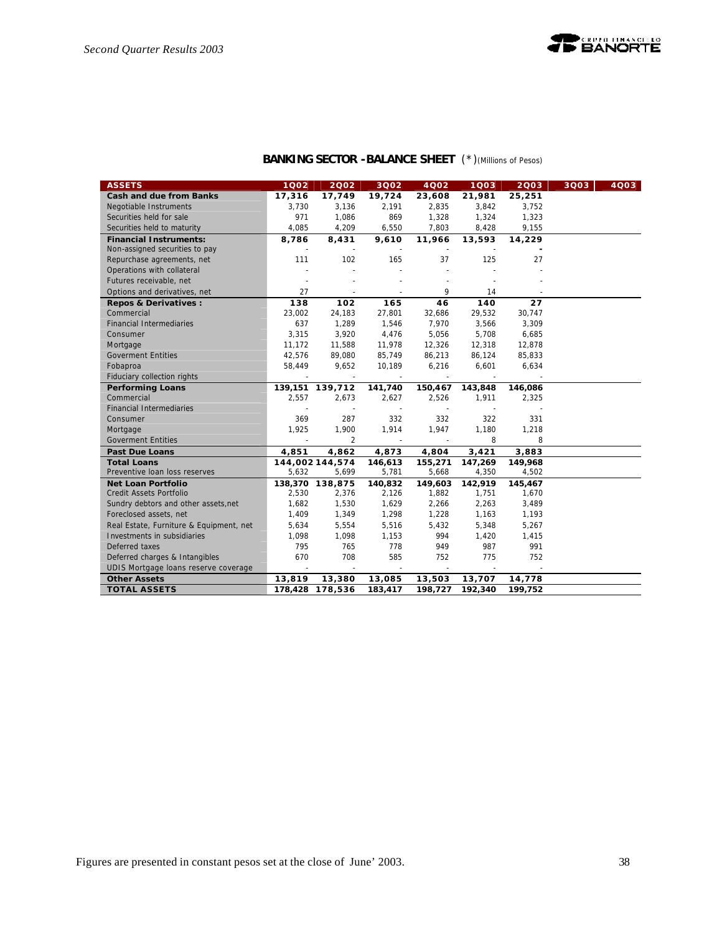| <b>ASSETS</b>                           | 1002                     | 2002                     | 3Q02                     | 4Q02    | 1Q03    | 2003    | 3Q03 | 4003 |
|-----------------------------------------|--------------------------|--------------------------|--------------------------|---------|---------|---------|------|------|
| <b>Cash and due from Banks</b>          | 17,316                   | 17,749                   | 19,724                   | 23,608  | 21,981  | 25,251  |      |      |
| Negotiable Instruments                  | 3,730                    | 3,136                    | 2,191                    | 2,835   | 3,842   | 3,752   |      |      |
| Securities held for sale                | 971                      | 1,086                    | 869                      | 1,328   | 1,324   | 1,323   |      |      |
| Securities held to maturity             | 4,085                    | 4,209                    | 6,550                    | 7,803   | 8,428   | 9,155   |      |      |
| <b>Financial Instruments:</b>           | 8,786                    | 8,431                    | 9,610                    | 11,966  | 13,593  | 14,229  |      |      |
| Non-assigned securities to pay          |                          | $\overline{\phantom{a}}$ | $\overline{\phantom{a}}$ | $\sim$  | $\sim$  |         |      |      |
| Repurchase agreements, net              | 111                      | 102                      | 165                      | 37      | 125     | 27      |      |      |
| Operations with collateral              |                          |                          |                          |         |         |         |      |      |
| Futures receivable, net                 |                          |                          |                          |         |         |         |      |      |
| Options and derivatives, net            | 27                       |                          |                          | 9       | 14      |         |      |      |
| <b>Repos &amp; Derivatives:</b>         | 138                      | 102                      | 165                      | 46      | 140     | 27      |      |      |
| Commercial                              | 23,002                   | 24,183                   | 27,801                   | 32,686  | 29,532  | 30,747  |      |      |
| <b>Financial Intermediaries</b>         | 637                      | 1,289                    | 1,546                    | 7,970   | 3,566   | 3,309   |      |      |
| Consumer                                | 3,315                    | 3,920                    | 4,476                    | 5,056   | 5,708   | 6,685   |      |      |
| Mortgage                                | 11,172                   | 11,588                   | 11,978                   | 12,326  | 12,318  | 12,878  |      |      |
| <b>Goverment Entities</b>               | 42,576                   | 89,080                   | 85,749                   | 86,213  | 86,124  | 85,833  |      |      |
| Fobaproa                                | 58,449                   | 9,652                    | 10,189                   | 6,216   | 6,601   | 6,634   |      |      |
| Fiduciary collection rights             | $\overline{\phantom{a}}$ | $\mathbf{r}$             | $\blacksquare$           | $\sim$  | $\sim$  |         |      |      |
| <b>Performing Loans</b>                 |                          | 139,151 139,712          | 141,740                  | 150,467 | 143,848 | 146,086 |      |      |
| Commercial                              | 2,557                    | 2,673                    | 2,627                    | 2,526   | 1,911   | 2,325   |      |      |
| <b>Financial Intermediaries</b>         |                          |                          |                          |         |         |         |      |      |
| Consumer                                | 369                      | 287                      | 332                      | 332     | 322     | 331     |      |      |
| Mortgage                                | 1,925                    | 1,900                    | 1,914                    | 1,947   | 1,180   | 1,218   |      |      |
| <b>Goverment Entities</b>               |                          | $\overline{2}$           |                          |         | 8       | 8       |      |      |
| <b>Past Due Loans</b>                   | 4,851                    | 4,862                    | 4,873                    | 4,804   | 3,421   | 3,883   |      |      |
| <b>Total Loans</b>                      |                          | 144,002 144,574          | 146,613                  | 155,271 | 147,269 | 149,968 |      |      |
| Preventive Ioan loss reserves           | 5,632                    | 5,699                    | 5,781                    | 5,668   | 4,350   | 4,502   |      |      |
| <b>Net Loan Portfolio</b>               |                          | 138,370 138,875          | 140,832                  | 149,603 | 142,919 | 145,467 |      |      |
| Credit Assets Portfolio                 | 2,530                    | 2,376                    | 2,126                    | 1,882   | 1,751   | 1,670   |      |      |
| Sundry debtors and other assets, net    | 1,682                    | 1,530                    | 1,629                    | 2,266   | 2,263   | 3,489   |      |      |
| Foreclosed assets, net                  | 1,409                    | 1,349                    | 1,298                    | 1,228   | 1,163   | 1,193   |      |      |
| Real Estate, Furniture & Equipment, net | 5,634                    | 5,554                    | 5,516                    | 5,432   | 5,348   | 5,267   |      |      |
| Investments in subsidiaries             | 1,098                    | 1,098                    | 1,153                    | 994     | 1,420   | 1,415   |      |      |
| Deferred taxes                          | 795                      | 765                      | 778                      | 949     | 987     | 991     |      |      |
| Deferred charges & Intangibles          | 670                      | 708                      | 585                      | 752     | 775     | 752     |      |      |
| UDIS Mortgage Ioans reserve coverage    |                          |                          |                          |         |         |         |      |      |
| <b>Other Assets</b>                     | 13,819                   | 13,380                   | 13,085                   | 13,503  | 13,707  | 14,778  |      |      |
| <b>TOTAL ASSETS</b>                     |                          | 178,428 178,536          | 183,417                  | 198,727 | 192,340 | 199,752 |      |      |

# **BANKING SECTOR -BALANCE SHEET** (\*)*(Millions of Pesos)*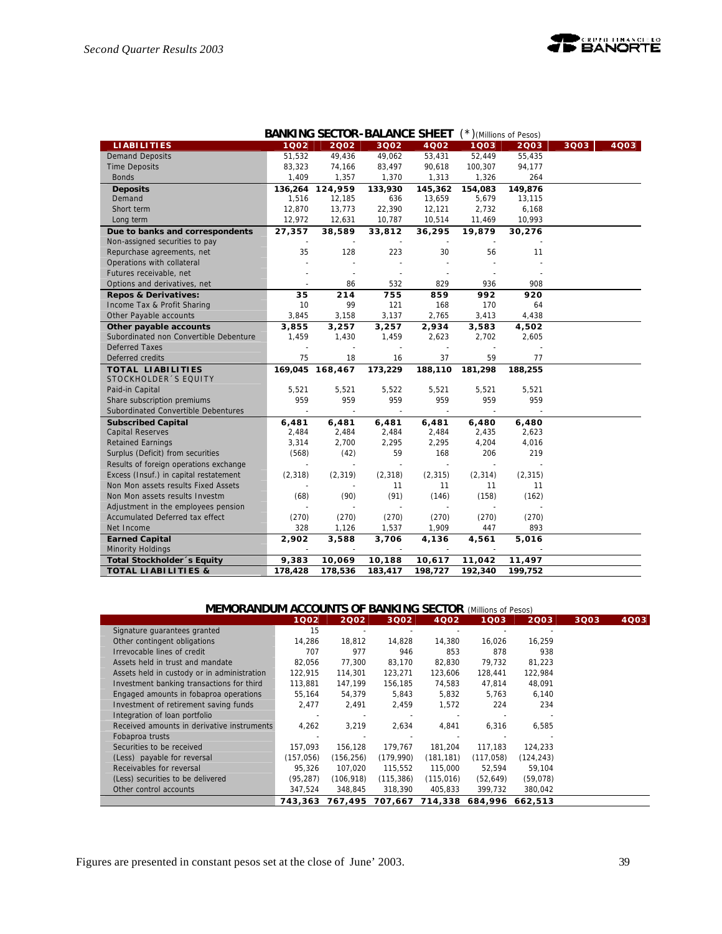

|                                        |                          | <b>BANKING SECTOR-BALANCE SHEET</b> |                          |          | $(*)$ (Millions of Pesos) |          |      |      |
|----------------------------------------|--------------------------|-------------------------------------|--------------------------|----------|---------------------------|----------|------|------|
| <b>LIABILITIES</b>                     | 1002                     | 2002                                | 3Q02                     | 4Q02     | $1003$                    | 2003     | 3Q03 | 4003 |
| <b>Demand Deposits</b>                 | 51,532                   | 49,436                              | 49,062                   | 53,431   | 52,449                    | 55,435   |      |      |
| <b>Time Deposits</b>                   | 83,323                   | 74,166                              | 83,497                   | 90,618   | 100,307                   | 94,177   |      |      |
| <b>Bonds</b>                           | 1,409                    | 1,357                               | 1,370                    | 1,313    | 1,326                     | 264      |      |      |
| <b>Deposits</b>                        | 136,264                  | 124,959                             | 133,930                  | 145,362  | 154,083                   | 149,876  |      |      |
| Demand                                 | 1,516                    | 12,185                              | 636                      | 13,659   | 5,679                     | 13,115   |      |      |
| Short term                             | 12,870                   | 13,773                              | 22,390                   | 12,121   | 2,732                     | 6,168    |      |      |
| Long term                              | 12,972                   | 12,631                              | 10,787                   | 10,514   | 11,469                    | 10,993   |      |      |
| Due to banks and correspondents        | 27,357                   | 38,589                              | 33,812                   | 36,295   | 19,879                    | 30,276   |      |      |
| Non-assigned securities to pay         |                          |                                     |                          |          |                           |          |      |      |
| Repurchase agreements, net             | 35                       | 128                                 | 223                      | 30       | 56                        | 11       |      |      |
| Operations with collateral             |                          |                                     |                          |          |                           |          |      |      |
| Futures receivable, net                |                          |                                     |                          |          |                           |          |      |      |
| Options and derivatives, net           | $\overline{\phantom{a}}$ | 86                                  | 532                      | 829      | 936                       | 908      |      |      |
| <b>Repos &amp; Derivatives:</b>        | 35                       | 214                                 | 755                      | 859      | 992                       | 920      |      |      |
| Income Tax & Profit Sharing            | 10                       | 99                                  | 121                      | 168      | 170                       | 64       |      |      |
| Other Payable accounts                 | 3,845                    | 3,158                               | 3,137                    | 2,765    | 3,413                     | 4,438    |      |      |
| Other payable accounts                 | 3,855                    | 3,257                               | 3,257                    | 2,934    | 3,583                     | 4,502    |      |      |
| Subordinated non Convertible Debenture | 1,459                    | 1,430                               | 1,459                    | 2,623    | 2,702                     | 2,605    |      |      |
| <b>Deferred Taxes</b>                  |                          |                                     |                          |          |                           |          |      |      |
| Deferred credits                       | 75                       | 18                                  | 16                       | 37       | 59                        | 77       |      |      |
| <b>TOTAL LIABILITIES</b>               | 169,045                  | 168,467                             | 173,229                  | 188,110  | 181,298                   | 188,255  |      |      |
| STOCKHOLDER 'S EQUITY                  |                          |                                     |                          |          |                           |          |      |      |
| Paid-in Capital                        | 5,521                    | 5,521                               | 5,522                    | 5,521    | 5,521                     | 5,521    |      |      |
| Share subscription premiums            | 959                      | 959                                 | 959                      | 959      | 959                       | 959      |      |      |
| Subordinated Convertible Debentures    |                          | $\sim$                              | $\sim$                   |          |                           |          |      |      |
| <b>Subscribed Capital</b>              | 6,481                    | 6,481                               | 6,481                    | 6,481    | 6,480                     | 6,480    |      |      |
| <b>Capital Reserves</b>                | 2,484                    | 2,484                               | 2,484                    | 2,484    | 2,435                     | 2,623    |      |      |
| <b>Retained Earnings</b>               | 3,314                    | 2,700                               | 2,295                    | 2,295    | 4,204                     | 4,016    |      |      |
| Surplus (Deficit) from securities      | (568)                    | (42)                                | 59                       | 168      | 206                       | 219      |      |      |
| Results of foreign operations exchange | ÷,                       | $\overline{a}$                      | $\sim$                   | $\sim$   | $\sim$                    |          |      |      |
| Excess (Insuf.) in capital restatement | (2, 318)                 | (2, 319)                            | (2, 318)                 | (2, 315) | (2, 314)                  | (2, 315) |      |      |
| Non Mon assets results Fixed Assets    |                          |                                     | 11                       | 11       | 11                        | 11       |      |      |
| Non Mon assets results Investm         | (68)                     | (90)                                | (91)                     | (146)    | (158)                     | (162)    |      |      |
| Adjustment in the employees pension    |                          |                                     |                          |          |                           |          |      |      |
| Accumulated Deferred tax effect        | (270)                    | (270)                               | (270)                    | (270)    | (270)                     | (270)    |      |      |
| Net Income                             | 328                      | 1,126                               | 1,537                    | 1,909    | 447                       | 893      |      |      |
| <b>Earned Capital</b>                  | 2,902                    | 3,588                               | 3,706                    | 4,136    | 4,561                     | 5,016    |      |      |
| Minority Holdings                      |                          | $\overline{\phantom{a}}$            | $\overline{\phantom{a}}$ |          |                           |          |      |      |
| Total Stockholder's Equity             | 9,383                    | 10,069                              | 10,188                   | 10,617   | 11,042                    | 11,497   |      |      |
| <b>TOTAL LIABILITIES &amp;</b>         | 178,428                  | 178,536                             | 183,417                  | 198,727  | 192,340                   | 199.752  |      |      |

| <b>MEMORANDUM ACCOUNTS OF BANKING SECTOR (Millions of Pesos)</b> |  |  |
|------------------------------------------------------------------|--|--|
|------------------------------------------------------------------|--|--|

|                                             | 1Q02      | 2002       | 3002       | 4Q02            | 1Q03       | 2003       | 3Q03 | 4Q03 |
|---------------------------------------------|-----------|------------|------------|-----------------|------------|------------|------|------|
| Signature guarantees granted                | 15        |            |            |                 |            |            |      |      |
| Other contingent obligations                | 14,286    | 18,812     | 14.828     | 14,380          | 16,026     | 16.259     |      |      |
| Irrevocable lines of credit                 | 707       | 977        | 946        | 853             | 878        | 938        |      |      |
| Assets held in trust and mandate            | 82.056    | 77.300     | 83.170     | 82,830          | 79.732     | 81.223     |      |      |
| Assets held in custody or in administration | 122.915   | 114,301    | 123,271    | 123.606         | 128,441    | 122,984    |      |      |
| Investment banking transactions for third   | 113,881   | 147,199    | 156,185    | 74,583          | 47,814     | 48,091     |      |      |
| Engaged amounts in fobaproa operations      | 55,164    | 54,379     | 5,843      | 5,832           | 5,763      | 6,140      |      |      |
| Investment of retirement saving funds       | 2,477     | 2,491      | 2,459      | 1,572           | 224        | 234        |      |      |
| Integration of loan portfolio               |           |            |            |                 |            |            |      |      |
| Received amounts in derivative instruments  | 4,262     | 3,219      | 2,634      | 4,841           | 6,316      | 6,585      |      |      |
| Fobaproa trusts                             |           |            |            |                 |            |            |      |      |
| Securities to be received                   | 157.093   | 156.128    | 179.767    | 181.204         | 117.183    | 124,233    |      |      |
| (Less) payable for reversal                 | (157,056) | (156, 256) | (179,990)  | (181, 181)      | (117, 058) | (124, 243) |      |      |
| Receivables for reversal                    | 95.326    | 107,020    | 115,552    | 115,000         | 52,594     | 59,104     |      |      |
| (Less) securities to be delivered           | (95, 287) | (106, 918) | (115, 386) | (115, 016)      | (52, 649)  | (59,078)   |      |      |
| Other control accounts                      | 347,524   | 348,845    | 318,390    | 405,833         | 399,732    | 380,042    |      |      |
|                                             | 743,363   | 767.495    |            | 707,667 714,338 | 684,996    | 662.513    |      |      |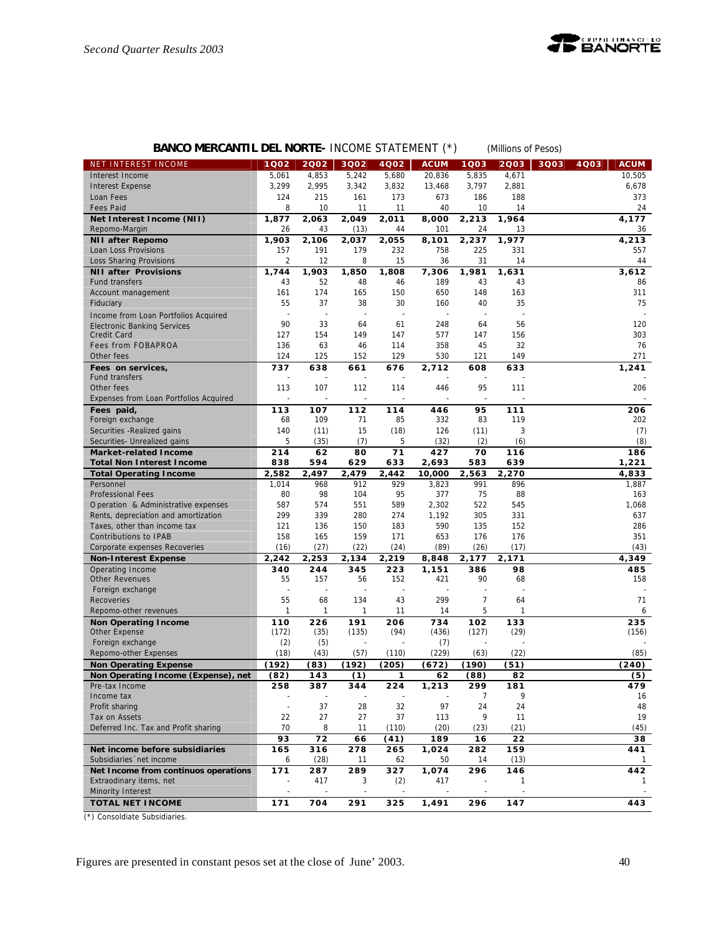

# **BANCO MERCANTIL DEL NORTE-** INCOME STATEMENT (\*) *(Millions of Pesos)*

| NET INTEREST INCOME                    | 1Q02           | 2002  | 3Q02  | 4Q02  | <b>ACUM</b> | 1Q03                 | 2Q03         | 3Q03 | <b>ACUM</b><br>4Q03 |
|----------------------------------------|----------------|-------|-------|-------|-------------|----------------------|--------------|------|---------------------|
| Interest Income                        | 5,061          | 4,853 | 5,242 | 5,680 | 20,836      | 5,835                | 4,671        |      | 10.505              |
| <b>Interest Expense</b>                | 3,299          | 2,995 | 3,342 | 3,832 | 13,468      | 3,797                | 2,881        |      | 6,678               |
| Loan Fees                              | 124            | 215   | 161   | 173   | 673         | 186                  | 188          |      | 373                 |
| <b>Fees Paid</b>                       | 8              | 10    | 11    | 11    | 40          | 10                   | 14           |      | 24                  |
| Net Interest Income (NII)              | 1,877          | 2,063 | 2.049 | 2.011 | 8,000       | 2,213                | 1,964        |      | 4,177               |
| Repomo-Margin                          | 26             | 43    | (13)  | 44    | 101         | 24                   | 13           |      | 36                  |
| <b>NII after Repomo</b>                | 1,903          | 2,106 | 2,037 | 2.055 | 8,101       | 2,237                | 1,977        |      | 4,213               |
| Loan Loss Provisions                   | 157            | 191   | 179   | 232   | 758         | 225                  | 331          |      | 557                 |
| Loss Sharing Provisions                | $\overline{2}$ | 12    | 8     | 15    | 36          | 31                   | 14           |      | 44                  |
| <b>NII after Provisions</b>            | 1,744          | 1,903 | 1,850 | 1,808 | 7,306       | 1,981                | 1,631        |      | 3,612               |
| <b>Fund transfers</b>                  | 43             | 52    | 48    | 46    | 189         | 43                   | 43           |      | 86                  |
| Account management                     | 161            | 174   | 165   | 150   | 650         | 148                  | 163          |      | 311                 |
| Fiduciary                              | 55             | 37    | 38    | 30    | 160         | 40                   | 35           |      | 75                  |
| Income from Loan Portfolios Acquired   |                | ä,    | ÷,    |       | $\sim$      | ä,                   |              |      |                     |
| <b>Electronic Banking Services</b>     | 90             | 33    | 64    | 61    | 248         | 64                   | 56           |      | 120                 |
| Credit Card                            | 127            | 154   | 149   | 147   | 577         | 147                  | 156          |      | 303                 |
| <b>Fees from FOBAPROA</b>              | 136            | 63    | 46    | 114   | 358         | 45                   | 32           |      | 76                  |
| Other fees                             | 124            | 125   | 152   | 129   | 530         | 121                  | 149          |      | 271                 |
| Fees on services,                      | 737            | 638   | 661   | 676   | 2,712       | 608                  | 633          |      | 1,241               |
| <b>Fund transfers</b>                  |                |       | ÷,    |       |             |                      |              |      |                     |
| Other fees                             | 113            | 107   | 112   | 114   | 446         | 95                   | 111          |      | 206                 |
| Expenses from Loan Portfolios Acquired |                |       |       |       |             |                      |              |      |                     |
| Fees paid,                             | 113            | 107   | 112   | 114   | 446         | 95                   | 111          |      | 206                 |
| Foreign exchange                       | 68             | 109   | 71    | 85    | 332         | 83                   | 119          |      | 202                 |
| Securities - Realized gains            | 140            | (11)  | 15    | (18)  | 126         | (11)                 | 3            |      | (7)                 |
| Securities- Unrealized gains           | 5              | (35)  | (7)   | 5     | (32)        | (2)                  | (6)          |      | (8)                 |
| <b>Market-related Income</b>           | 214            | 62    | 80    | 71    | 427         | 70                   | 116          |      | 186                 |
| <b>Total Non Interest Income</b>       | 838            | 594   | 629   | 633   | 2,693       | 583                  | 639          |      | 1,221               |
| <b>Total Operating Income</b>          | 2,582          | 2,497 | 2.479 | 2,442 | 10,000      | 2,563                | 2,270        |      | 4,833               |
| Personnel                              | 1,014          | 968   | 912   | 929   | 3,823       | 991                  | 896          |      | 1,887               |
| <b>Professional Fees</b>               | 80             | 98    | 104   | 95    | 377         | 75                   | 88           |      | 163                 |
| Operation & Administrative expenses    | 587            | 574   | 551   | 589   | 2,302       | 522                  | 545          |      | 1,068               |
| Rents, depreciation and amortization   | 299            | 339   | 280   | 274   | 1,192       | 305                  | 331          |      | 637                 |
| Taxes, other than income tax           | 121            | 136   | 150   | 183   | 590         | 135                  | 152          |      | 286                 |
| Contributions to IPAB                  | 158            | 165   | 159   | 171   | 653         | 176                  | 176          |      | 351                 |
| Corporate expenses Recoveries          | (16)           | (27)  | (22)  | (24)  | (89)        | (26)                 | (17)         |      | (43)                |
| <b>Non-Interest Expense</b>            | 2,242          | 2,253 | 2,134 | 2,219 | 8,848       | 2,177                | 2,171        |      | 4,349               |
| Operating Income                       | 340            | 244   | 345   | 223   | 1,151       | 386                  | 98           |      | 485                 |
| <b>Other Revenues</b>                  | 55             | 157   | 56    | 152   | 421         | 90                   | 68           |      | 158                 |
| Foreign exchange                       | ÷,             | ä,    | ÷,    | ÷,    |             | $\ddot{\phantom{1}}$ |              |      |                     |
| Recoveries                             | 55             | 68    | 134   | 43    | 299         | 7                    | 64           |      | 71                  |
| Repomo-other revenues                  | 1              | 1     | 1     | 11    | 14          | 5                    | 1            |      | 6                   |
| <b>Non Operating Income</b>            | 110            | 226   | 191   | 206   | 734         | 102                  | 133          |      | 235                 |
| Other Expense                          | (172)          | (35)  | (135) | (94)  | (436)       | (127)                | (29)         |      | (156)               |
| Foreign exchange                       | (2)            | (5)   |       |       | (7)         |                      |              |      |                     |
| Repomo-other Expenses                  | (18)           | (43)  | (57)  | (110) | (229)       | (63)                 | (22)         |      | (85)                |
| <b>Non Operating Expense</b>           | (192)          | (83)  | (192) | (205) | (672)       | (190)                | (51)         |      | (240)               |
| Non Operating Income (Expense), net    | (82)           | 143   | (1)   | 1     | 62          | (88)                 | 82           |      | (5)                 |
| Pre-tax Income                         | 258            | 387   | 344   | 224   | 1,213       | 299                  | 181          |      | 479                 |
| Income tax                             |                |       |       |       |             | 7                    | 9            |      | 16                  |
| Profit sharing                         | $\bar{z}$      | 37    | 28    | 32    | 97          | 24                   | 24           |      | 48                  |
| Tax on Assets                          | 22             | 27    | 27    | 37    | 113         | 9                    | 11           |      | 19                  |
| Deferred Inc. Tax and Profit sharing   | 70             | 8     | 11    | (110) | (20)        | (23)                 | (21)         |      | (45)                |
|                                        | 93             | 72    | 66    | (41)  | 189         | 16                   | 22           |      | 38                  |
| Net income before subsidiaries         | 165            | 316   | 278   | 265   | 1,024       | 282                  | 159          |      | 441                 |
| Subsidiaries 'net income               | 6              | (28)  | 11    | 62    | 50          | 14                   | (13)         |      | 1                   |
| Net Income from continuos operations   | 171            | 287   | 289   | 327   | 1,074       | 296                  | 146          |      | 442                 |
| Extraodinary items, net                |                | 417   | 3     | (2)   | 417         |                      | $\mathbf{1}$ |      | 1                   |
| Minority Interest                      |                |       |       |       |             |                      |              |      |                     |
| <b>TOTAL NET INCOME</b>                | 171            | 704   | 291   | 325   | 1,491       | 296                  | 147          |      | 443                 |
|                                        |                |       |       |       |             |                      |              |      |                     |

(\*) Consoldiate Subsidiaries.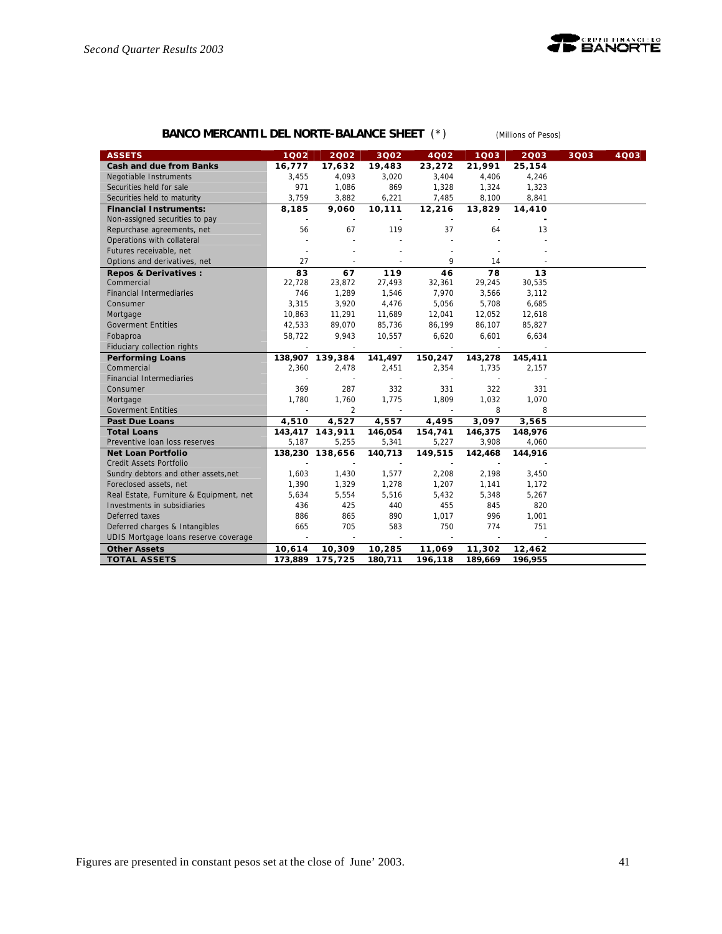

# **BANCO MERCANTIL DEL NORTE-BALANCE SHEET** (\*) *(Millions of Pesos)*

| <b>ASSETS</b>                           | 1002                     | 2002            | 3002                     | 4002    | 1003    | 2003    | 3Q03 | 4Q03 |
|-----------------------------------------|--------------------------|-----------------|--------------------------|---------|---------|---------|------|------|
| <b>Cash and due from Banks</b>          | 16,777                   | 17,632          | 19,483                   | 23,272  | 21,991  | 25,154  |      |      |
| Negotiable Instruments                  | 3,455                    | 4,093           | 3,020                    | 3,404   | 4,406   | 4,246   |      |      |
| Securities held for sale                | 971                      | 1,086           | 869                      | 1,328   | 1,324   | 1,323   |      |      |
| Securities held to maturity             | 3,759                    | 3,882           | 6,221                    | 7,485   | 8,100   | 8,841   |      |      |
| <b>Financial Instruments:</b>           | 8,185                    | 9,060           | 10,111                   | 12,216  | 13,829  | 14,410  |      |      |
| Non-assigned securities to pay          |                          |                 |                          |         |         |         |      |      |
| Repurchase agreements, net              | 56                       | 67              | 119                      | 37      | 64      | 13      |      |      |
| Operations with collateral              |                          |                 |                          |         |         |         |      |      |
| Futures receivable, net                 |                          |                 |                          |         |         |         |      |      |
| Options and derivatives, net            | 27                       |                 |                          | 9       | 14      |         |      |      |
| Repos & Derivatives :                   | 83                       | 67              | 119                      | 46      | 78      | 13      |      |      |
| Commercial                              | 22,728                   | 23,872          | 27,493                   | 32,361  | 29,245  | 30,535  |      |      |
| <b>Financial Intermediaries</b>         | 746                      | 1,289           | 1,546                    | 7,970   | 3,566   | 3,112   |      |      |
| Consumer                                | 3,315                    | 3,920           | 4,476                    | 5,056   | 5,708   | 6,685   |      |      |
| Mortgage                                | 10,863                   | 11,291          | 11,689                   | 12,041  | 12,052  | 12,618  |      |      |
| <b>Goverment Entities</b>               | 42,533                   | 89,070          | 85,736                   | 86,199  | 86,107  | 85,827  |      |      |
| Fobaproa                                | 58,722                   | 9,943           | 10,557                   | 6,620   | 6,601   | 6,634   |      |      |
| Fiduciary collection rights             |                          |                 |                          |         |         |         |      |      |
| <b>Performing Loans</b>                 |                          | 138,907 139,384 | 141,497                  | 150,247 | 143,278 | 145,411 |      |      |
| Commercial                              | 2,360                    | 2,478           | 2,451                    | 2,354   | 1,735   | 2,157   |      |      |
| <b>Financial Intermediaries</b>         |                          |                 | $\sim$                   |         |         |         |      |      |
| Consumer                                | 369                      | 287             | 332                      | 331     | 322     | 331     |      |      |
| Mortgage                                | 1,780                    | 1,760           | 1,775                    | 1,809   | 1,032   | 1,070   |      |      |
| <b>Goverment Entities</b>               |                          | $\overline{2}$  |                          |         | 8       | 8       |      |      |
| <b>Past Due Loans</b>                   | 4,510                    | 4,527           | 4,557                    | 4,495   | 3,097   | 3,565   |      |      |
| <b>Total Loans</b>                      |                          | 143,417 143,911 | 146,054                  | 154,741 | 146,375 | 148,976 |      |      |
| Preventive Ioan loss reserves           | 5,187                    | 5,255           | 5,341                    | 5,227   | 3,908   | 4,060   |      |      |
| <b>Net Loan Portfolio</b>               |                          | 138,230 138,656 | 140,713                  | 149,515 | 142,468 | 144,916 |      |      |
| Credit Assets Portfolio                 |                          |                 |                          |         |         |         |      |      |
| Sundry debtors and other assets, net    | 1,603                    | 1,430           | 1,577                    | 2,208   | 2,198   | 3,450   |      |      |
| Foreclosed assets, net                  | 1,390                    | 1,329           | 1,278                    | 1,207   | 1,141   | 1,172   |      |      |
| Real Estate, Furniture & Equipment, net | 5,634                    | 5,554           | 5,516                    | 5,432   | 5,348   | 5,267   |      |      |
| Investments in subsidiaries             | 436                      | 425             | 440                      | 455     | 845     | 820     |      |      |
| Deferred taxes                          | 886                      | 865             | 890                      | 1,017   | 996     | 1,001   |      |      |
| Deferred charges & Intangibles          | 665                      | 705             | 583                      | 750     | 774     | 751     |      |      |
| UDIS Mortgage loans reserve coverage    | $\overline{\phantom{a}}$ |                 | $\overline{\phantom{a}}$ | $\sim$  |         |         |      |      |
| <b>Other Assets</b>                     | 10,614                   | 10,309          | 10,285                   | 11,069  | 11,302  | 12,462  |      |      |
| <b>TOTAL ASSETS</b>                     | 173,889                  | 175,725         | 180,711                  | 196,118 | 189,669 | 196,955 |      |      |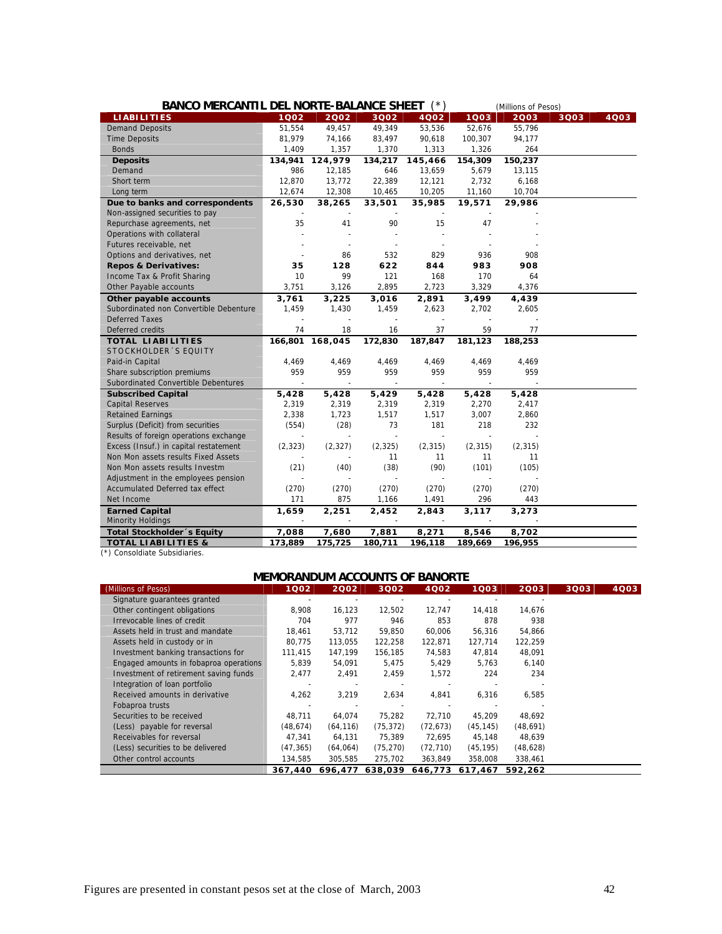| BANCO MERCANTIL DEL NORTE-BALANCE SHEET (*) |          |                 |          |          |          | (Millions of Pesos) |      |      |
|---------------------------------------------|----------|-----------------|----------|----------|----------|---------------------|------|------|
| <b>LIABILITIES</b>                          | 1002     | 2002            | 3Q02     | 4Q02     | 1003     | 2003                | 3Q03 | 4003 |
| <b>Demand Deposits</b>                      | 51,554   | 49,457          | 49,349   | 53,536   | 52,676   | 55,796              |      |      |
| <b>Time Deposits</b>                        | 81,979   | 74,166          | 83,497   | 90,618   | 100,307  | 94,177              |      |      |
| <b>Bonds</b>                                | 1,409    | 1,357           | 1,370    | 1,313    | 1,326    | 264                 |      |      |
| <b>Deposits</b>                             | 134,941  | 124,979         | 134,217  | 145,466  | 154,309  | 150,237             |      |      |
| Demand                                      | 986      | 12,185          | 646      | 13,659   | 5,679    | 13,115              |      |      |
| Short term                                  | 12,870   | 13,772          | 22,389   | 12,121   | 2,732    | 6,168               |      |      |
| Long term                                   | 12,674   | 12,308          | 10,465   | 10,205   | 11,160   | 10,704              |      |      |
| Due to banks and correspondents             | 26,530   | 38,265          | 33,501   | 35,985   | 19,571   | 29,986              |      |      |
| Non-assigned securities to pay              |          |                 |          |          |          |                     |      |      |
| Repurchase agreements, net                  | 35       | 41              | 90       | 15       | 47       |                     |      |      |
| Operations with collateral                  |          |                 |          |          |          |                     |      |      |
| Futures receivable, net                     |          |                 |          |          |          |                     |      |      |
| Options and derivatives, net                |          | 86              | 532      | 829      | 936      | 908                 |      |      |
| <b>Repos &amp; Derivatives:</b>             | 35       | 128             | 622      | 844      | 983      | 908                 |      |      |
| Income Tax & Profit Sharing                 | 10       | 99              | 121      | 168      | 170      | 64                  |      |      |
| Other Payable accounts                      | 3,751    | 3,126           | 2,895    | 2,723    | 3,329    | 4,376               |      |      |
| Other payable accounts                      | 3,761    | 3,225           | 3,016    | 2,891    | 3,499    | 4,439               |      |      |
| Subordinated non Convertible Debenture      | 1,459    | 1,430           | 1,459    | 2,623    | 2,702    | 2,605               |      |      |
| <b>Deferred Taxes</b>                       |          |                 | ÷,       |          | ÷,       |                     |      |      |
| Deferred credits                            | 74       | 18              | 16       | 37       | 59       | 77                  |      |      |
| <b>TOTAL LIABILITIES</b>                    |          | 166,801 168,045 | 172,830  | 187,847  | 181,123  | 188,253             |      |      |
| STOCKHOLDER 'S EQUITY                       |          |                 |          |          |          |                     |      |      |
| Paid-in Capital                             | 4,469    | 4,469           | 4,469    | 4,469    | 4,469    | 4,469               |      |      |
| Share subscription premiums                 | 959      | 959             | 959      | 959      | 959      | 959                 |      |      |
| Subordinated Convertible Debentures         |          |                 |          |          |          |                     |      |      |
| <b>Subscribed Capital</b>                   | 5,428    | 5,428           | 5,429    | 5,428    | 5,428    | 5,428               |      |      |
| <b>Capital Reserves</b>                     | 2,319    | 2,319           | 2,319    | 2,319    | 2,270    | 2,417               |      |      |
| <b>Retained Earnings</b>                    | 2,338    | 1,723           | 1,517    | 1,517    | 3,007    | 2,860               |      |      |
| Surplus (Deficit) from securities           | (554)    | (28)            | 73       | 181      | 218      | 232                 |      |      |
| Results of foreign operations exchange      |          |                 | ä,       |          | ÷,       |                     |      |      |
| Excess (Insuf.) in capital restatement      | (2, 323) | (2, 327)        | (2, 325) | (2, 315) | (2, 315) | (2, 315)            |      |      |
| Non Mon assets results Fixed Assets         |          |                 | 11       | 11       | 11       | 11                  |      |      |
| Non Mon assets results Investm              | (21)     | (40)            | (38)     | (90)     | (101)    | (105)               |      |      |
| Adjustment in the employees pension         |          |                 |          |          |          |                     |      |      |
| Accumulated Deferred tax effect             | (270)    | (270)           | (270)    | (270)    | (270)    | (270)               |      |      |
| Net Income                                  | 171      | 875             | 1,166    | 1,491    | 296      | 443                 |      |      |
| <b>Earned Capital</b>                       | 1,659    | 2,251           | 2,452    | 2,843    | 3,117    | 3,273               |      |      |
| Minority Holdings                           |          |                 | $\sim$   |          |          |                     |      |      |
| Total Stockholder's Equity                  | 7,088    | 7,680           | 7,881    | 8,271    | 8,546    | 8,702               |      |      |
| <b>TOTAL LIABILITIES &amp;</b>              | 173,889  | 175,725         | 180,711  | 196,118  | 189,669  | 196,955             |      |      |

(\*) Consoldiate Subsidiaries.

# **MEMORANDUM ACCOUNTS OF BANORTE**

| (Millions of Pesos)                    | 1Q02      | 2002      | 3Q02      | 4Q02      | 1Q03      | 2003      | 3Q03 | 4003 |
|----------------------------------------|-----------|-----------|-----------|-----------|-----------|-----------|------|------|
| Signature guarantees granted           |           |           |           |           |           |           |      |      |
| Other contingent obligations           | 8,908     | 16,123    | 12,502    | 12,747    | 14,418    | 14,676    |      |      |
| Irrevocable lines of credit            | 704       | 977       | 946       | 853       | 878       | 938       |      |      |
| Assets held in trust and mandate       | 18.461    | 53.712    | 59,850    | 60.006    | 56,316    | 54,866    |      |      |
| Assets held in custody or in           | 80,775    | 113,055   | 122,258   | 122,871   | 127,714   | 122,259   |      |      |
| Investment banking transactions for    | 111,415   | 147,199   | 156,185   | 74,583    | 47,814    | 48,091    |      |      |
| Engaged amounts in fobaproa operations | 5,839     | 54,091    | 5,475     | 5,429     | 5,763     | 6,140     |      |      |
| Investment of retirement saving funds  | 2,477     | 2,491     | 2,459     | 1,572     | 224       | 234       |      |      |
| Integration of loan portfolio          |           |           |           |           |           |           |      |      |
| Received amounts in derivative         | 4,262     | 3,219     | 2,634     | 4,841     | 6,316     | 6,585     |      |      |
| Fobaproa trusts                        |           |           |           |           |           |           |      |      |
| Securities to be received              | 48,711    | 64.074    | 75,282    | 72,710    | 45,209    | 48.692    |      |      |
| (Less) payable for reversal            | (48, 674) | (64, 116) | (75, 372) | (72, 673) | (45, 145) | (48, 691) |      |      |
| Receivables for reversal               | 47,341    | 64,131    | 75,389    | 72,695    | 45,148    | 48,639    |      |      |
| (Less) securities to be delivered      | (47, 365) | (64,064)  | (75, 270) | (72, 710) | (45, 195) | (48, 628) |      |      |
| Other control accounts                 | 134,585   | 305,585   | 275,702   | 363,849   | 358,008   | 338,461   |      |      |
|                                        | 367.440   | 696.477   | 638,039   | 646.773   | 617.467   | 592.262   |      |      |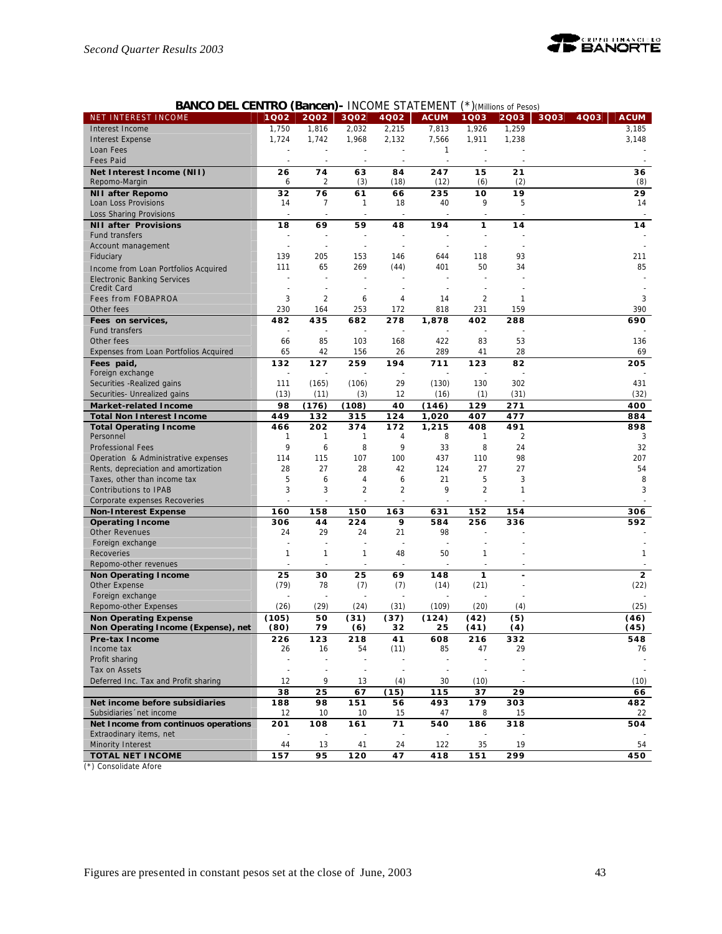

# **BANCO DEL CENTRO (Bancen)-** INCOME STATEMENT (\*)*(Millions of Pesos)*

| 1,750<br>1,816<br>2,032<br>2,215<br>7,813<br>1,259<br>Interest Income<br>1,926                             | 3,185<br>3,148 |
|------------------------------------------------------------------------------------------------------------|----------------|
|                                                                                                            |                |
| 1,724<br>1,742<br>1,968<br>2,132<br>7,566<br>1,911<br>1,238<br><b>Interest Expense</b>                     |                |
| $\mathbf{1}$<br>Loan Fees                                                                                  |                |
| <b>Fees Paid</b>                                                                                           |                |
| 74<br>15<br>Net Interest Income (NII)<br>26<br>63<br>84<br>247<br>21                                       | 36             |
| $\overline{2}$<br>(3)<br>(18)<br>(12)<br>(2)<br>Repomo-Margin<br>6<br>(6)                                  | (8)            |
| 76<br>19<br><b>NII after Repomo</b><br>32<br>61<br>66<br>235<br>10                                         | 29             |
| 18<br>40<br>9<br>5<br>Loan Loss Provisions<br>14<br>7<br>$\mathbf{1}$                                      | 14             |
| Loss Sharing Provisions                                                                                    |                |
| <b>NII after Provisions</b><br>18<br>69<br>59<br>48<br>194<br>1<br>14                                      | 14             |
| <b>Fund transfers</b>                                                                                      |                |
| Account management<br>$\sim$                                                                               |                |
| 139<br>205<br>93<br>Fiduciary<br>153<br>146<br>644<br>118                                                  | 211            |
| 65<br>269<br>401<br>50<br>111<br>(44)<br>34<br>Income from Loan Portfolios Acquired                        | 85             |
|                                                                                                            |                |
| <b>Electronic Banking Services</b><br>Credit Card                                                          |                |
| 3<br>$\overline{2}$<br>2<br><b>Fees from FOBAPROA</b><br>6<br>14<br>4<br>-1                                | 3              |
| 231<br>230<br>253<br>172<br>818<br>159<br>Other fees<br>164                                                | 390            |
|                                                                                                            |                |
| 435<br>482<br>682<br>278<br>1,878<br>402<br>288<br>Fees on services,<br><b>Fund transfers</b>              | 690            |
| 168<br>422<br>83                                                                                           |                |
| 85<br>103<br>53<br>Other fees<br>66                                                                        | 136            |
| 289<br>28<br>65<br>42<br>156<br>26<br>41<br>Expenses from Loan Portfolios Acquired                         | 69             |
| 132<br>127<br>259<br>194<br>82<br>Fees paid,<br>711<br>123                                                 | 205            |
| Foreign exchange                                                                                           |                |
| 29<br>130<br>302<br>Securities - Realized gains<br>111<br>(165)<br>(106)<br>(130)                          | 431            |
| (13)<br>12<br>(16)<br>(31)<br>Securities- Unrealized gains<br>(11)<br>(3)<br>(1)                           | (32)           |
| 98<br>(176)<br>(108)<br>40<br>(146)<br>129<br>271<br><b>Market-related Income</b>                          | 400            |
| 449<br><b>Total Non Interest Income</b><br>132<br>124<br>1,020<br>407<br>477<br>315                        | 884            |
| 202<br>172<br>491<br><b>Total Operating Income</b><br>466<br>374<br>1,215<br>408                           | 898            |
| $\overline{2}$<br>Personnel<br>1<br>8<br>1<br>1<br>4<br>-1                                                 | 3              |
| 9<br>8<br>9<br>24<br>6<br>33<br>8<br><b>Professional Fees</b>                                              | 32             |
| 98<br>115<br>107<br>100<br>437<br>110<br>Operation & Administrative expenses<br>114                        | 207            |
| 27<br>124<br>28<br>28<br>42<br>27<br>27<br>Rents, depreciation and amortization                            | 54             |
| 5<br>5<br>3<br>6<br>21<br>Taxes, other than income tax<br>6<br>4                                           | 8              |
| 3<br>3<br>$\overline{2}$<br>$\overline{2}$<br>9<br>$\overline{2}$<br>$\mathbf{1}$<br>Contributions to IPAB | 3              |
| Corporate expenses Recoveries<br>÷,                                                                        |                |
| 158<br>160<br>150<br>163<br>631<br>152<br>154<br><b>Non-Interest Expense</b>                               | 306            |
| <b>Operating Income</b><br>306<br>44<br>224<br>9<br>584<br>256<br>336                                      | 592            |
| 24<br>29<br>24<br>21<br>98<br><b>Other Revenues</b>                                                        |                |
| Foreign exchange                                                                                           |                |
| $\mathbf{1}$<br>48<br>50<br>Recoveries<br>1<br>1<br>1                                                      | 1              |
| Repomo-other revenues<br>÷,<br>÷,                                                                          |                |
| <b>Non Operating Income</b><br>25<br>30<br>25<br>69<br>148<br>1                                            | $\overline{2}$ |
| (21)<br>(79)<br>78<br>(7)<br>(7)<br>(14)<br>Other Expense                                                  | (22)           |
| Foreign exchange                                                                                           |                |
| (26)<br>(29)<br>(24)<br>(31)<br>(20)<br>Repomo-other Expenses<br>(109)<br>(4)                              | (25)           |
| (105)<br>50<br>(42)<br>(5)<br>(31)<br>(37)<br>(124)<br><b>Non Operating Expense</b>                        | (46)           |
| (80)<br>79<br>32<br>Non Operating Income (Expense), net<br>(6)<br>25<br>(41)<br>(4)                        | (45)           |
| 123<br>608<br>226<br>218<br>41<br>216<br>332<br>Pre-tax Income                                             | 548            |
| 29<br>Income tax<br>26<br>16<br>54<br>(11)<br>85<br>47                                                     | 76             |
| Profit sharing<br>÷,                                                                                       |                |
| Tax on Assets<br>$\overline{\phantom{a}}$                                                                  |                |
| Deferred Inc. Tax and Profit sharing<br>12<br>9<br>13<br>(4)<br>30<br>(10)                                 | (10)           |
| 38<br>25<br>67<br>(15)<br>115<br>37<br>29                                                                  | 66             |
| Net income before subsidiaries<br>188<br>98<br>151<br>56<br>493<br>179<br>303                              | 482            |
| Subsidiaries 'net income<br>15<br>12<br>10<br>10<br>15<br>47<br>8                                          | 22             |
| 108<br>71<br>540<br>318<br>Net Income from continuos operations<br>201<br>161<br>186                       | 504            |
| Extraodinary items, net                                                                                    |                |
| 19<br>Minority Interest<br>44<br>122<br>35<br>13<br>41<br>24                                               | 54             |
| 95<br>299<br><b>TOTAL NET INCOME</b><br>157<br>120<br>47<br>418<br>151                                     | 450            |

(\*) Consolidate Afore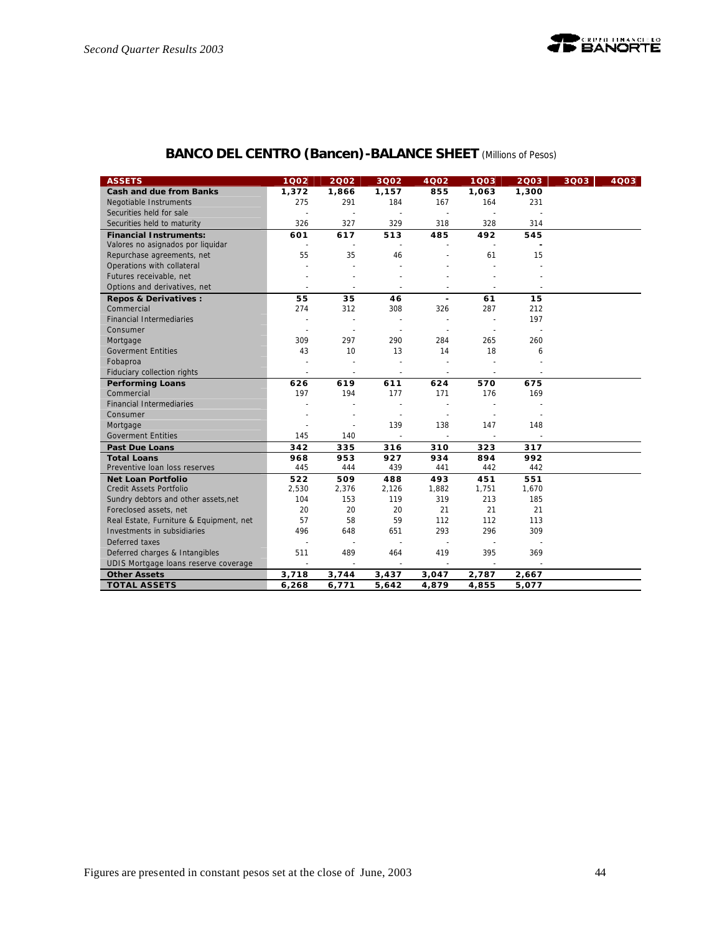# **BANCO DEL CENTRO (Bancen)-BALANCE SHEET** *(Millions of Pesos)*

| <b>ASSETS</b>                           | 1002                     | 2002                     | 3Q02                     | 4Q02                     | 1003                     | 2003  | 3Q03 | 4003 |
|-----------------------------------------|--------------------------|--------------------------|--------------------------|--------------------------|--------------------------|-------|------|------|
| <b>Cash and due from Banks</b>          | 1,372                    | 1,866                    | 1,157                    | 855                      | 1,063                    | 1,300 |      |      |
| Negotiable Instruments                  | 275                      | 291                      | 184                      | 167                      | 164                      | 231   |      |      |
| Securities held for sale                | ÷.                       | $\sim$                   | $\sim$                   | $\sim$                   |                          |       |      |      |
| Securities held to maturity             | 326                      | 327                      | 329                      | 318                      | 328                      | 314   |      |      |
| <b>Financial Instruments:</b>           | 601                      | 617                      | 513                      | 485                      | 492                      | 545   |      |      |
| Valores no asignados por liquidar       |                          |                          | $\overline{a}$           |                          |                          |       |      |      |
| Repurchase agreements, net              | 55                       | 35                       | 46                       |                          | 61                       | 15    |      |      |
| Operations with collateral              |                          |                          |                          |                          |                          |       |      |      |
| Futures receivable, net                 |                          |                          |                          |                          |                          |       |      |      |
| Options and derivatives, net            |                          |                          | $\overline{\phantom{a}}$ |                          |                          |       |      |      |
| Repos & Derivatives :                   | 55                       | 35                       | 46                       | $\overline{\phantom{a}}$ | 61                       | 15    |      |      |
| Commercial                              | 274                      | 312                      | 308                      | 326                      | 287                      | 212   |      |      |
| <b>Financial Intermediaries</b>         | $\overline{\phantom{a}}$ | $\sim$                   | $\sim$                   | ä,                       | $\overline{a}$           | 197   |      |      |
| Consumer                                |                          |                          | ä,                       |                          |                          |       |      |      |
| Mortgage                                | 309                      | 297                      | 290                      | 284                      | 265                      | 260   |      |      |
| <b>Goverment Entities</b>               | 43                       | 10                       | 13                       | 14                       | 18                       | 6     |      |      |
| Fobaproa                                |                          |                          | ÷,                       |                          |                          |       |      |      |
| Fiduciary collection rights             | $\sim$                   | $\overline{\phantom{a}}$ | $\blacksquare$           | $\overline{\phantom{a}}$ | $\sim$                   |       |      |      |
| <b>Performing Loans</b>                 | 626                      | 619                      | 611                      | 624                      | 570                      | 675   |      |      |
| Commercial                              | 197                      | 194                      | 177                      | 171                      | 176                      | 169   |      |      |
| <b>Financial Intermediaries</b>         |                          |                          |                          |                          |                          |       |      |      |
| Consumer                                |                          |                          |                          | ä,                       |                          |       |      |      |
| Mortgage                                |                          | $\overline{a}$           | 139                      | 138                      | 147                      | 148   |      |      |
| <b>Goverment Entities</b>               | 145                      | 140                      | ä,                       | $\blacksquare$           | $\overline{\phantom{a}}$ |       |      |      |
| <b>Past Due Loans</b>                   | 342                      | 335                      | 316                      | 310                      | 323                      | 317   |      |      |
| <b>Total Loans</b>                      | 968                      | 953                      | 927                      | 934                      | 894                      | 992   |      |      |
| Preventive Ioan loss reserves           | 445                      | 444                      | 439                      | 441                      | 442                      | 442   |      |      |
| <b>Net Loan Portfolio</b>               | 522                      | 509                      | 488                      | 493                      | 451                      | 551   |      |      |
| Credit Assets Portfolio                 | 2,530                    | 2,376                    | 2,126                    | 1,882                    | 1,751                    | 1,670 |      |      |
| Sundry debtors and other assets, net    | 104                      | 153                      | 119                      | 319                      | 213                      | 185   |      |      |
| Foreclosed assets, net                  | 20                       | 20                       | 20                       | 21                       | 21                       | 21    |      |      |
| Real Estate, Furniture & Equipment, net | 57                       | 58                       | 59                       | 112                      | 112                      | 113   |      |      |
| Investments in subsidiaries             | 496                      | 648                      | 651                      | 293                      | 296                      | 309   |      |      |
| Deferred taxes                          |                          |                          | $\sim$                   |                          |                          |       |      |      |
| Deferred charges & Intangibles          | 511                      | 489                      | 464                      | 419                      | 395                      | 369   |      |      |
| UDIS Mortgage loans reserve coverage    | $\overline{\phantom{a}}$ | $\overline{\phantom{a}}$ | $\sim$                   | $\sim$                   | $\sim$                   |       |      |      |
| <b>Other Assets</b>                     | 3,718                    | 3,744                    | 3,437                    | 3,047                    | 2,787                    | 2,667 |      |      |
| <b>TOTAL ASSETS</b>                     | 6,268                    | 6,771                    | 5,642                    | 4,879                    | 4,855                    | 5,077 |      |      |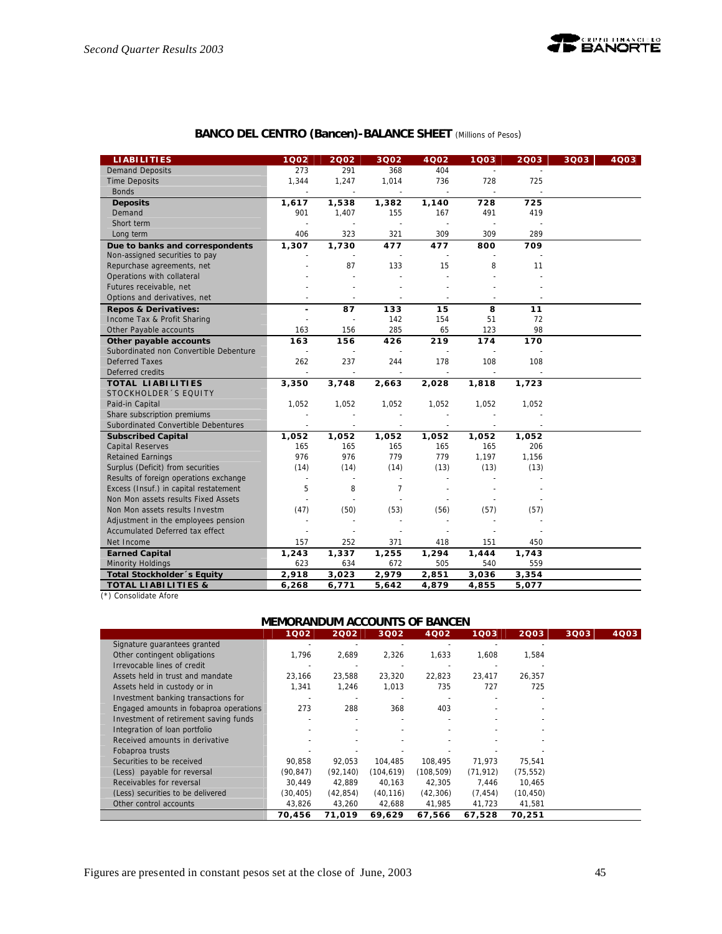

|  | <b>BANCO DEL CENTRO (Bancen)-BALANCE SHEET</b> (Millions of Pesos) |  |
|--|--------------------------------------------------------------------|--|
|--|--------------------------------------------------------------------|--|

| <b>LIABILITIES</b>                     | 1002                 | 2002                     | 3Q02                     | 4002   | 1Q03                     | 2003  | 3Q03 | 4003 |
|----------------------------------------|----------------------|--------------------------|--------------------------|--------|--------------------------|-------|------|------|
| <b>Demand Deposits</b>                 | 273                  | 291                      | 368                      | 404    |                          |       |      |      |
| <b>Time Deposits</b>                   | 1,344                | 1,247                    | 1,014                    | 736    | 728                      | 725   |      |      |
| <b>Bonds</b>                           |                      | $\sim$                   | $\overline{\phantom{a}}$ | $\sim$ | $\overline{\phantom{a}}$ |       |      |      |
| <b>Deposits</b>                        | 1,617                | 1,538                    | 1,382                    | 1,140  | 728                      | 725   |      |      |
| Demand                                 | 901                  | 1,407                    | 155                      | 167    | 491                      | 419   |      |      |
| Short term                             |                      |                          | $\ddot{\phantom{a}}$     |        |                          |       |      |      |
| Long term                              | 406                  | 323                      | 321                      | 309    | 309                      | 289   |      |      |
| Due to banks and correspondents        | 1,307                | 1,730                    | 477                      | 477    | 800                      | 709   |      |      |
| Non-assigned securities to pay         |                      |                          | $\sim$                   |        |                          |       |      |      |
| Repurchase agreements, net             |                      | 87                       | 133                      | 15     | 8                        | 11    |      |      |
| Operations with collateral             |                      |                          |                          |        |                          |       |      |      |
| Futures receivable, net                |                      |                          |                          |        |                          |       |      |      |
| Options and derivatives, net           |                      |                          |                          |        |                          |       |      |      |
| <b>Repos &amp; Derivatives:</b>        | ٠                    | 87                       | 133                      | 15     | 8                        | 11    |      |      |
| Income Tax & Profit Sharing            |                      | $\overline{\phantom{a}}$ | 142                      | 154    | 51                       | 72    |      |      |
| Other Payable accounts                 | 163                  | 156                      | 285                      | 65     | 123                      | 98    |      |      |
| Other payable accounts                 | 163                  | 156                      | 426                      | 219    | 174                      | 170   |      |      |
| Subordinated non Convertible Debenture |                      |                          |                          |        |                          |       |      |      |
| <b>Deferred Taxes</b>                  | 262                  | 237                      | 244                      | 178    | 108                      | 108   |      |      |
| Deferred credits                       |                      |                          |                          |        |                          |       |      |      |
| <b>TOTAL LIABILITIES</b>               | 3,350                | 3,748                    | 2,663                    | 2,028  | 1,818                    | 1,723 |      |      |
| STOCKHOLDER'S EQUITY                   |                      |                          |                          |        |                          |       |      |      |
| Paid-in Capital                        | 1,052                | 1,052                    | 1,052                    | 1,052  | 1,052                    | 1,052 |      |      |
| Share subscription premiums            |                      |                          |                          |        |                          |       |      |      |
| Subordinated Convertible Debentures    |                      |                          |                          |        |                          |       |      |      |
| <b>Subscribed Capital</b>              | 1,052                | 1,052                    | 1,052                    | 1,052  | 1,052                    | 1,052 |      |      |
| <b>Capital Reserves</b>                | 165                  | 165                      | 165                      | 165    | 165                      | 206   |      |      |
| <b>Retained Earnings</b>               | 976                  | 976                      | 779                      | 779    | 1,197                    | 1,156 |      |      |
| Surplus (Deficit) from securities      | (14)                 | (14)                     | (14)                     | (13)   | (13)                     | (13)  |      |      |
| Results of foreign operations exchange | $\ddot{\phantom{1}}$ |                          |                          |        |                          |       |      |      |
| Excess (Insuf.) in capital restatement | 5                    | 8                        | $\overline{7}$           |        |                          |       |      |      |
| Non Mon assets results Fixed Assets    |                      |                          |                          |        |                          |       |      |      |
| Non Mon assets results Investm         | (47)                 | (50)                     | (53)                     | (56)   | (57)                     | (57)  |      |      |
| Adjustment in the employees pension    |                      |                          | $\sim$                   |        |                          |       |      |      |
| Accumulated Deferred tax effect        |                      |                          | ä,                       |        |                          |       |      |      |
| Net Income                             | 157                  | 252                      | 371                      | 418    | 151                      | 450   |      |      |
| <b>Earned Capital</b>                  | 1,243                | 1,337                    | 1,255                    | 1,294  | 1,444                    | 1,743 |      |      |
| Minority Holdings                      | 623                  | 634                      | 672                      | 505    | 540                      | 559   |      |      |
| Total Stockholder's Equity             | 2,918                | 3,023                    | 2,979                    | 2,851  | 3,036                    | 3,354 |      |      |
| <b>TOTAL LIABILITIES &amp;</b>         | 6,268                | 6,771                    | 5,642                    | 4,879  | 4,855                    | 5,077 |      |      |

(\*) Consolidate Afore

### **MEMORANDUM ACCOUNTS OF BANCEN**

|                                        | 1Q02      | 2002      | 3Q02       | 4Q02      | 1Q03      | 2003      | 3Q03 | 4Q03 |
|----------------------------------------|-----------|-----------|------------|-----------|-----------|-----------|------|------|
| Signature guarantees granted           |           |           |            |           |           |           |      |      |
| Other contingent obligations           | 1,796     | 2,689     | 2,326      | 1,633     | 1,608     | 1,584     |      |      |
| Irrevocable lines of credit            |           |           |            |           |           |           |      |      |
| Assets held in trust and mandate       | 23,166    | 23,588    | 23,320     | 22,823    | 23,417    | 26,357    |      |      |
| Assets held in custody or in           | 1,341     | 1,246     | 1,013      | 735       | 727       | 725       |      |      |
| Investment banking transactions for    |           |           |            |           |           |           |      |      |
| Engaged amounts in fobaproa operations | 273       | 288       | 368        | 403       |           |           |      |      |
| Investment of retirement saving funds  |           |           |            |           |           |           |      |      |
| Integration of loan portfolio          |           |           |            |           |           |           |      |      |
| Received amounts in derivative         |           |           |            |           |           |           |      |      |
| Fobaproa trusts                        |           |           |            |           |           |           |      |      |
| Securities to be received              | 90,858    | 92.053    | 104,485    | 108.495   | 71,973    | 75,541    |      |      |
| (Less) payable for reversal            | (90, 847) | (92, 140) | (104, 619) | (108,509) | (71, 912) | (75, 552) |      |      |
| Receivables for reversal               | 30,449    | 42,889    | 40,163     | 42,305    | 7,446     | 10,465    |      |      |
| (Less) securities to be delivered      | (30, 405) | (42, 854) | (40, 116)  | (42, 306) | (7, 454)  | (10, 450) |      |      |
| Other control accounts                 | 43,826    | 43,260    | 42,688     | 41,985    | 41,723    | 41,581    |      |      |
|                                        | 70.456    | 71.019    | 69.629     | 67.566    | 67.528    | 70,251    |      |      |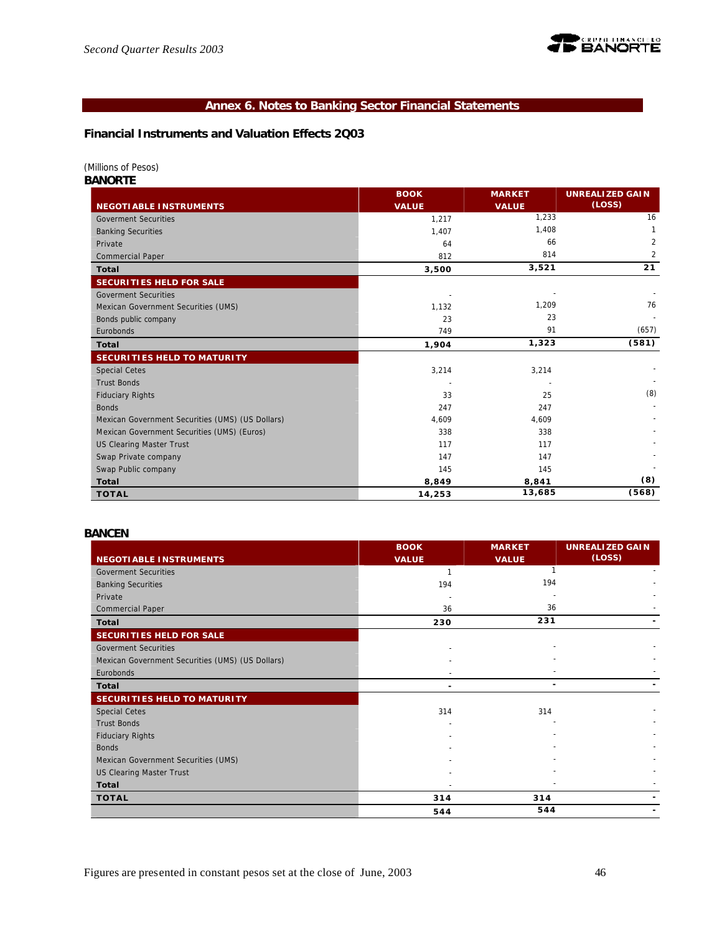

# **Annex 6. Notes to Banking Sector Financial Statements**

# **Financial Instruments and Valuation Effects 2Q03**

*(Millions of Pesos)*

*BANORTE*

|                                                  | <b>BOOK</b>  | <b>MARKET</b> | <b>UNREALIZED GAIN</b> |
|--------------------------------------------------|--------------|---------------|------------------------|
| <b>NEGOTIABLE INSTRUMENTS</b>                    | <b>VALUE</b> | <b>VALUE</b>  | (Loss)                 |
| <b>Goverment Securities</b>                      | 1,217        | 1,233         | 16                     |
| <b>Banking Securities</b>                        | 1,407        | 1,408         |                        |
| Private                                          | 64           | 66            | $\overline{2}$         |
| <b>Commercial Paper</b>                          | 812          | 814           | 2                      |
| <b>Total</b>                                     | 3,500        | 3,521         | 21                     |
| <b>SECURITIES HELD FOR SALE</b>                  |              |               |                        |
| <b>Goverment Securities</b>                      |              |               |                        |
| Mexican Government Securities (UMS)              | 1,132        | 1,209         | 76                     |
| Bonds public company                             | 23           | 23            |                        |
| Eurobonds                                        | 749          | 91            | (657)                  |
| <b>Total</b>                                     | 1,904        | 1,323         | (581)                  |
| <b>SECURITIES HELD TO MATURITY</b>               |              |               |                        |
| <b>Special Cetes</b>                             | 3,214        | 3,214         |                        |
| <b>Trust Bonds</b>                               |              |               |                        |
| <b>Fiduciary Rights</b>                          | 33           | 25            | (8)                    |
| <b>Bonds</b>                                     | 247          | 247           |                        |
| Mexican Government Securities (UMS) (US Dollars) | 4,609        | 4,609         |                        |
| Mexican Government Securities (UMS) (Euros)      | 338          | 338           |                        |
| <b>US Clearing Master Trust</b>                  | 117          | 117           |                        |
| Swap Private company                             | 147          | 147           |                        |
| Swap Public company                              | 145          | 145           |                        |
| <b>Total</b>                                     | 8,849        | 8,841         | (8)                    |
| <b>TOTAL</b>                                     | 14,253       | 13,685        | (568)                  |

### *BANCEN*

|                                                  | <b>BOOK</b>  | <b>MARKET</b> | <b>UNREALIZED GAIN</b> |
|--------------------------------------------------|--------------|---------------|------------------------|
| <b>NEGOTIABLE INSTRUMENTS</b>                    | <b>VALUE</b> | <b>VALUE</b>  | (Loss)                 |
| <b>Goverment Securities</b>                      | $\mathbf{1}$ |               |                        |
| <b>Banking Securities</b>                        | 194          | 194           |                        |
| Private                                          |              |               |                        |
| <b>Commercial Paper</b>                          | 36           | 36            |                        |
| <b>Total</b>                                     | 230          | 231           |                        |
| <b>SECURITIES HELD FOR SALE</b>                  |              |               |                        |
| <b>Goverment Securities</b>                      |              |               |                        |
| Mexican Government Securities (UMS) (US Dollars) |              |               |                        |
| Eurobonds                                        |              |               |                        |
| Total                                            | ٠            |               |                        |
| <b>SECURITIES HELD TO MATURITY</b>               |              |               |                        |
| <b>Special Cetes</b>                             | 314          | 314           |                        |
| <b>Trust Bonds</b>                               |              |               |                        |
| <b>Fiduciary Rights</b>                          |              |               |                        |
| <b>Bonds</b>                                     |              |               |                        |
| Mexican Government Securities (UMS)              |              |               |                        |
| <b>US Clearing Master Trust</b>                  |              |               |                        |
| Total                                            |              |               |                        |
| <b>TOTAL</b>                                     | 314          | 314           |                        |
|                                                  | 544          | 544           |                        |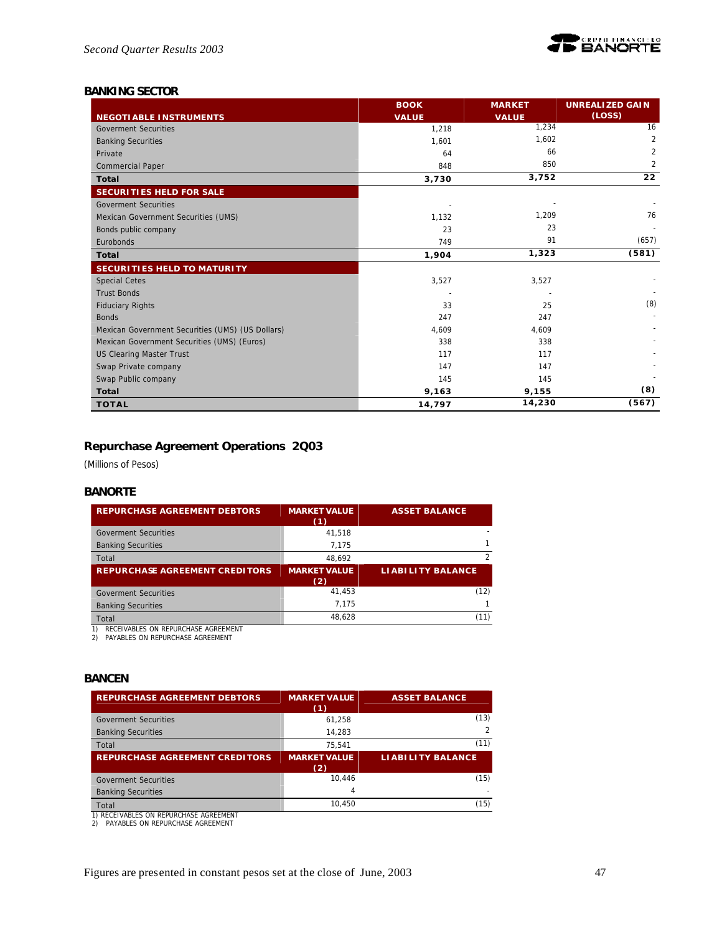

# *BANKING SECTOR*

|                                                  | <b>BOOK</b>  | <b>MARKET</b> | <b>UNREALIZED GAIN</b> |
|--------------------------------------------------|--------------|---------------|------------------------|
| <b>NEGOTIABLE INSTRUMENTS</b>                    | <b>VALUE</b> | <b>VALUE</b>  | (Loss)                 |
| <b>Goverment Securities</b>                      | 1,218        | 1,234         | 16                     |
| <b>Banking Securities</b>                        | 1,601        | 1,602         | $\overline{2}$         |
| Private                                          | 64           | 66            | $\overline{2}$         |
| <b>Commercial Paper</b>                          | 848          | 850           | $\overline{2}$         |
| <b>Total</b>                                     | 3,730        | 3,752         | 22                     |
| <b>SECURITIES HELD FOR SALE</b>                  |              |               |                        |
| <b>Goverment Securities</b>                      |              |               |                        |
| Mexican Government Securities (UMS)              | 1,132        | 1,209         | 76                     |
| Bonds public company                             | 23           | 23            |                        |
| Eurobonds                                        | 749          | 91            | (657)                  |
| Total                                            | 1,904        | 1,323         | (581)                  |
| <b>SECURITIES HELD TO MATURITY</b>               |              |               |                        |
| <b>Special Cetes</b>                             | 3,527        | 3,527         |                        |
| <b>Trust Bonds</b>                               |              |               |                        |
| <b>Fiduciary Rights</b>                          | 33           | 25            | (8)                    |
| <b>Bonds</b>                                     | 247          | 247           |                        |
| Mexican Government Securities (UMS) (US Dollars) | 4,609        | 4,609         |                        |
| Mexican Government Securities (UMS) (Euros)      | 338          | 338           |                        |
| <b>US Clearing Master Trust</b>                  | 117          | 117           |                        |
| Swap Private company                             | 147          | 147           |                        |
| Swap Public company                              | 145          | 145           |                        |
| <b>Total</b>                                     | 9,163        | 9,155         | (8)                    |
| <b>TOTAL</b>                                     | 14,797       | 14,230        | (567)                  |

# **Repurchase Agreement Operations 2Q03**

*(Millions of Pesos)*

### *BANORTE*

| <b>REPURCHASE AGREEMENT DEBTORS</b>        | <b>MARKET VALUE</b><br>(1) | <b>ASSET BALANCE</b>     |
|--------------------------------------------|----------------------------|--------------------------|
| <b>Goverment Securities</b>                | 41.518                     |                          |
| <b>Banking Securities</b>                  | 7.175                      | 1                        |
| Total                                      | 48.692                     | $\mathcal{P}$            |
| <b>REPURCHASE AGREEMENT CREDITORS</b>      | <b>MARKET VALUE</b><br>(2) | <b>LIABILITY BALANCE</b> |
| <b>Goverment Securities</b>                | 41.453                     | (12)                     |
| <b>Banking Securities</b>                  | 7.175                      |                          |
| Total                                      | 48.628                     | (11)                     |
| <b>DECEIVARLES ON DEDUDCHASE ACDEEMENT</b> |                            |                          |

1) RECEIVABLES ON REPURCHASE AGREEMENT 2) PAYABLES ON REPURCHASE AGREEMENT

# *BANCEN*

| <b>REPURCHASE AGREEMENT DEBTORS</b>   | <b>MARKET VALUE</b><br>(1) | <b>ASSET BALANCE</b>     |
|---------------------------------------|----------------------------|--------------------------|
| <b>Goverment Securities</b>           | 61.258                     | (13)                     |
| <b>Banking Securities</b>             | 14.283                     |                          |
| Total                                 | 75.541                     | (11)                     |
| <b>REPURCHASE AGREEMENT CREDITORS</b> | <b>MARKET VALUE</b>        | <b>LIABILITY BALANCE</b> |
|                                       | (2)                        |                          |
| <b>Goverment Securities</b>           | 10.446                     | (15)                     |
| <b>Banking Securities</b>             | 4                          |                          |
| Total                                 | 10.450                     | (15)                     |

1) RECEIVABLES ON REPURCHASE AGREEMENT 2) PAYABLES ON REPURCHASE AGREEMENT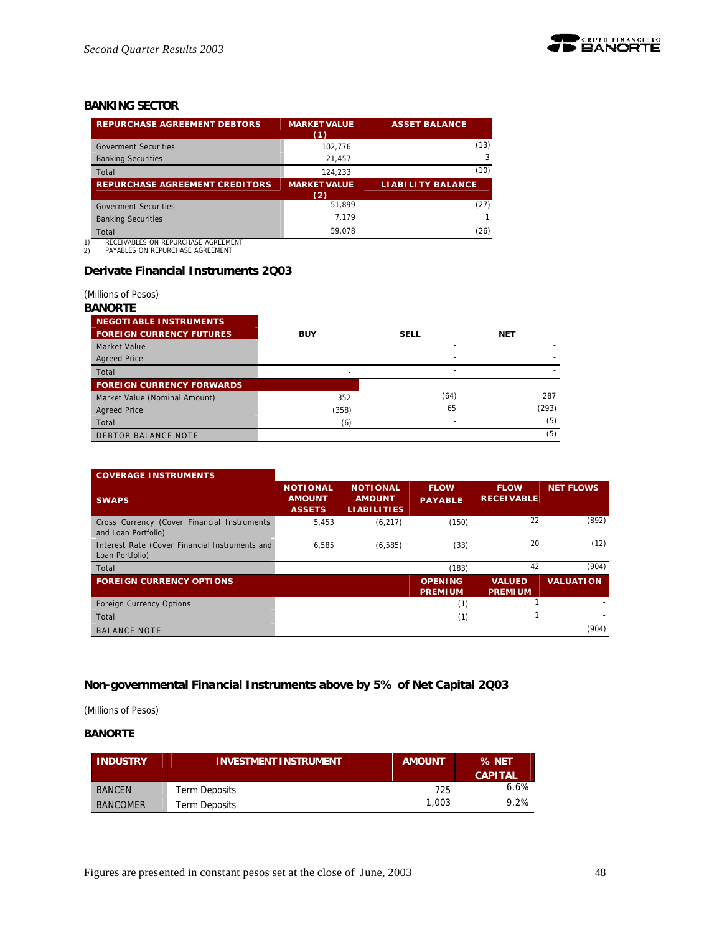

# *BANKING SECTOR*

| <b>REPURCHASE AGREEMENT DEBTORS</b>   | <b>MARKET VALUE</b><br>(1) | <b>ASSET BALANCE</b>     |
|---------------------------------------|----------------------------|--------------------------|
| <b>Goverment Securities</b>           | 102.776                    | (13)                     |
| <b>Banking Securities</b>             | 21,457                     | 3                        |
| Total                                 | 124.233                    | (10)                     |
| <b>REPURCHASE AGREEMENT CREDITORS</b> | <b>MARKET VALUE</b><br>(2) | <b>LIABILITY BALANCE</b> |
| <b>Goverment Securities</b>           | 51.899                     | (27)                     |
| <b>Banking Securities</b>             | 7.179                      |                          |
| Total                                 | 59.078                     | (26)                     |

1) RECEIVABLES ON REPURCHASE AGREEMENT 2) PAYABLES ON REPURCHASE AGREEMENT

# **Derivate Financial Instruments 2Q03**

### *(Millions of Pesos)*

#### *BANORTE*

| <b>NEGOTIABLE INSTRUMENTS</b>    |            |             |            |
|----------------------------------|------------|-------------|------------|
| <b>FOREIGN CURRENCY FUTURES</b>  | <b>BUY</b> | <b>SELL</b> | <b>NET</b> |
| Market Value                     |            |             |            |
| <b>Agreed Price</b>              |            |             |            |
| Total                            |            | -           |            |
| <b>FOREIGN CURRENCY FORWARDS</b> |            |             |            |
| Market Value (Nominal Amount)    | 352        | (64)        | 287        |
| <b>Agreed Price</b>              | (358)      | 65          | (293)      |
| Total                            | (6)        |             | (5)        |
| <b>DEBTOR BALANCE NOTE</b>       |            |             | (5)        |

| <b>COVERAGE INSTRUMENTS</b>                                        |                                                   |                                                        |                                  |                                  |                  |
|--------------------------------------------------------------------|---------------------------------------------------|--------------------------------------------------------|----------------------------------|----------------------------------|------------------|
| <b>SWAPS</b>                                                       | <b>NOTIONAL</b><br><b>AMOUNT</b><br><b>ASSETS</b> | <b>NOTIONAL</b><br><b>AMOUNT</b><br><b>LIABILITIES</b> | <b>FLOW</b><br><b>PAYABLE</b>    | <b>FLOW</b><br><b>RECEIVABLE</b> | <b>NET FLOWS</b> |
| Cross Currency (Cover Financial Instruments<br>and Loan Portfolio) | 5.453                                             | (6, 217)                                               | (150)                            | 22                               | (892)            |
| Interest Rate (Cover Financial Instruments and<br>Loan Portfolio)  | 6.585                                             | (6, 585)                                               | (33)                             | 20                               | (12)             |
| Total                                                              |                                                   |                                                        | (183)                            | 42                               | (904)            |
| <b>FOREIGN CURRENCY OPTIONS</b>                                    |                                                   |                                                        | <b>OPENING</b><br><b>PREMIUM</b> | <b>VALUED</b><br><b>PREMIUM</b>  | <b>VALUATION</b> |
| <b>Foreign Currency Options</b>                                    |                                                   |                                                        | (1)                              |                                  |                  |
| Total                                                              |                                                   |                                                        | (1)                              |                                  |                  |
| <b>BALANCE NOTE</b>                                                |                                                   |                                                        |                                  |                                  | (904)            |

# **Non-governmental Financial Instruments above by 5% of Net Capital 2Q03**

*(Millions of Pesos)*

# **BANORTE**

| <b>INDUSTRY</b> | <b>INVESTMENT INSTRUMENT</b> | <b>AMOUNT</b> | % NET<br><b>CAPITAL</b> |
|-----------------|------------------------------|---------------|-------------------------|
| <b>BANCEN</b>   | Term Deposits                | 725           | $6.6\%$                 |
| <b>BANCOMER</b> | Term Deposits                | 1.003         | 9.2%                    |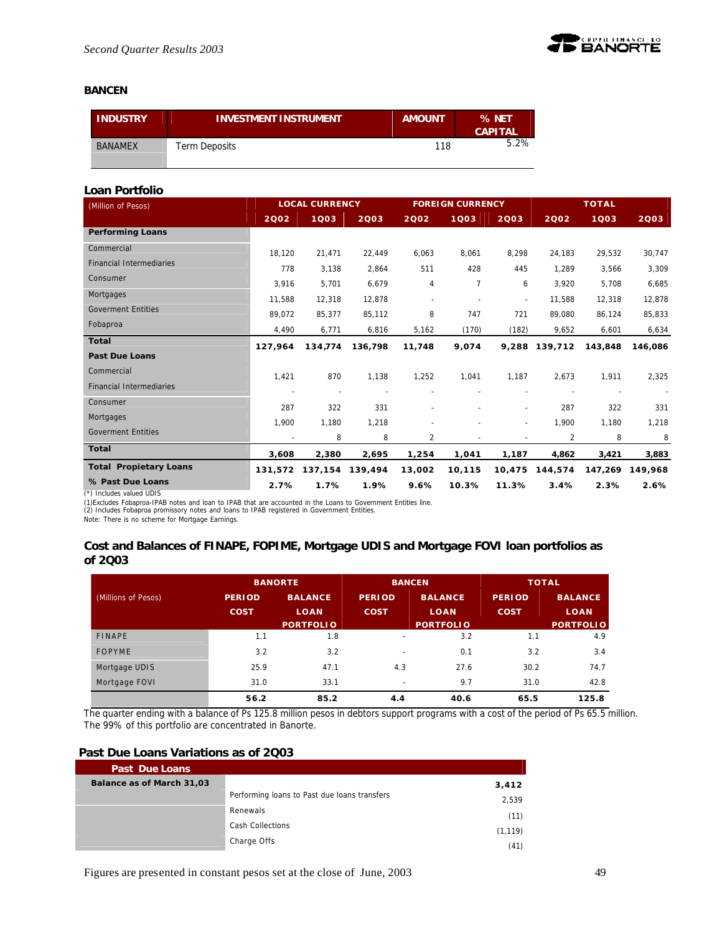

### **BANCEN**

| <b>INDUSTRY</b> | <b>INVESTMENT INSTRUMENT</b> | <b>AMOUNT</b> | % NET<br><b>CAPITAL</b> |
|-----------------|------------------------------|---------------|-------------------------|
| <b>BANAMEX</b>  | Term Deposits                | 118           | 5.2%                    |

# **Loan Portfolio**

| (Million of Pesos)              |                          | <b>LOCAL CURRENCY</b> |         | <b>FOREIGN CURRENCY</b>  |                |                          | <b>TOTAL</b>  |         |         |
|---------------------------------|--------------------------|-----------------------|---------|--------------------------|----------------|--------------------------|---------------|---------|---------|
|                                 | 2002                     | 1003                  | 2003    | 2002                     | 1003           | 2003                     | 2002          | 1003    | 2003    |
| <b>Performing Loans</b>         |                          |                       |         |                          |                |                          |               |         |         |
| Commercial                      | 18.120                   | 21,471                | 22,449  | 6,063                    | 8,061          | 8,298                    | 24,183        | 29,532  | 30,747  |
| <b>Financial Intermediaries</b> | 778                      | 3,138                 | 2,864   | 511                      | 428            | 445                      | 1,289         | 3,566   | 3,309   |
| Consumer                        | 3,916                    | 5,701                 | 6,679   | 4                        | $\overline{7}$ | 6                        | 3,920         | 5,708   | 6,685   |
| Mortgages                       | 11.588                   | 12,318                | 12,878  | $\overline{\phantom{a}}$ |                | $\blacksquare$           | 11,588        | 12,318  | 12,878  |
| <b>Goverment Entities</b>       | 89,072                   | 85,377                | 85,112  | 8                        | 747            | 721                      | 89,080        | 86,124  | 85,833  |
| Fobaproa                        | 4,490                    | 6,771                 | 6,816   | 5,162                    | (170)          | (182)                    | 9,652         | 6,601   | 6,634   |
| Total                           | 127,964                  | 134.774               | 136.798 | 11,748                   | 9,074          |                          | 9,288 139,712 | 143,848 | 146.086 |
| <b>Past Due Loans</b>           |                          |                       |         |                          |                |                          |               |         |         |
| Commercial                      | 1,421                    | 870                   | 1,138   | 1,252                    | 1,041          | 1,187                    | 2,673         | 1,911   | 2,325   |
| <b>Financial Intermediaries</b> | $\overline{\phantom{a}}$ | $\sim$                |         |                          |                |                          |               |         |         |
| Consumer                        | 287                      | 322                   | 331     | ٠                        |                | $\overline{\phantom{a}}$ | 287           | 322     | 331     |
| Mortgages                       | 1,900                    | 1,180                 | 1,218   |                          |                | $\overline{\phantom{a}}$ | 1,900         | 1,180   | 1,218   |
| <b>Goverment Entities</b>       |                          | 8                     | 8       | $\overline{2}$           |                |                          | 2             | 8       | 8       |
| <b>Total</b>                    | 3,608                    | 2,380                 | 2,695   | 1,254                    | 1,041          | 1,187                    | 4,862         | 3,421   | 3,883   |
| <b>Total Propietary Loans</b>   | 131.572                  | 137,154               | 139,494 | 13,002                   | 10,115         | 10,475                   | 144,574       | 147,269 | 149.968 |
| % Past Due Loans                | 2.7%                     | 1.7%                  | 1.9%    | 9.6%                     | 10.3%          | 11.3%                    | 3.4%          | 2.3%    | 2.6%    |
| (*) Includes valued UDIS        |                          |                       |         |                          |                |                          |               |         |         |

(\*) Includes valued UDIS<br>(1)Excludes Fobaproa-IPAB notes and loan to IPAB that are accounted in the Loans to Government Entities line.<br>(2) Includes Fobaproa promissory notes and loans to IPAB registered in Government Entit

# **Cost and Balances of FINAPE, FOPIME, Mortgage UDIS and Mortgage FOVI loan portfolios as of 2Q03**

|                     | <b>BANORTE</b> |                  | <b>BANCEN</b>            |                  | <b>TOTAL</b>  |                  |  |
|---------------------|----------------|------------------|--------------------------|------------------|---------------|------------------|--|
| (Millions of Pesos) | <b>PERIOD</b>  | <b>BALANCE</b>   | <b>PERIOD</b>            | <b>BALANCE</b>   | <b>PERIOD</b> | <b>BALANCE</b>   |  |
|                     | <b>COST</b>    | <b>LOAN</b>      | <b>COST</b>              | <b>LOAN</b>      | <b>COST</b>   | <b>LOAN</b>      |  |
|                     |                | <b>PORTFOLIO</b> |                          | <b>PORTFOLIO</b> |               | <b>PORTFOLIO</b> |  |
| <b>FINAPE</b>       | 1.1            | 1.8              | $\overline{\phantom{a}}$ | 3.2              | 1.1           | 4.9              |  |
| <b>FOPYME</b>       | 3.2            | 3.2              | $\overline{\phantom{a}}$ | 0.1              | 3.2           | 3.4              |  |
| Mortgage UDIS       | 25.9           | 47.1             | 4.3                      | 27.6             | 30.2          | 74.7             |  |
| Mortgage FOVI       | 31.0           | 33.1             | $\overline{\phantom{a}}$ | 9.7              | 31.0          | 42.8             |  |
|                     | 56.2           | 85.2             | 4.4                      | 40.6             | 65.5          | 125.8            |  |

The quarter ending with a balance of Ps 125.8 million pesos in debtors support programs with a cost of the period of Ps 65.5 million. The 99% of this portfolio are concentrated in Banorte.

# **Past Due Loans Variations as of 2Q03**

| <b>Past Due Loans</b>     |                                              |          |
|---------------------------|----------------------------------------------|----------|
| Balance as of March 31,03 |                                              | 3,412    |
|                           | Performing loans to Past due loans transfers | 2,539    |
|                           | Renewals                                     | (11)     |
|                           | <b>Cash Collections</b>                      | (1, 119) |
|                           | Charge Offs                                  | (41)     |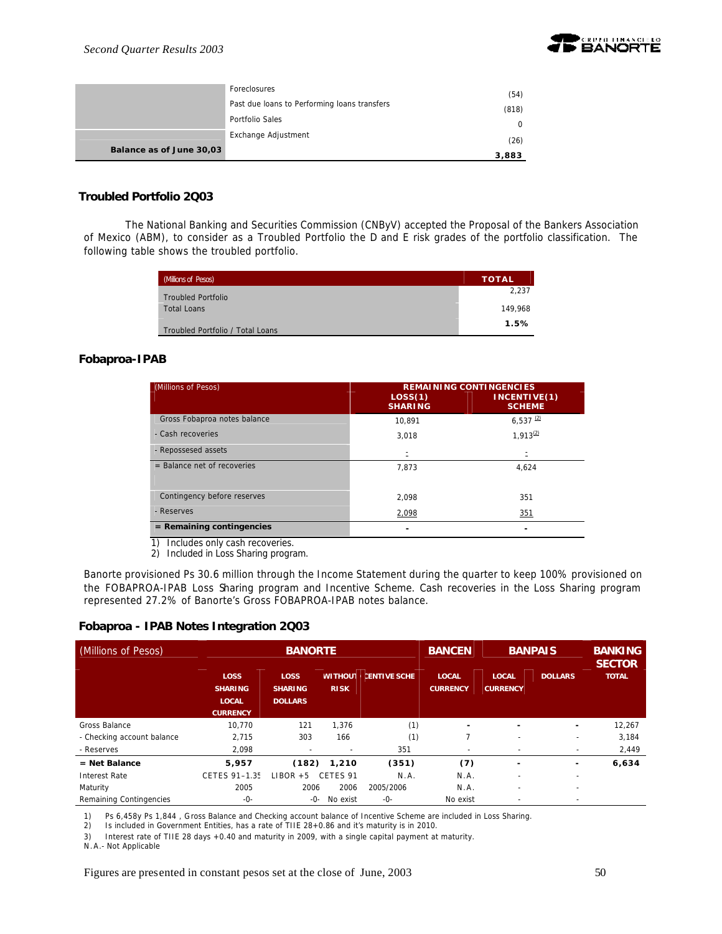

|                          | Foreclosures                                 | (54)  |
|--------------------------|----------------------------------------------|-------|
|                          | Past due loans to Performing loans transfers | (818) |
|                          | Portfolio Sales                              |       |
|                          | Exchange Adjustment                          | (26)  |
| Balance as of June 30,03 |                                              | 3,883 |

### **Troubled Portfolio 2Q03**

The National Banking and Securities Commission (CNByV) accepted the Proposal of the Bankers Association of Mexico (ABM), to consider as a Troubled Portfolio the D and E risk grades of the portfolio classification. The following table shows the troubled portfolio.

| (Millions of Pesos)              | <b>TOTAL</b> |
|----------------------------------|--------------|
| <b>Troubled Portfolio</b>        | 2,237        |
| <b>Total Loans</b>               | 149.968      |
| Troubled Portfolio / Total Loans | 1.5%         |

### **Fobaproa-IPAB**

| (Millions of Pesos)                  | LOS(1)<br><b>SHARING</b> | <b>REMAINING CONTINGENCIES</b><br>INCENTIVE(1)<br><b>SCHEME</b> |
|--------------------------------------|--------------------------|-----------------------------------------------------------------|
| Gross Fobaproa notes balance         | 10.891                   | $6,537$ <sup>(2)</sup>                                          |
| - Cash recoveries                    | 3,018                    | $1.913^{(2)}$                                                   |
| - Repossesed assets                  |                          | Ξ                                                               |
| $=$ Balance net of recoveries        | 7,873                    | 4,624                                                           |
| Contingency before reserves          | 2.098                    | 351                                                             |
| - Reserves                           | 2,098                    | 351                                                             |
| $=$ Remaining contingencies          |                          | ۰                                                               |
| Includes only cash recoveries.<br>1) |                          |                                                                 |

2) Included in Loss Sharing program.

Banorte provisioned Ps 30.6 million through the Income Statement during the quarter to keep 100% provisioned on the FOBAPROA-IPAB Loss Sharing program and Incentive Scheme. Cash recoveries in the Loss Sharing program represented 27.2% of Banorte's Gross FOBAPROA-IPAB notes balance.

### **Fobaproa - IPAB Notes Integration 2Q03**

| (Millions of Pesos)        |                                                                  | <b>BANORTE</b>                                  |                               |                     | <b>BANCEN</b>                   | <b>BANPAIS</b>                  |                          | <b>BANKING</b><br><b>SECTOR</b> |  |
|----------------------------|------------------------------------------------------------------|-------------------------------------------------|-------------------------------|---------------------|---------------------------------|---------------------------------|--------------------------|---------------------------------|--|
|                            | <b>LOSS</b><br><b>SHARING</b><br><b>LOCAL</b><br><b>CURRENCY</b> | <b>LOSS</b><br><b>SHARING</b><br><b>DOLLARS</b> | <b>WITHOUT</b><br><b>RISK</b> | <b>CENTIVE SCHE</b> | <b>LOCAL</b><br><b>CURRENCY</b> | <b>LOCAL</b><br><b>CURRENCY</b> | <b>DOLLARS</b>           | <b>TOTAL</b>                    |  |
| Gross Balance              | 10.770                                                           | 121                                             | 1,376                         | (1)                 | ٠                               | ٠                               | ۰                        | 12,267                          |  |
| - Checking account balance | 2,715                                                            | 303                                             | 166                           | (1)                 |                                 | ٠                               |                          | 3,184                           |  |
| - Reserves                 | 2.098                                                            |                                                 |                               | 351                 | $\overline{\phantom{a}}$        | -                               |                          | 2,449                           |  |
| $=$ Net Balance            | 5,957                                                            | (182)                                           | 1.210                         | (351)               | (7)                             | -                               |                          | 6,634                           |  |
| Interest Rate              | CETES 91-1.35                                                    | $LIBOR + 5$                                     | CETES 91                      | N.A.                | N.A.                            | ٠                               | $\overline{\phantom{a}}$ |                                 |  |
| Maturity                   | 2005                                                             | 2006                                            | 2006                          | 2005/2006           | N.A.                            | $\overline{\phantom{a}}$        | ۰                        |                                 |  |
| Remaining Contingencies    | -0-                                                              | -0-                                             | No exist                      | -0-                 | No exist                        |                                 |                          |                                 |  |

1) Ps 6,458y Ps 1,844 , Gross Balance and Checking account balance of Incentive Scheme are included in Loss Sharing.

2) Is included in Government Entities, has a rate of TIIE 28+0.86 and it's maturity is in 2010.

3) Interest rate of TIIE 28 days +0.40 and maturity in 2009, with a single capital payment at maturity.

N.A.- Not Applicable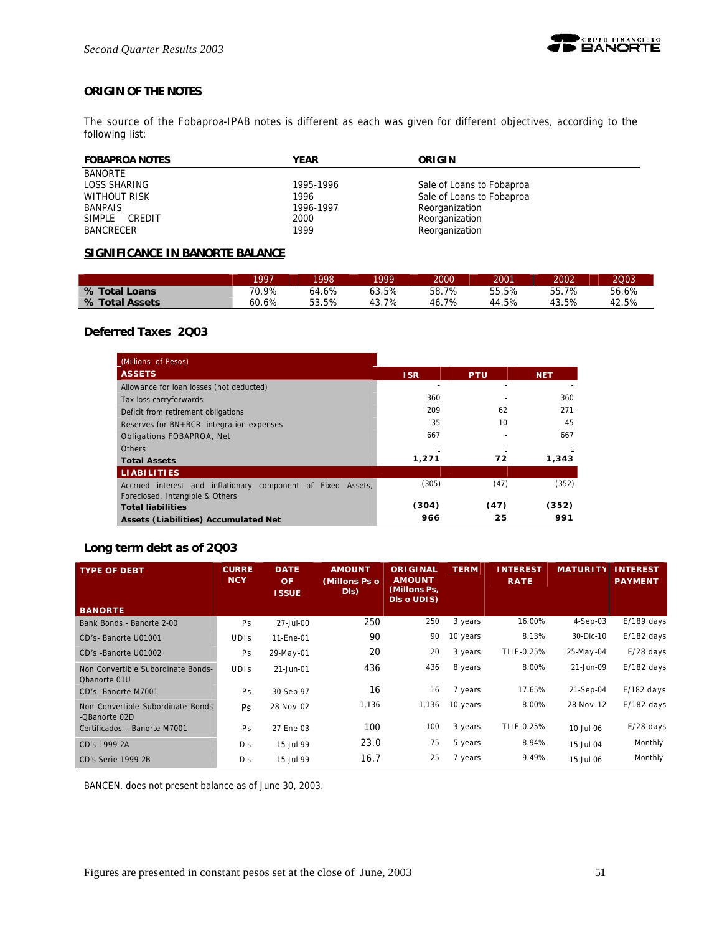

# **ORIGIN OF THE NOTES**

The source of the Fobaproa-IPAB notes is different as each was given for different objectives, according to the following list:

| <b>FOBAPROA NOTES</b> | YEAR      | ORIGIN                    |
|-----------------------|-----------|---------------------------|
| <b>BANORTE</b>        |           |                           |
| LOSS SHARING          | 1995-1996 | Sale of Loans to Fobaproa |
| WITHOUT RISK          | 1996      | Sale of Loans to Fobaproa |
| <b>BANPAIS</b>        | 1996-1997 | Reorganization            |
| SIMPLE CREDIT         | 2000      | Reorganization            |
| <b>BANCRECER</b>      | 1999      | Reorganization            |

### **SIGNIFICANCE IN BANORTE BALANCE**

|                | 1997  | 1998          | 1999  | 2000      | 2001  | 2002  | 2003         |
|----------------|-------|---------------|-------|-----------|-------|-------|--------------|
| % Total Loans  | 70.9% | $.6\%$<br>64. | 53.5% | 58.<br>7% | 55.5% | 55.7% | 56.6%        |
| % Total Assets | 60.6% | 53.5%         | 43.7% | 7%<br>46. | 44.5% | 43.5% | 12.5%<br>4,7 |

# **Deferred Taxes 2Q03**

| (Millions of Pesos)                                          |            |            |            |
|--------------------------------------------------------------|------------|------------|------------|
| <b>ASSETS</b>                                                | <b>ISR</b> | <b>PTU</b> | <b>NET</b> |
| Allowance for loan losses (not deducted)                     |            |            |            |
| Tax loss carryforwards                                       | 360        |            | 360        |
| Deficit from retirement obligations                          | 209        | 62         | 271        |
| Reserves for BN+BCR integration expenses                     | 35         | 10         | 45         |
| Obligations FOBAPROA, Net                                    | 667        |            | 667        |
| <b>Others</b>                                                |            |            |            |
| <b>Total Assets</b>                                          | 1,271      | 72         | 1.343      |
| <b>LIABILITIES</b>                                           |            |            |            |
| Accrued interest and inflationary component of Fixed Assets, | (305)      | (47)       | (352)      |
| Foreclosed, Intangible & Others                              |            |            |            |
| <b>Total liabilities</b>                                     | (304)      | (47)       | (352)      |
| Assets (Liabilities) Accumulated Net                         | 966        | 25         | 991        |

# **Long term debt as of 2Q03**

| <b>TYPE OF DEBT</b>                                | <b>CURRE</b><br><b>NCY</b> | <b>DATE</b><br><b>OF</b><br><b>ISSUE</b> | <b>AMOUNT</b><br>(Millons Ps o<br>DI <sub>s</sub> | <b>ORIGINAL</b><br><b>AMOUNT</b><br>(Millons Ps,<br>DIs o UDIS) | <b>TERM</b> | <b>INTEREST</b><br><b>RATE</b> | <b>MATURI</b> | <b>INTEREST</b><br><b>PAYMENT</b> |
|----------------------------------------------------|----------------------------|------------------------------------------|---------------------------------------------------|-----------------------------------------------------------------|-------------|--------------------------------|---------------|-----------------------------------|
| <b>BANORTE</b>                                     |                            |                                          |                                                   |                                                                 |             |                                |               |                                   |
| Bank Bonds - Banorte 2-00                          | <b>Ps</b>                  | 27-Jul-00                                | 250                                               | 250                                                             | 3 years     | 16.00%                         | $4-Sep-03$    | $E/189$ days                      |
| CD's-Banorte U01001                                | <b>UDIS</b>                | 11-Ene-01                                | 90                                                | 90                                                              | 10 years    | 8.13%                          | 30-Dic-10     | $E/182$ days                      |
| CD's -Banorte U01002                               | Ps                         | 29-May-01                                | 20                                                | 20                                                              | 3 years     | TIIE-0.25%                     | 25-May-04     | $E/28$ days                       |
| Non Convertible Subordinate Bonds-<br>Obanorte 01U | <b>UDIS</b>                | 21-Jun-01                                | 436                                               | 436                                                             | 8 years     | 8.00%                          | 21-Jun-09     | $E/182$ days                      |
| CD's -Banorte M7001                                | Ps                         | 30-Sep-97                                | 16                                                | 16                                                              | 7 years     | 17.65%                         | 21-Sep-04     | $E/182$ days                      |
| Non Convertible Subordinate Bonds<br>-QBanorte 02D | Ps.                        | 28-Nov-02                                | 1,136                                             | 1,136                                                           | 10 years    | 8.00%                          | 28-Nov-12     | $E/182$ days                      |
| Certificados - Banorte M7001                       | Ps                         | 27-Ene-03                                | 100                                               | 100                                                             | 3 years     | TIIE-0.25%                     | 10-Jul-06     | $E/28$ days                       |
| CD's 1999-2A                                       | Dis                        | 15-Jul-99                                | 23.0                                              | 75                                                              | 5 years     | 8.94%                          | 15-Jul-04     | Monthly                           |
| CD's Serie 1999-2B                                 | <b>DIS</b>                 | 15-Jul-99                                | 16.7                                              | 25                                                              | 7 years     | 9.49%                          | 15-Jul-06     | Monthly                           |

BANCEN. does not present balance as of June 30, 2003.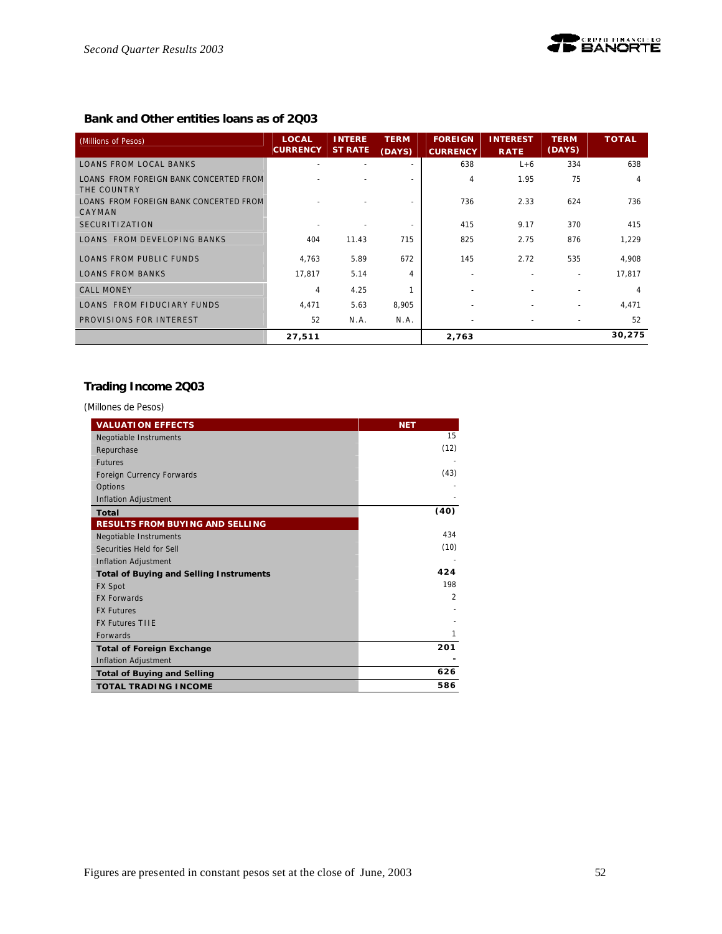# **Bank and Other entities loans as of 2Q03**

| (Millions of Pesos)                                   | <b>LOCAL</b><br><b>CURRENCY</b> | <b>INTERE</b><br><b>ST RATE</b> | <b>TERM</b><br>(DAYS) | <b>FOREIGN</b><br><b>CURRENCY</b> | <b>INTEREST</b><br><b>RATE</b> | <b>TERM</b><br>(DAYS) | <b>TOTAL</b> |
|-------------------------------------------------------|---------------------------------|---------------------------------|-----------------------|-----------------------------------|--------------------------------|-----------------------|--------------|
| <b>LOANS FROM LOCAL BANKS</b>                         |                                 |                                 |                       | 638                               | $L+6$                          | 334                   | 638          |
| LOANS FROM FOREIGN BANK CONCERTED FROM<br>THE COUNTRY |                                 |                                 |                       | 4                                 | 1.95                           | 75                    | 4            |
| LOANS FROM FOREIGN BANK CONCERTED FROM<br>CAYMAN      |                                 |                                 |                       | 736                               | 2.33                           | 624                   | 736          |
| <b>SECURITIZATION</b>                                 |                                 |                                 |                       | 415                               | 9.17                           | 370                   | 415          |
| LOANS FROM DEVELOPING BANKS                           | 404                             | 11.43                           | 715                   | 825                               | 2.75                           | 876                   | 1,229        |
| <b>LOANS FROM PUBLIC FUNDS</b>                        | 4,763                           | 5.89                            | 672                   | 145                               | 2.72                           | 535                   | 4,908        |
| <b>LOANS FROM BANKS</b>                               | 17,817                          | 5.14                            | 4                     |                                   |                                |                       | 17,817       |
| <b>CALL MONEY</b>                                     | 4                               | 4.25                            |                       |                                   |                                |                       | 4            |
| LOANS FROM FIDUCIARY FUNDS                            | 4,471                           | 5.63                            | 8,905                 |                                   |                                |                       | 4,471        |
| PROVISIONS FOR INTEREST                               | 52                              | N.A.                            | N.A.                  |                                   |                                |                       | 52           |
|                                                       | 27,511                          |                                 |                       | 2,763                             |                                |                       | 30,275       |

# **Trading Income 2Q03**

*(Millones de Pesos)*

| <b>VALUATION EFFECTS</b>                       | <b>NET</b>     |
|------------------------------------------------|----------------|
| Negotiable Instruments                         | 15             |
| Repurchase                                     | (12)           |
| <b>Futures</b>                                 |                |
| Foreign Currency Forwards                      | (43)           |
| Options                                        |                |
| Inflation Adjustment                           |                |
| Total                                          | (40)           |
| <b>RESULTS FROM BUYING AND SELLING</b>         |                |
| Negotiable Instruments                         | 434            |
| Securities Held for Sell                       | (10)           |
| Inflation Adjustment                           |                |
| <b>Total of Buying and Selling Instruments</b> | 424            |
| <b>FX Spot</b>                                 | 198            |
| <b>FX Forwards</b>                             | $\mathfrak{D}$ |
| <b>FX Futures</b>                              |                |
| <b>FX Futures TIIF</b>                         |                |
| <b>Forwards</b>                                | 1              |
| <b>Total of Foreign Exchange</b>               | 201            |
| Inflation Adjustment                           |                |
| <b>Total of Buying and Selling</b>             | 626            |
| <b>TOTAL TRADING INCOME</b>                    | 586            |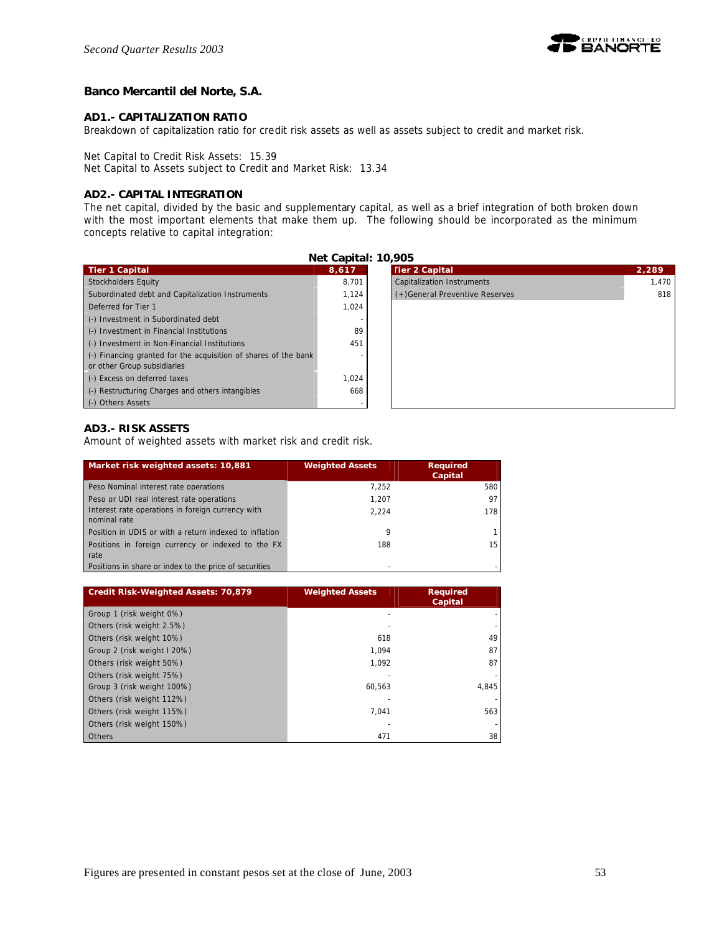

# **Banco Mercantil del Norte, S.A.**

### **AD1.- CAPITALIZATION RATIO**

Breakdown of capitalization ratio for credit risk assets as well as assets subject to credit and market risk.

Net Capital to Credit Risk Assets: 15.39

Net Capital to Assets subject to Credit and Market Risk: 13.34

# **AD2.- CAPITAL INTEGRATION**

The net capital, divided by the basic and supplementary capital, as well as a brief integration of both broken down with the most important elements that make them up. The following should be incorporated as the minimum concepts relative to capital integration:

| Net Capital: 10,905                                             |       |                                   |       |
|-----------------------------------------------------------------|-------|-----------------------------------|-------|
| <b>Tier 1 Capital</b>                                           | 8,617 | <b>Tier 2 Capital</b>             | 2,289 |
| Stockholders Equity                                             | 8.701 | <b>Capitalization Instruments</b> | 1.470 |
| Subordinated debt and Capitalization Instruments                | 1,124 | (+)General Preventive Reserves    | 818   |
| Deferred for Tier 1                                             | 1.024 |                                   |       |
| (-) Investment in Subordinated debt                             |       |                                   |       |
| (-) Investment in Financial Institutions                        | 89    |                                   |       |
| (-) Investment in Non-Financial Institutions                    | 451   |                                   |       |
| (-) Financing granted for the acquisition of shares of the bank |       |                                   |       |
| or other Group subsidiaries                                     |       |                                   |       |
| (-) Excess on deferred taxes                                    | 1.024 |                                   |       |
| (-) Restructuring Charges and others intangibles                | 668   |                                   |       |
| (-) Others Assets                                               |       |                                   |       |

# **AD3.- RISK ASSETS**

Amount of weighted assets with market risk and credit risk.

| Market risk weighted assets: 10,881                               | <b>Weighted Assets</b> | <b>Required</b><br>Capital |
|-------------------------------------------------------------------|------------------------|----------------------------|
| Peso Nominal interest rate operations                             | 7.252                  | 580                        |
| Peso or UDI real interest rate operations                         | 1.207                  | 97                         |
| Interest rate operations in foreign currency with<br>nominal rate | 2.224                  | 178                        |
| Position in UDIS or with a return indexed to inflation            | 9                      |                            |
| Positions in foreign currency or indexed to the FX                | 188                    | 15                         |
| rate                                                              |                        |                            |
| Positions in share or index to the price of securities            |                        |                            |

| <b>Credit Risk-Weighted Assets: 70,879</b> | <b>Weighted Assets</b> | <b>Required</b><br>Capital |
|--------------------------------------------|------------------------|----------------------------|
| Group 1 (risk weight 0%)                   |                        |                            |
| Others (risk weight 2.5%)                  |                        |                            |
| Others (risk weight 10%)                   | 618                    | 49                         |
| Group 2 (risk weight I 20%)                | 1.094                  | 87                         |
| Others (risk weight 50%)                   | 1.092                  | 87                         |
| Others (risk weight 75%)                   |                        |                            |
| Group 3 (risk weight 100%)                 | 60.563                 | 4.845                      |
| Others (risk weight 112%)                  |                        |                            |
| Others (risk weight 115%)                  | 7.041                  | 563                        |
| Others (risk weight 150%)                  |                        |                            |
| <b>Others</b>                              | 471                    | 38                         |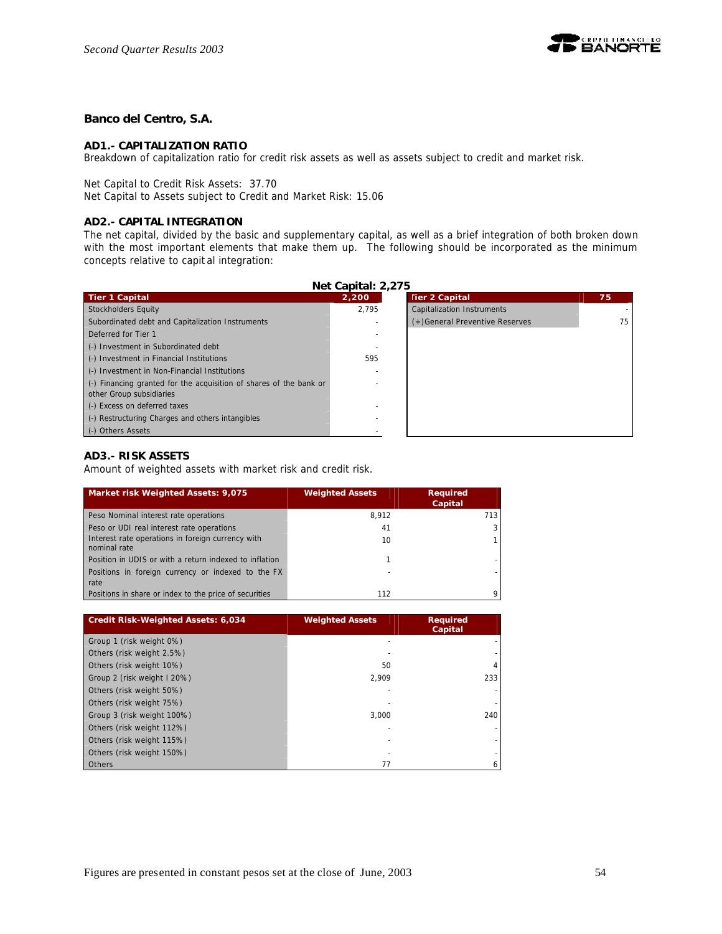

# **Banco del Centro, S.A.**

### **AD1.- CAPITALIZATION RATIO**

Breakdown of capitalization ratio for credit risk assets as well as assets subject to credit and market risk.

Net Capital to Credit Risk Assets: 37.70

Net Capital to Assets subject to Credit and Market Risk: 15.06

# **AD2.- CAPITAL INTEGRATION**

The net capital, divided by the basic and supplementary capital, as well as a brief integration of both broken down with the most important elements that make them up. The following should be incorporated as the minimum concepts relative to capit al integration:

| Net Capital: 2,275                                                         |       |                                |    |  |  |
|----------------------------------------------------------------------------|-------|--------------------------------|----|--|--|
| Tier 1 Capital                                                             | 2,200 | <b>Tier 2 Capital</b>          | 75 |  |  |
| Stockholders Equity                                                        | 2.795 | Capitalization Instruments     |    |  |  |
| Subordinated debt and Capitalization Instruments                           |       | (+)General Preventive Reserves | 75 |  |  |
| Deferred for Tier 1                                                        |       |                                |    |  |  |
| (-) Investment in Subordinated debt                                        |       |                                |    |  |  |
| (-) Investment in Financial Institutions                                   | 595   |                                |    |  |  |
| (-) Investment in Non-Financial Institutions                               |       |                                |    |  |  |
| $\left($ .) Financing granted for the acquisition of shares of the bank or |       |                                |    |  |  |
| other Group subsidiaries                                                   |       |                                |    |  |  |
| (-) Excess on deferred taxes                                               |       |                                |    |  |  |
| (-) Restructuring Charges and others intangibles                           |       |                                |    |  |  |
| (-) Others Assets                                                          |       |                                |    |  |  |

# **AD3.- RISK ASSETS**

Amount of weighted assets with market risk and credit risk.

| Market risk Weighted Assets: 9,075                                | <b>Weighted Assets</b> | <b>Required</b><br>Capital |
|-------------------------------------------------------------------|------------------------|----------------------------|
| Peso Nominal interest rate operations                             | 8.912                  | 713                        |
| Peso or UDI real interest rate operations                         | 41                     |                            |
| Interest rate operations in foreign currency with<br>nominal rate | 10                     |                            |
| Position in UDIS or with a return indexed to inflation            |                        |                            |
| Positions in foreign currency or indexed to the FX<br>rate        |                        |                            |
| Positions in share or index to the price of securities            | 112                    |                            |

| <b>Credit Risk-Weighted Assets: 6,034</b> | <b>Weighted Assets</b> | <b>Required</b><br>Capital |
|-------------------------------------------|------------------------|----------------------------|
| Group 1 (risk weight 0%)                  |                        |                            |
| Others (risk weight 2.5%)                 |                        |                            |
| Others (risk weight 10%)                  | 50                     |                            |
| Group 2 (risk weight I 20%)               | 2,909                  | 233                        |
| Others (risk weight 50%)                  |                        |                            |
| Others (risk weight 75%)                  |                        |                            |
| Group 3 (risk weight 100%)                | 3.000                  | 240                        |
| Others (risk weight 112%)                 |                        |                            |
| Others (risk weight 115%)                 |                        |                            |
| Others (risk weight 150%)                 |                        |                            |
| <b>Others</b>                             | 77                     |                            |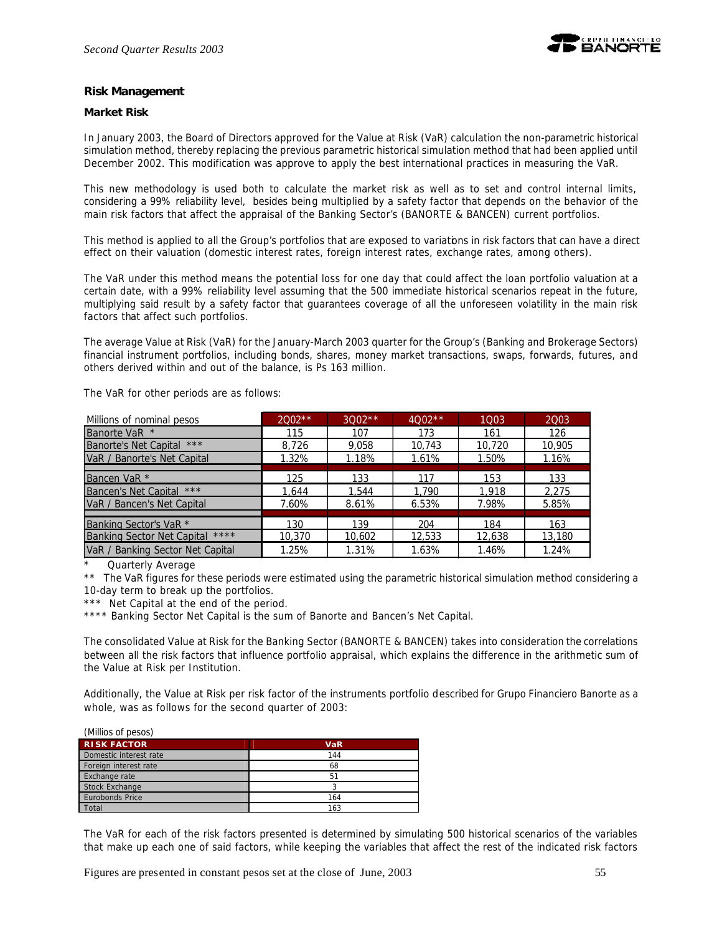# **Risk Management**

### **Market Risk**

In January 2003, the Board of Directors approved for the Value at Risk (VaR) calculation the non-parametric historical simulation method, thereby replacing the previous parametric historical simulation method that had been applied until December 2002. This modification was approve to apply the best international practices in measuring the VaR.

This new methodology is used both to calculate the market risk as well as to set and control internal limits, considering a 99% reliability level, besides being multiplied by a safety factor that depends on the behavior of the main risk factors that affect the appraisal of the Banking Sector's (BANORTE & BANCEN) current portfolios.

This method is applied to all the Group's portfolios that are exposed to variations in risk factors that can have a direct effect on their valuation (domestic interest rates, foreign interest rates, exchange rates, among others).

The VaR under this method means the potential loss for one day that could affect the loan portfolio valuation at a certain date, with a 99% reliability level assuming that the 500 immediate historical scenarios repeat in the future, multiplying said result by a safety factor that guarantees coverage of all the unforeseen volatility in the main risk factors that affect such portfolios.

The average Value at Risk (VaR) for the January-March 2003 quarter for the Group's (Banking and Brokerage Sectors) financial instrument portfolios, including bonds, shares, money market transactions, swaps, forwards, futures, and others derived within and out of the balance, is Ps 163 million.

The VaR for other periods are as follows:

| Millions of nominal pesos                 | $2002**$ | $3002**$ | $4002**$ | 1003   | 2003   |
|-------------------------------------------|----------|----------|----------|--------|--------|
| Banorte VaR *                             | 115      | 107      | 173      | 161    | 126    |
| Banorte's Net Capital ***                 | 8,726    | 9,058    | 10.743   | 10,720 | 10,905 |
| VaR / Banorte's Net Capital               | 1.32%    | 1.18%    | 1.61%    | 1.50%  | 1.16%  |
|                                           |          |          |          |        |        |
| Bancen VaR *                              | 125      | 133      | 117      | 153    | 133    |
| $***$<br>Bancen's Net Capital             | 1.644    | 1.544    | 1.790    | 1.918  | 2,275  |
| VaR / Bancen's Net Capital                | 7.60%    | 8.61%    | 6.53%    | 7.98%  | 5.85%  |
|                                           |          |          |          |        |        |
| Banking Sector's VaR <sup>*</sup>         | 130      | 139      | 204      | 184    | 163    |
| ****<br><b>Banking Sector Net Capital</b> | 10,370   | 10,602   | 12,533   | 12,638 | 13,180 |
| VaR / Banking Sector Net Capital          | 1.25%    | 1.31%    | 1.63%    | 1.46%  | 1.24%  |

\* Quarterly Average<br>\*\* The VaR figures for

The VaR figures for these periods were estimated using the parametric historical simulation method considering a 10-day term to break up the portfolios.

\*\*\* Net Capital at the end of the period.

\*\*\*\* Banking Sector Net Capital is the sum of Banorte and Bancen's Net Capital.

The consolidated Value at Risk for the Banking Sector (BANORTE & BANCEN) takes into consideration the correlations between all the risk factors that influence portfolio appraisal, which explains the difference in the arithmetic sum of the Value at Risk per Institution.

Additionally, the Value at Risk per risk factor of the instruments portfolio described for Grupo Financiero Banorte as a whole, was as follows for the second quarter of 2003:

| (Millios of pesos)     |            |
|------------------------|------------|
| <b>RISK FACTOR</b>     | <b>VaR</b> |
| Domestic interest rate | 144        |
| Foreign interest rate  | 68         |
| Exchange rate          | 51         |
| <b>Stock Exchange</b>  |            |
| Eurobonds Price        | 164        |
| Total                  | 163        |

The VaR for each of the risk factors presented is determined by simulating 500 historical scenarios of the variables that make up each one of said factors, while keeping the variables that affect the rest of the indicated risk factors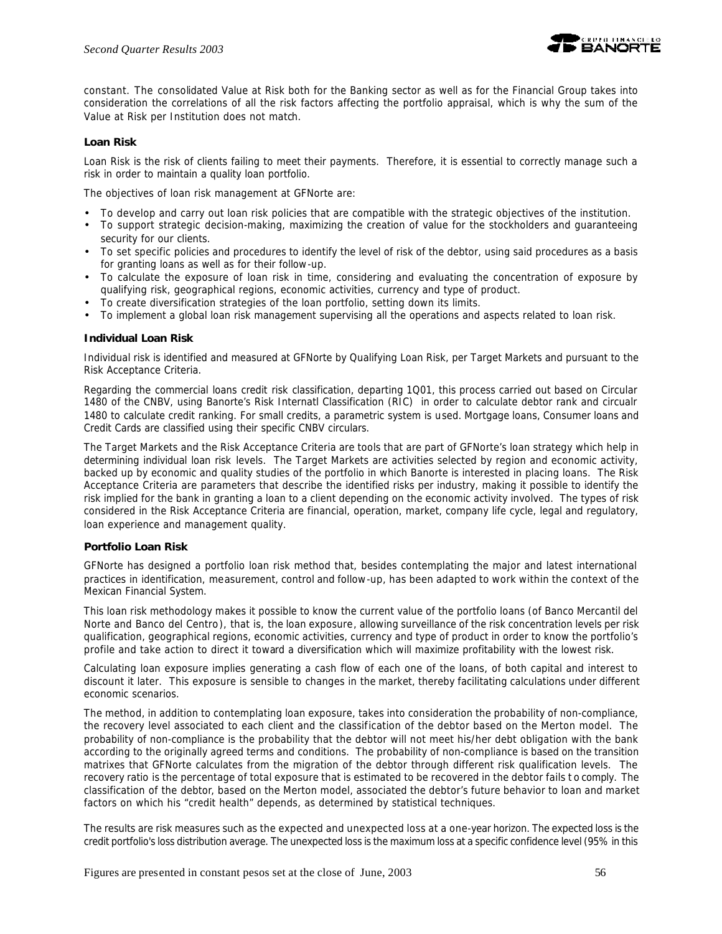

constant. The consolidated Value at Risk both for the Banking sector as well as for the Financial Group takes into consideration the correlations of all the risk factors affecting the portfolio appraisal, which is why the sum of the Value at Risk per Institution does not match.

### **Loan Risk**

Loan Risk is the risk of clients failing to meet their payments. Therefore, it is essential to correctly manage such a risk in order to maintain a quality loan portfolio.

The objectives of loan risk management at GFNorte are:

- To develop and carry out loan risk policies that are compatible with the strategic objectives of the institution.
- To support strategic decision-making, maximizing the creation of value for the stockholders and guaranteeing security for our clients.
- To set specific policies and procedures to identify the level of risk of the debtor, using said procedures as a basis for granting loans as well as for their follow-up.
- To calculate the exposure of loan risk in time, considering and evaluating the concentration of exposure by qualifying risk, geographical regions, economic activities, currency and type of product.
- To create diversification strategies of the loan portfolio, setting down its limits.
- To implement a global loan risk management supervising all the operations and aspects related to loan risk.

### **Individual Loan Risk**

Individual risk is identified and measured at GFNorte by Qualifying Loan Risk, per Target Markets and pursuant to the Risk Acceptance Criteria.

Regarding the commercial loans credit risk classification, departing 1Q01, this process carried out based on Circular 1480 of the CNBV, using Banorte's Risk Internatl Classification (RIC) in order to calculate debtor rank and circualr 1480 to calculate credit ranking. For small credits, a parametric system is used. Mortgage loans, Consumer loans and Credit Cards are classified using their specific CNBV circulars.

The Target Markets and the Risk Acceptance Criteria are tools that are part of GFNorte's loan strategy which help in determining individual loan risk levels. The Target Markets are activities selected by region and economic activity, backed up by economic and quality studies of the portfolio in which Banorte is interested in placing loans. The Risk Acceptance Criteria are parameters that describe the identified risks per industry, making it possible to identify the risk implied for the bank in granting a loan to a client depending on the economic activity involved. The types of risk considered in the Risk Acceptance Criteria are financial, operation, market, company life cycle, legal and regulatory, loan experience and management quality.

### **Portfolio Loan Risk**

GFNorte has designed a portfolio loan risk method that, besides contemplating the major and latest international practices in identification, measurement, control and follow-up, has been adapted to work within the context of the Mexican Financial System.

This loan risk methodology makes it possible to know the current value of the portfolio loans (of Banco Mercantil del Norte and Banco del Centro), that is, *the loan exposure*, allowing surveillance of the risk concentration levels per risk qualification, geographical regions, economic activities, currency and type of product in order to know the portfolio's profile and take action to direct it toward a diversification which will maximize profitability with the lowest risk.

Calculating loan exposure implies generating a cash flow of each one of the loans, of both capital and interest to discount it later. This exposure is sensible to changes in the market, thereby facilitating calculations under different economic scenarios.

The method, in addition to contemplating loan exposure, takes into consideration the probability of non-compliance, the recovery level associated to each client and the classification of the debtor based on the Merton model. The *probability of non-compliance* is the probability that the debtor will not meet his/her debt obligation with the bank according to the originally agreed terms and conditions. The probability of non-compliance is based on the transition matrixes that GFNorte calculates from the migration of the debtor through different risk qualification levels. The *recovery ratio* is the percentage of total exposure that is estimated to be recovered in the debtor fails t o comply. The *classification of the debtor*, based on the Merton model, associated the debtor's future behavior to loan and market factors on which his "credit health" depends, as determined by statistical techniques.

The results are risk measures such as the expected and unexpected loss at a one-year horizon. The expected loss is the credit portfolio's loss distribution average. The unexpected loss is the maximum loss at a specific confidence level (95% in this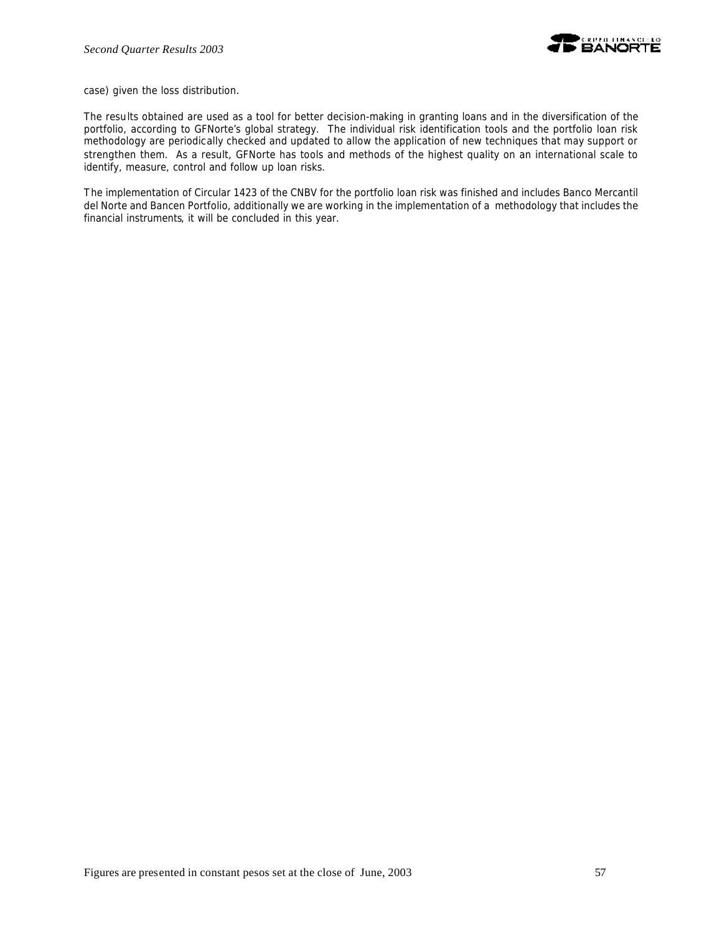case) given the loss distribution.

The results obtained are used as a tool for better decision-making in granting loans and in the diversification of the portfolio, according to GFNorte's global strategy. The individual risk identification tools and the portfolio loan risk methodology are periodically checked and updated to allow the application of new techniques that may support or strengthen them. As a result, GFNorte has tools and methods of the highest quality on an international scale to identify, measure, control and follow up loan risks.

The implementation of Circular 1423 of the CNBV for the portfolio loan risk was finished and includes Banco Mercantil del Norte and Bancen Portfolio, additionally we are working in the implementation of a methodology that includes the financial instruments, it will be concluded in this year.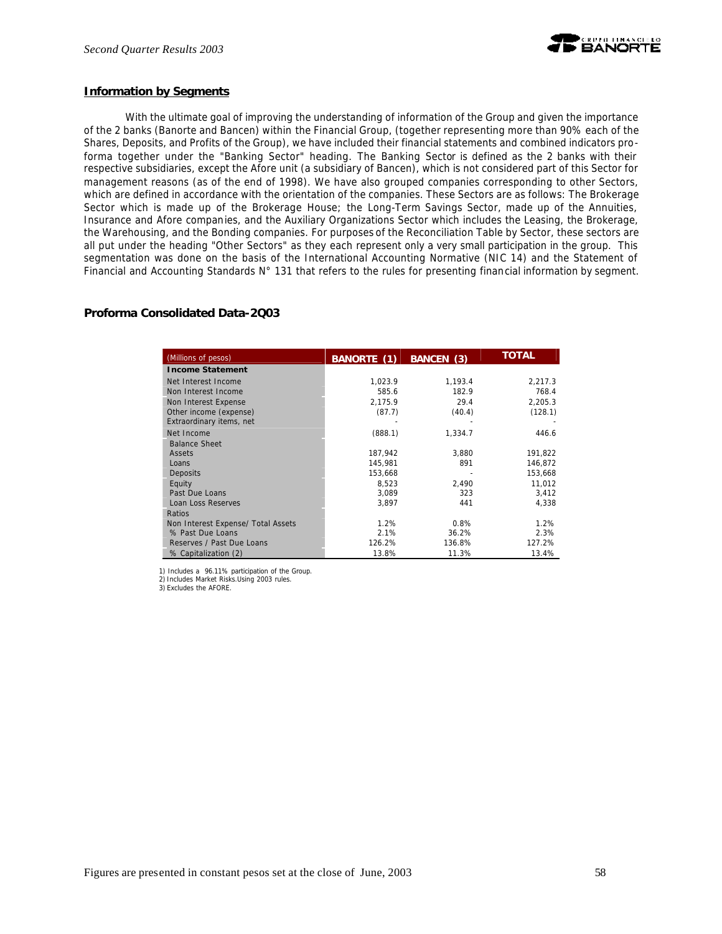

### **Information by Segments**

With the ultimate goal of improving the understanding of information of the Group and given the importance of the 2 banks (Banorte and Bancen) within the Financial Group, (together representing more than 90% each of the Shares, Deposits, and Profits of the Group), we have included their financial statements and combined indicators proforma together under the "Banking Sector" heading. The Banking Sector is defined as the 2 banks with their respective subsidiaries, except the Afore unit (a subsidiary of Bancen), which is not considered part of this Sector for management reasons (as of the end of 1998). We have also grouped companies corresponding to other Sectors, which are defined in accordance with the orientation of the companies. These Sectors are as follows: The Brokerage Sector which is made up of the Brokerage House; the Long-Term Savings Sector, made up of the Annuities, Insurance and Afore companies, and the Auxiliary Organizations Sector which includes the Leasing, the Brokerage, the Warehousing, and the Bonding companies. For purposes of the Reconciliation Table by Sector, these sectors are all put under the heading "Other Sectors" as they each represent only a very small participation in the group. This segmentation was done on the basis of the International Accounting Normative (NIC 14) and the Statement of Financial and Accounting Standards N° 131 that refers to the rules for presenting financial information by segment.

# **Proforma Consolidated Data-2Q03**

| (Millions of pesos)                | <b>BANORTE</b> (1) | BANCEN (3) | <b>TOTAL</b> |
|------------------------------------|--------------------|------------|--------------|
| <b>Income Statement</b>            |                    |            |              |
| Net Interest Income                | 1,023.9            | 1,193.4    | 2,217.3      |
| Non Interest Income                | 585.6              | 182.9      | 768.4        |
| Non Interest Expense               | 2,175.9            | 29.4       | 2,205.3      |
| Other income (expense)             | (87.7)             | (40.4)     | (128.1)      |
| Extraordinary items, net           |                    |            |              |
| Net Income                         | (888.1)            | 1,334.7    | 446.6        |
| <b>Balance Sheet</b>               |                    |            |              |
| Assets                             | 187,942            | 3,880      | 191,822      |
| Loans                              | 145.981            | 891        | 146,872      |
| Deposits                           | 153,668            |            | 153,668      |
| Equity                             | 8,523              | 2,490      | 11,012       |
| Past Due Loans                     | 3,089              | 323        | 3,412        |
| Loan Loss Reserves                 | 3,897              | 441        | 4,338        |
| Ratios                             |                    |            |              |
| Non Interest Expense/ Total Assets | 1.2%               | 0.8%       | 1.2%         |
| % Past Due Loans                   | 2.1%               | 36.2%      | 2.3%         |
| Reserves / Past Due Loans          | 126.2%             | 136.8%     | 127.2%       |
| % Capitalization (2)               | 13.8%              | 11.3%      | 13.4%        |

1) Includes a 96.11% participation of the Group. 2) Includes Market Risks.Using 2003 rules.

3) Excludes the AFORE.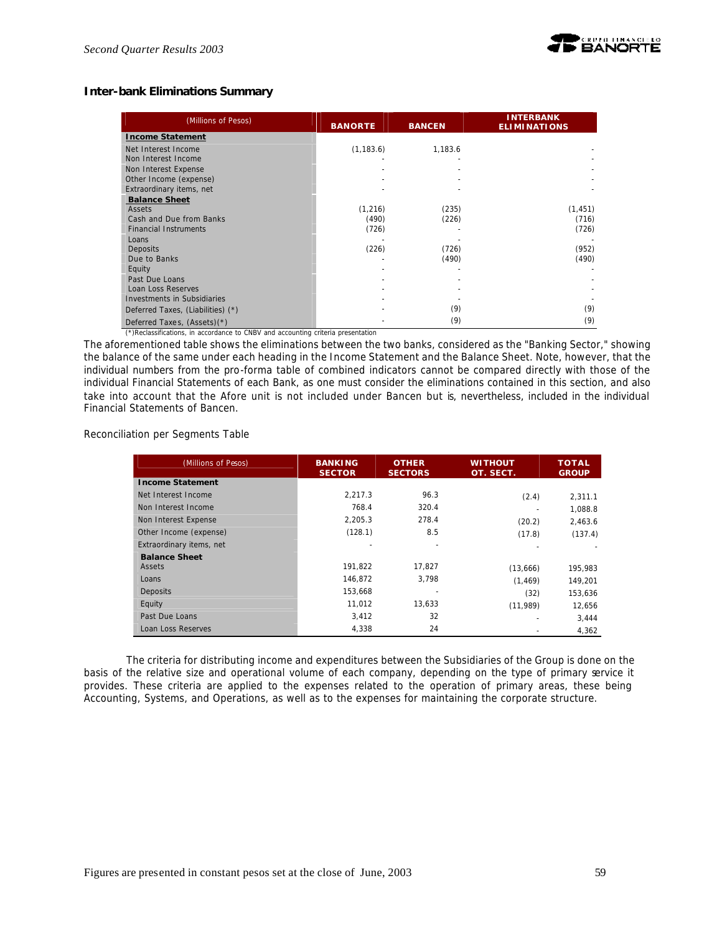

# **Inter-bank Eliminations Summary**

| (Millions of Pesos)                                     | <b>BANORTE</b> | <b>BANCEN</b> | <b>INTERBANK</b><br><b>ELIMINATIONS</b> |
|---------------------------------------------------------|----------------|---------------|-----------------------------------------|
| <b>Income Statement</b>                                 |                |               |                                         |
| Net Interest Income                                     | (1, 183.6)     | 1,183.6       |                                         |
| Non Interest Income                                     |                |               |                                         |
| Non Interest Expense                                    |                |               |                                         |
| Other Income (expense)                                  |                |               |                                         |
| Extraordinary items, net                                |                |               |                                         |
| <b>Balance Sheet</b>                                    |                |               |                                         |
| Assets                                                  | (1,216)        | (235)         | (1, 451)                                |
| Cash and Due from Banks<br><b>Financial Instruments</b> | (490)<br>(726) | (226)         | (716)<br>(726)                          |
| Loans                                                   |                |               |                                         |
| Deposits                                                | (226)          | (726)         | (952)                                   |
| Due to Banks                                            |                | (490)         | (490)                                   |
| Equity                                                  |                |               |                                         |
| Past Due Loans                                          |                |               |                                         |
| Loan Loss Reserves                                      |                |               |                                         |
| Investments in Subsidiaries                             |                |               |                                         |
| Deferred Taxes, (Liabilities) (*)                       |                | (9)           | (9)                                     |
| Deferred Taxes, (Assets)(*)                             |                | (9)           | (9)                                     |

(\*)Reclassifications, in accordance to CNBV and accounting criteria presentation

The aforementioned table shows the eliminations between the two banks, considered as the "Banking Sector," showing the balance of the same under each heading in the Income Statement and the Balance Sheet. Note, however, that the individual numbers from the pro-forma table of combined indicators cannot be compared directly with those of the individual Financial Statements of each Bank, as one must consider the eliminations contained in this section, and also take into account that the Afore unit is not included under Bancen but *is*, nevertheless, included in the individual Financial Statements of Bancen.

Reconciliation per Segments Table

| (Millions of Pesos)      | <b>BANKING</b><br><b>SECTOR</b> | <b>OTHER</b><br><b>SECTORS</b> | WITHOUT<br>OT. SECT. | TOTAL<br><b>GROUP</b> |
|--------------------------|---------------------------------|--------------------------------|----------------------|-----------------------|
| <b>Income Statement</b>  |                                 |                                |                      |                       |
| Net Interest Income      | 2.217.3                         | 96.3                           | (2.4)                | 2,311.1               |
| Non Interest Income      | 768.4                           | 320.4                          |                      | 1,088.8               |
| Non Interest Expense     | 2.205.3                         | 278.4                          | (20.2)               | 2,463.6               |
| Other Income (expense)   | (128.1)                         | 8.5                            | (17.8)               | (137.4)               |
| Extraordinary items, net |                                 |                                |                      |                       |
| <b>Balance Sheet</b>     |                                 |                                |                      |                       |
| Assets                   | 191.822                         | 17.827                         | (13,666)             | 195,983               |
| Loans                    | 146,872                         | 3,798                          | (1.469)              | 149.201               |
| Deposits                 | 153,668                         |                                | (32)                 | 153,636               |
| Equity                   | 11,012                          | 13,633                         | (11, 989)            | 12,656                |
| Past Due Loans           | 3,412                           | 32                             |                      | 3,444                 |
| Loan Loss Reserves       | 4,338                           | 24                             |                      | 4,362                 |

The criteria for distributing income and expenditures between the Subsidiaries of the Group is done on the basis of the relative size and operational volume of each company, depending on the type of primary service it provides. These criteria are applied to the expenses related to the operation of primary areas, these being Accounting, Systems, and Operations, as well as to the expenses for maintaining the corporate structure.